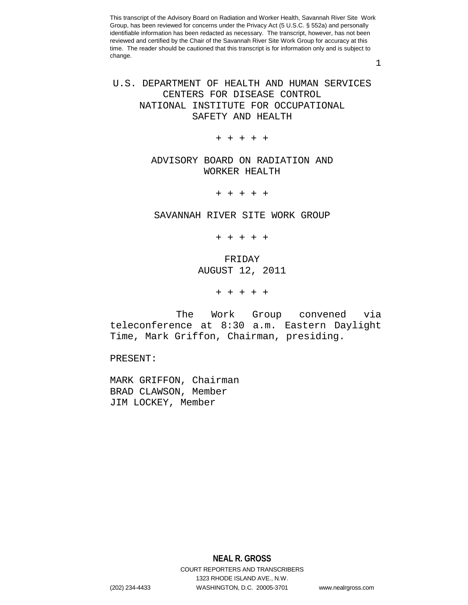1

# U.S. DEPARTMENT OF HEALTH AND HUMAN SERVICES CENTERS FOR DISEASE CONTROL NATIONAL INSTITUTE FOR OCCUPATIONAL SAFETY AND HEALTH

+ + + + +

# ADVISORY BOARD ON RADIATION AND WORKER HEALTH

+ + + + +

## SAVANNAH RIVER SITE WORK GROUP

+ + + + +

# FRIDAY AUGUST 12, 2011

+ + + + +

 The Work Group convened via teleconference at 8:30 a.m. Eastern Daylight Time, Mark Griffon, Chairman, presiding.

PRESENT:

MARK GRIFFON, Chairman BRAD CLAWSON, Member JIM LOCKEY, Member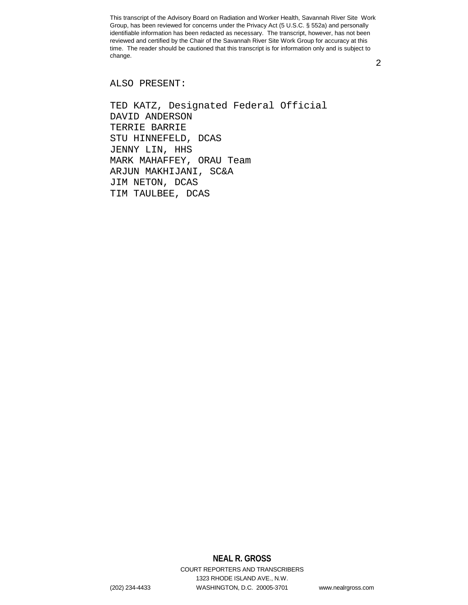2

## ALSO PRESENT:

TED KATZ, Designated Federal Official DAVID ANDERSON TERRIE BARRIE STU HINNEFELD, DCAS JENNY LIN, HHS MARK MAHAFFEY, ORAU Team ARJUN MAKHIJANI, SC&A JIM NETON, DCAS TIM TAULBEE, DCAS

# **NEAL R. GROSS**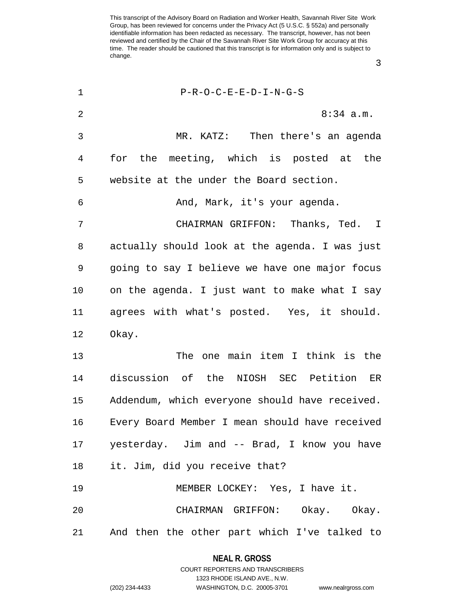1 P-R-O-C-E-E-D-I-N-G-S 2 8:34 a.m. 3 MR. KATZ: Then there's an agenda 4 for the meeting, which is posted at the 5 website at the under the Board section. 6 And, Mark, it's your agenda. 7 CHAIRMAN GRIFFON: Thanks, Ted. I 8 actually should look at the agenda. I was just 9 going to say I believe we have one major focus 10 on the agenda. I just want to make what I say 11 agrees with what's posted. Yes, it should. 12 Okay. 13 The one main item I think is the 14 discussion of the NIOSH SEC Petition ER 15 Addendum, which everyone should have received. 16 Every Board Member I mean should have received 17 yesterday. Jim and -- Brad, I know you have 18 it. Jim, did you receive that? 19 MEMBER LOCKEY: Yes, I have it. 20 CHAIRMAN GRIFFON: Okay. Okay. 21 And then the other part which I've talked to

> **NEAL R. GROSS** COURT REPORTERS AND TRANSCRIBERS

> > 1323 RHODE ISLAND AVE., N.W.

3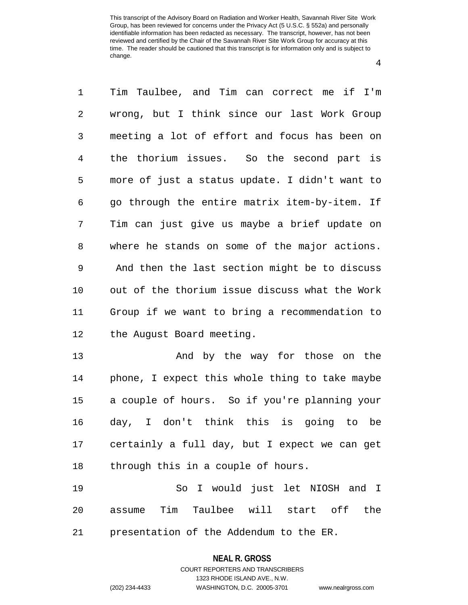4

| 1  | Tim Taulbee, and Tim can correct me if I'm       |
|----|--------------------------------------------------|
| 2  | wrong, but I think since our last Work Group     |
| 3  | meeting a lot of effort and focus has been on    |
| 4  | the thorium issues. So the second part is        |
| 5  | more of just a status update. I didn't want to   |
| 6  | go through the entire matrix item-by-item. If    |
| 7  | Tim can just give us maybe a brief update on     |
| 8  | where he stands on some of the major actions.    |
| 9  | And then the last section might be to discuss    |
| 10 | out of the thorium issue discuss what the Work   |
| 11 | Group if we want to bring a recommendation to    |
| 12 | the August Board meeting.                        |
| 13 | And by the way for those on the                  |
| 14 | phone, I expect this whole thing to take maybe   |
| 15 | a couple of hours. So if you're planning your    |
| 16 | day, I don't think this is going to be           |
|    | 17 certainly a full day, but I expect we can get |
| 18 | through this in a couple of hours.               |
| 19 | So I would just let NIOSH and I                  |
| 20 | assume Tim Taulbee will start off the            |
| 21 | presentation of the Addendum to the ER.          |

### **NEAL R. GROSS**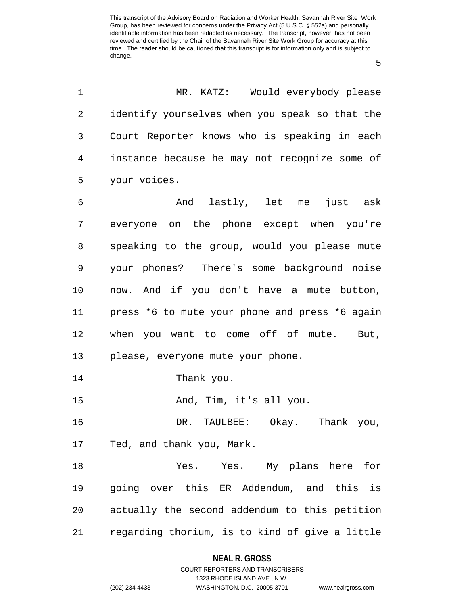5

| identify yourselves when you speak so that the<br>Court Reporter knows who is speaking in each<br>instance because he may not recognize some of<br>your voices.<br>And lastly, let me just ask<br>everyone on the phone except when you're<br>speaking to the group, would you please mute<br>your phones? There's some background noise<br>now. And if you don't have a mute button,<br>press *6 to mute your phone and press *6 again<br>when you want to come off of mute.<br>But,<br>please, everyone mute your phone.<br>Thank you.<br>And, Tim, it's all you.<br>DR. TAULBEE: Okay. Thank you,<br>Ted, and thank you, Mark.<br>Yes. Yes. My plans here for<br>going over this ER Addendum, and this is<br>actually the second addendum to this petition |
|---------------------------------------------------------------------------------------------------------------------------------------------------------------------------------------------------------------------------------------------------------------------------------------------------------------------------------------------------------------------------------------------------------------------------------------------------------------------------------------------------------------------------------------------------------------------------------------------------------------------------------------------------------------------------------------------------------------------------------------------------------------|
|                                                                                                                                                                                                                                                                                                                                                                                                                                                                                                                                                                                                                                                                                                                                                               |
|                                                                                                                                                                                                                                                                                                                                                                                                                                                                                                                                                                                                                                                                                                                                                               |
|                                                                                                                                                                                                                                                                                                                                                                                                                                                                                                                                                                                                                                                                                                                                                               |
|                                                                                                                                                                                                                                                                                                                                                                                                                                                                                                                                                                                                                                                                                                                                                               |
|                                                                                                                                                                                                                                                                                                                                                                                                                                                                                                                                                                                                                                                                                                                                                               |
|                                                                                                                                                                                                                                                                                                                                                                                                                                                                                                                                                                                                                                                                                                                                                               |
|                                                                                                                                                                                                                                                                                                                                                                                                                                                                                                                                                                                                                                                                                                                                                               |
|                                                                                                                                                                                                                                                                                                                                                                                                                                                                                                                                                                                                                                                                                                                                                               |
|                                                                                                                                                                                                                                                                                                                                                                                                                                                                                                                                                                                                                                                                                                                                                               |
|                                                                                                                                                                                                                                                                                                                                                                                                                                                                                                                                                                                                                                                                                                                                                               |
|                                                                                                                                                                                                                                                                                                                                                                                                                                                                                                                                                                                                                                                                                                                                                               |
|                                                                                                                                                                                                                                                                                                                                                                                                                                                                                                                                                                                                                                                                                                                                                               |
|                                                                                                                                                                                                                                                                                                                                                                                                                                                                                                                                                                                                                                                                                                                                                               |
|                                                                                                                                                                                                                                                                                                                                                                                                                                                                                                                                                                                                                                                                                                                                                               |
|                                                                                                                                                                                                                                                                                                                                                                                                                                                                                                                                                                                                                                                                                                                                                               |
|                                                                                                                                                                                                                                                                                                                                                                                                                                                                                                                                                                                                                                                                                                                                                               |
|                                                                                                                                                                                                                                                                                                                                                                                                                                                                                                                                                                                                                                                                                                                                                               |
|                                                                                                                                                                                                                                                                                                                                                                                                                                                                                                                                                                                                                                                                                                                                                               |
|                                                                                                                                                                                                                                                                                                                                                                                                                                                                                                                                                                                                                                                                                                                                                               |
| regarding thorium, is to kind of give a little                                                                                                                                                                                                                                                                                                                                                                                                                                                                                                                                                                                                                                                                                                                |
|                                                                                                                                                                                                                                                                                                                                                                                                                                                                                                                                                                                                                                                                                                                                                               |

## **NEAL R. GROSS**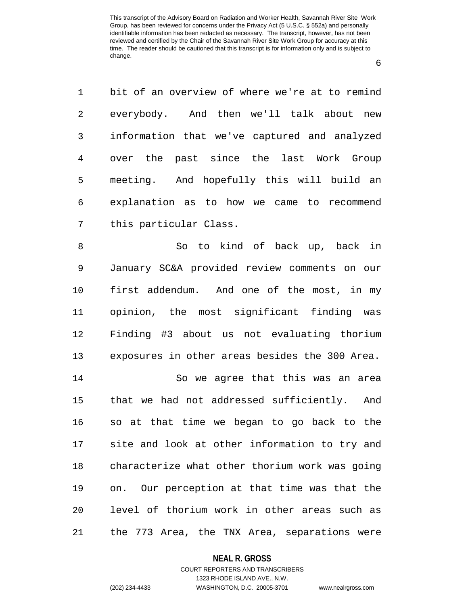6

1 bit of an overview of where we're at to remind 2 everybody. And then we'll talk about new 3 information that we've captured and analyzed 4 over the past since the last Work Group 5 meeting. And hopefully this will build an 6 explanation as to how we came to recommend 7 this particular Class.

8 So to kind of back up, back in 9 January SC&A provided review comments on our 10 first addendum. And one of the most, in my 11 opinion, the most significant finding was 12 Finding #3 about us not evaluating thorium 13 exposures in other areas besides the 300 Area.

14 So we agree that this was an area 15 that we had not addressed sufficiently. And 16 so at that time we began to go back to the 17 site and look at other information to try and 18 characterize what other thorium work was going 19 on. Our perception at that time was that the 20 level of thorium work in other areas such as 21 the 773 Area, the TNX Area, separations were

#### **NEAL R. GROSS**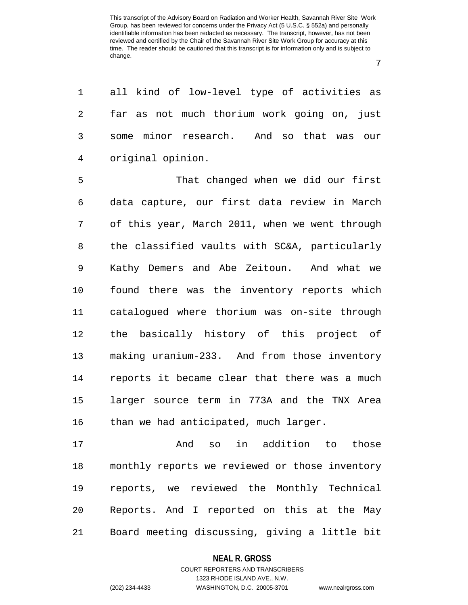7

1 all kind of low-level type of activities as 2 far as not much thorium work going on, just 3 some minor research. And so that was our 4 original opinion.

5 That changed when we did our first 6 data capture, our first data review in March 7 of this year, March 2011, when we went through 8 the classified vaults with SC&A, particularly 9 Kathy Demers and Abe Zeitoun. And what we 10 found there was the inventory reports which 11 catalogued where thorium was on-site through 12 the basically history of this project of 13 making uranium-233. And from those inventory 14 reports it became clear that there was a much 15 larger source term in 773A and the TNX Area 16 than we had anticipated, much larger.

17 And so in addition to those 18 monthly reports we reviewed or those inventory 19 reports, we reviewed the Monthly Technical 20 Reports. And I reported on this at the May 21 Board meeting discussing, giving a little bit

#### **NEAL R. GROSS**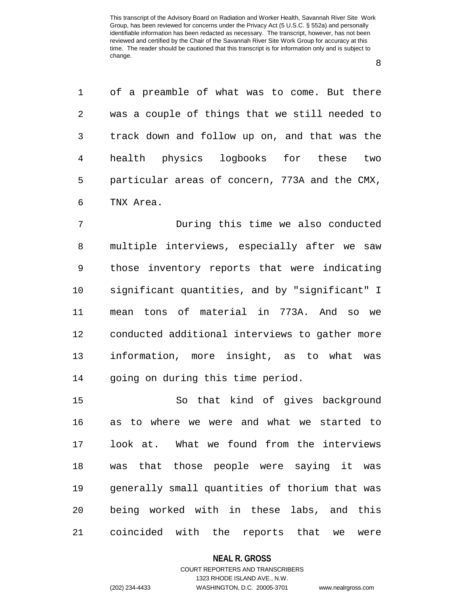8

1 of a preamble of what was to come. But there 2 was a couple of things that we still needed to 3 track down and follow up on, and that was the 4 health physics logbooks for these two 5 particular areas of concern, 773A and the CMX, 6 TNX Area.

7 During this time we also conducted 8 multiple interviews, especially after we saw 9 those inventory reports that were indicating 10 significant quantities, and by "significant" I 11 mean tons of material in 773A. And so we 12 conducted additional interviews to gather more 13 information, more insight, as to what was 14 going on during this time period.

15 So that kind of gives background 16 as to where we were and what we started to 17 look at. What we found from the interviews 18 was that those people were saying it was 19 generally small quantities of thorium that was 20 being worked with in these labs, and this 21 coincided with the reports that we were

#### **NEAL R. GROSS**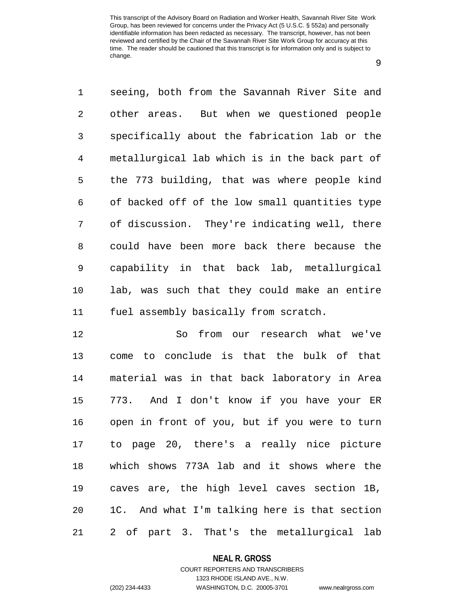9

1 seeing, both from the Savannah River Site and 2 other areas. But when we questioned people 3 specifically about the fabrication lab or the 4 metallurgical lab which is in the back part of 5 the 773 building, that was where people kind 6 of backed off of the low small quantities type 7 of discussion. They're indicating well, there 8 could have been more back there because the 9 capability in that back lab, metallurgical 10 lab, was such that they could make an entire 11 fuel assembly basically from scratch.

12 So from our research what we've 13 come to conclude is that the bulk of that 14 material was in that back laboratory in Area 15 773. And I don't know if you have your ER 16 open in front of you, but if you were to turn 17 to page 20, there's a really nice picture 18 which shows 773A lab and it shows where the 19 caves are, the high level caves section 1B, 20 1C. And what I'm talking here is that section 21 2 of part 3. That's the metallurgical lab

#### **NEAL R. GROSS**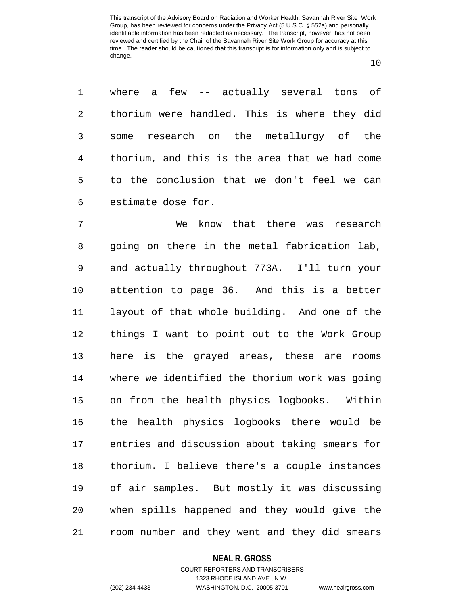10

1 where a few -- actually several tons of 2 thorium were handled. This is where they did 3 some research on the metallurgy of the 4 thorium, and this is the area that we had come 5 to the conclusion that we don't feel we can 6 estimate dose for.

7 We know that there was research 8 going on there in the metal fabrication lab, 9 and actually throughout 773A. I'll turn your 10 attention to page 36. And this is a better 11 layout of that whole building. And one of the 12 things I want to point out to the Work Group 13 here is the grayed areas, these are rooms 14 where we identified the thorium work was going 15 on from the health physics logbooks. Within 16 the health physics logbooks there would be 17 entries and discussion about taking smears for 18 thorium. I believe there's a couple instances 19 of air samples. But mostly it was discussing 20 when spills happened and they would give the 21 room number and they went and they did smears

#### **NEAL R. GROSS**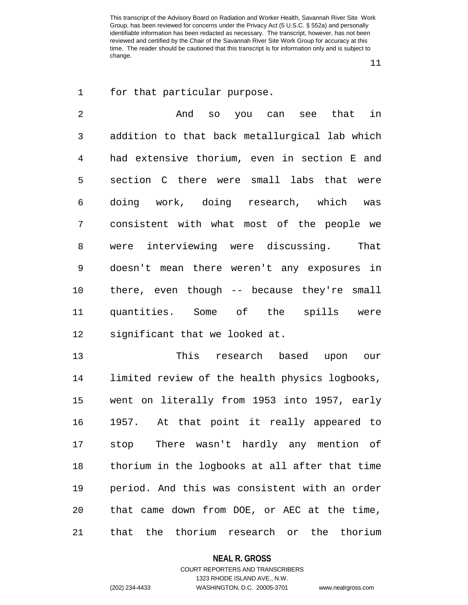11

1 for that particular purpose.

2 And so you can see that in 3 addition to that back metallurgical lab which 4 had extensive thorium, even in section E and 5 section C there were small labs that were 6 doing work, doing research, which was 7 consistent with what most of the people we 8 were interviewing were discussing. That 9 doesn't mean there weren't any exposures in 10 there, even though -- because they're small 11 quantities. Some of the spills were 12 significant that we looked at.

13 This research based upon our 14 limited review of the health physics logbooks, 15 went on literally from 1953 into 1957, early 16 1957. At that point it really appeared to 17 stop There wasn't hardly any mention of 18 thorium in the logbooks at all after that time 19 period. And this was consistent with an order 20 that came down from DOE, or AEC at the time, 21 that the thorium research or the thorium

#### **NEAL R. GROSS**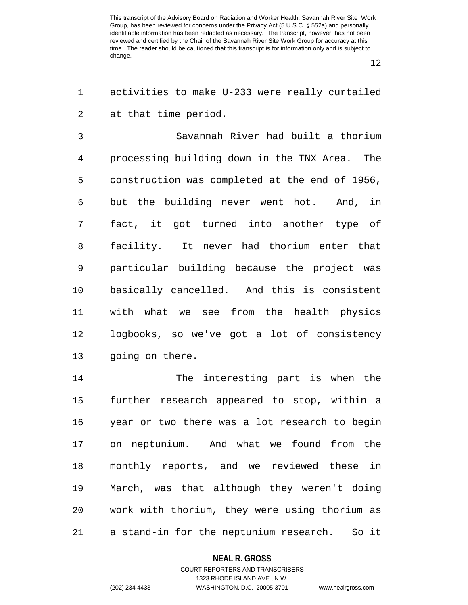12

1 activities to make U-233 were really curtailed 2 at that time period.

3 Savannah River had built a thorium 4 processing building down in the TNX Area. The 5 construction was completed at the end of 1956, 6 but the building never went hot. And, in 7 fact, it got turned into another type of 8 facility. It never had thorium enter that 9 particular building because the project was 10 basically cancelled. And this is consistent 11 with what we see from the health physics 12 logbooks, so we've got a lot of consistency 13 going on there.

14 The interesting part is when the 15 further research appeared to stop, within a 16 year or two there was a lot research to begin 17 on neptunium. And what we found from the 18 monthly reports, and we reviewed these in 19 March, was that although they weren't doing 20 work with thorium, they were using thorium as 21 a stand-in for the neptunium research. So it

#### **NEAL R. GROSS**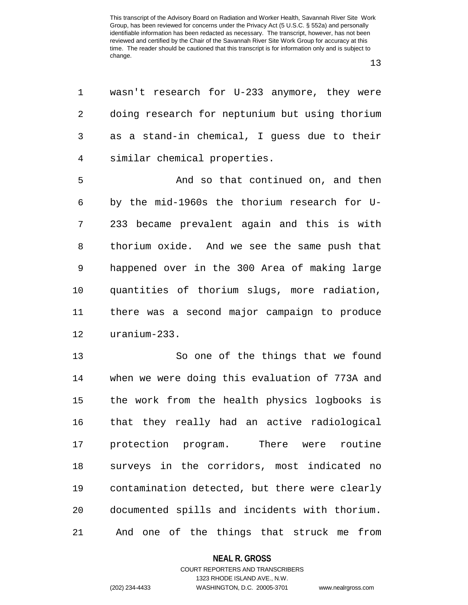13

1 wasn't research for U-233 anymore, they were 2 doing research for neptunium but using thorium 3 as a stand-in chemical, I guess due to their 4 similar chemical properties.

5 And so that continued on, and then 6 by the mid-1960s the thorium research for U-7 233 became prevalent again and this is with 8 thorium oxide. And we see the same push that 9 happened over in the 300 Area of making large 10 quantities of thorium slugs, more radiation, 11 there was a second major campaign to produce 12 uranium-233.

13 So one of the things that we found 14 when we were doing this evaluation of 773A and 15 the work from the health physics logbooks is 16 that they really had an active radiological 17 protection program. There were routine 18 surveys in the corridors, most indicated no 19 contamination detected, but there were clearly 20 documented spills and incidents with thorium. 21 And one of the things that struck me from

#### **NEAL R. GROSS**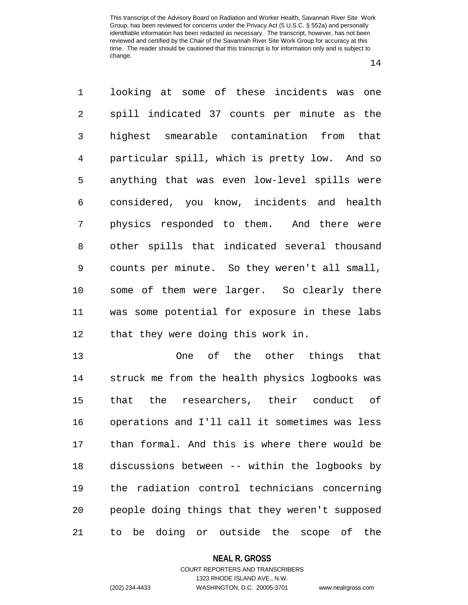14

1 looking at some of these incidents was one 2 spill indicated 37 counts per minute as the 3 highest smearable contamination from that 4 particular spill, which is pretty low. And so 5 anything that was even low-level spills were 6 considered, you know, incidents and health 7 physics responded to them. And there were 8 other spills that indicated several thousand 9 counts per minute. So they weren't all small, 10 some of them were larger. So clearly there 11 was some potential for exposure in these labs 12 that they were doing this work in.

13 One of the other things that 14 struck me from the health physics logbooks was 15 that the researchers, their conduct of 16 operations and I'll call it sometimes was less 17 than formal. And this is where there would be 18 discussions between -- within the logbooks by 19 the radiation control technicians concerning 20 people doing things that they weren't supposed 21 to be doing or outside the scope of the

#### **NEAL R. GROSS**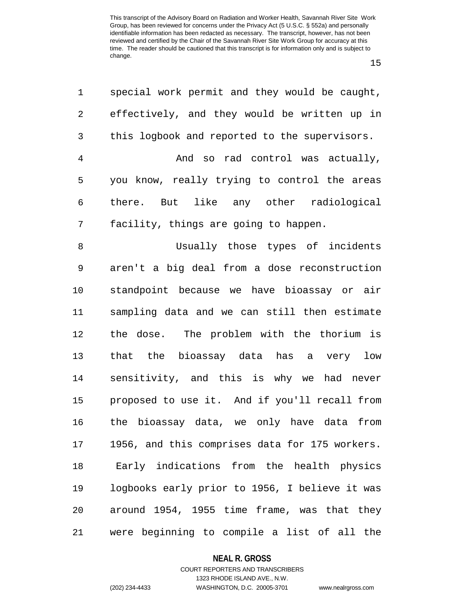15

| 1          | special work permit and they would be caught,  |
|------------|------------------------------------------------|
| $\sqrt{2}$ | effectively, and they would be written up in   |
| 3          | this logbook and reported to the supervisors.  |
| 4          | And so rad control was actually,               |
| 5          | you know, really trying to control the areas   |
| 6          | there. But like any other radiological         |
| 7          | facility, things are going to happen.          |
| 8          | Usually those types of incidents               |
| 9          | aren't a big deal from a dose reconstruction   |
| 10         | standpoint because we have bioassay or air     |
| 11         | sampling data and we can still then estimate   |
| 12         | the dose. The problem with the thorium is      |
| 13         | that the bioassay data has a very low          |
| 14         | sensitivity, and this is why we had never      |
| 15         | proposed to use it. And if you'll recall from  |
| 16         | the bioassay data, we only have data from      |
| 17         | 1956, and this comprises data for 175 workers. |
| 18         | Early indications from the health physics      |
| 19         | logbooks early prior to 1956, I believe it was |
| 20         | around 1954, 1955 time frame, was that they    |
| 21         | were beginning to compile a list of all the    |

## **NEAL R. GROSS**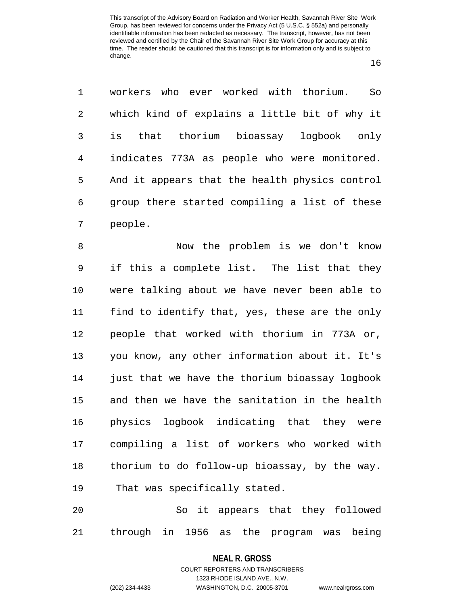16

1 workers who ever worked with thorium. So 2 which kind of explains a little bit of why it 3 is that thorium bioassay logbook only 4 indicates 773A as people who were monitored. 5 And it appears that the health physics control 6 group there started compiling a list of these 7 people.

8 Now the problem is we don't know 9 if this a complete list. The list that they 10 were talking about we have never been able to 11 find to identify that, yes, these are the only 12 people that worked with thorium in 773A or, 13 you know, any other information about it. It's 14 just that we have the thorium bioassay logbook 15 and then we have the sanitation in the health 16 physics logbook indicating that they were 17 compiling a list of workers who worked with 18 thorium to do follow-up bioassay, by the way. 19 That was specifically stated.

20 So it appears that they followed 21 through in 1956 as the program was being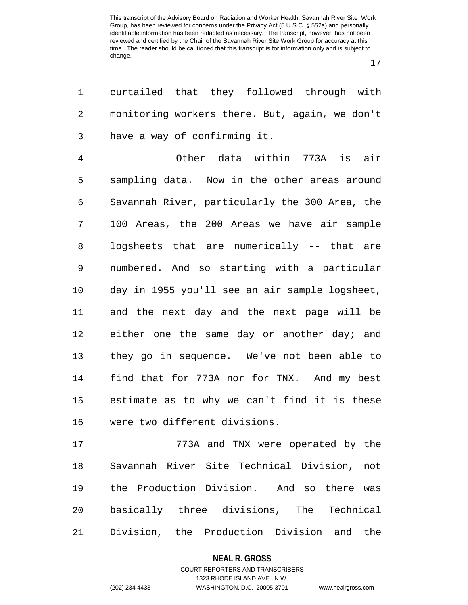17

1 curtailed that they followed through with 2 monitoring workers there. But, again, we don't 3 have a way of confirming it. 4 Other data within 773A is air 5 sampling data. Now in the other areas around 6 Savannah River, particularly the 300 Area, the 7 100 Areas, the 200 Areas we have air sample 8 logsheets that are numerically -- that are 9 numbered. And so starting with a particular 10 day in 1955 you'll see an air sample logsheet, 11 and the next day and the next page will be 12 either one the same day or another day; and 13 they go in sequence. We've not been able to 14 find that for 773A nor for TNX. And my best 15 estimate as to why we can't find it is these 16 were two different divisions.

17 773A and TNX were operated by the 18 Savannah River Site Technical Division, not 19 the Production Division. And so there was 20 basically three divisions, The Technical 21 Division, the Production Division and the

## **NEAL R. GROSS** COURT REPORTERS AND TRANSCRIBERS

## 1323 RHODE ISLAND AVE., N.W. (202) 234-4433 WASHINGTON, D.C. 20005-3701 www.nealrgross.com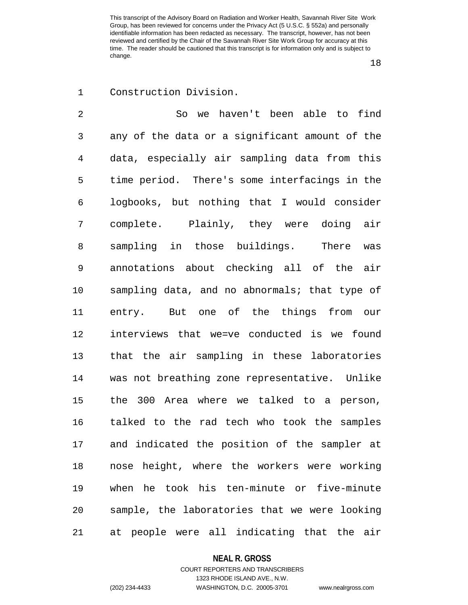18

## 1 Construction Division.

2 So we haven't been able to find 3 any of the data or a significant amount of the 4 data, especially air sampling data from this 5 time period. There's some interfacings in the 6 logbooks, but nothing that I would consider 7 complete. Plainly, they were doing air 8 sampling in those buildings. There was 9 annotations about checking all of the air 10 sampling data, and no abnormals; that type of 11 entry. But one of the things from our 12 interviews that we=ve conducted is we found 13 that the air sampling in these laboratories 14 was not breathing zone representative. Unlike 15 the 300 Area where we talked to a person, 16 talked to the rad tech who took the samples 17 and indicated the position of the sampler at 18 nose height, where the workers were working 19 when he took his ten-minute or five-minute 20 sample, the laboratories that we were looking 21 at people were all indicating that the air

#### **NEAL R. GROSS**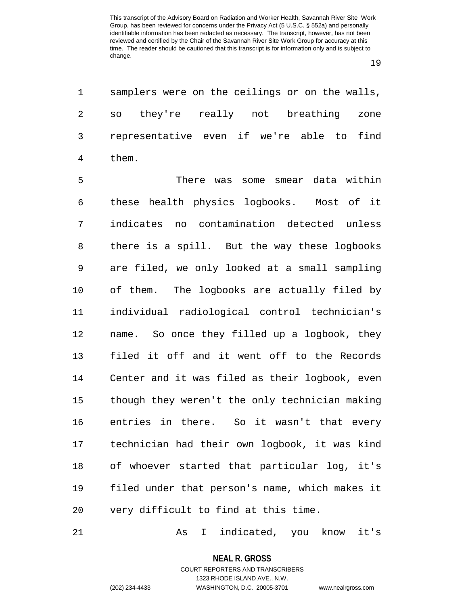19

1 samplers were on the ceilings or on the walls, 2 so they're really not breathing zone 3 representative even if we're able to find 4 them.

5 There was some smear data within 6 these health physics logbooks. Most of it 7 indicates no contamination detected unless 8 there is a spill. But the way these logbooks 9 are filed, we only looked at a small sampling 10 of them. The logbooks are actually filed by 11 individual radiological control technician's 12 name. So once they filled up a logbook, they 13 filed it off and it went off to the Records 14 Center and it was filed as their logbook, even 15 though they weren't the only technician making 16 entries in there. So it wasn't that every 17 technician had their own logbook, it was kind 18 of whoever started that particular log, it's 19 filed under that person's name, which makes it 20 very difficult to find at this time.

21 As I indicated, you know it's

**NEAL R. GROSS** COURT REPORTERS AND TRANSCRIBERS

1323 RHODE ISLAND AVE., N.W. (202) 234-4433 WASHINGTON, D.C. 20005-3701 www.nealrgross.com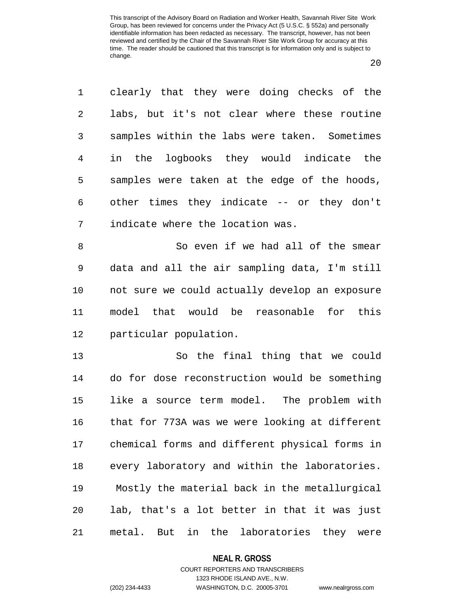20

1 clearly that they were doing checks of the 2 labs, but it's not clear where these routine 3 samples within the labs were taken. Sometimes 4 in the logbooks they would indicate the 5 samples were taken at the edge of the hoods, 6 other times they indicate -- or they don't 7 indicate where the location was.

8 So even if we had all of the smear 9 data and all the air sampling data, I'm still 10 not sure we could actually develop an exposure 11 model that would be reasonable for this 12 particular population.

13 So the final thing that we could 14 do for dose reconstruction would be something 15 like a source term model. The problem with 16 that for 773A was we were looking at different 17 chemical forms and different physical forms in 18 every laboratory and within the laboratories. 19 Mostly the material back in the metallurgical 20 lab, that's a lot better in that it was just 21 metal. But in the laboratories they were

## **NEAL R. GROSS** COURT REPORTERS AND TRANSCRIBERS

1323 RHODE ISLAND AVE., N.W. (202) 234-4433 WASHINGTON, D.C. 20005-3701 www.nealrgross.com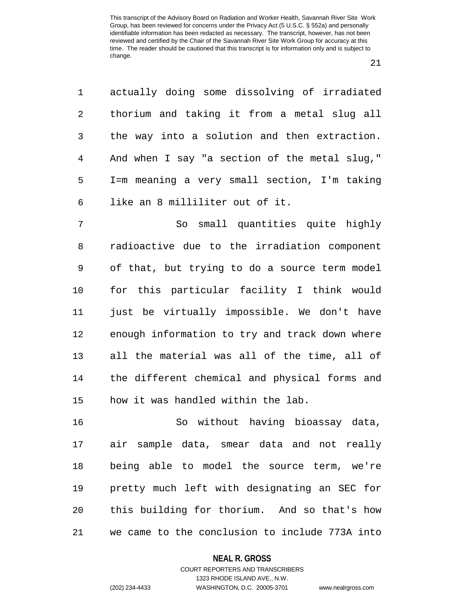21

| 1  | actually doing some dissolving of irradiated   |
|----|------------------------------------------------|
| 2  | thorium and taking it from a metal slug all    |
| 3  | the way into a solution and then extraction.   |
| 4  | And when I say "a section of the metal slug,"  |
| 5  | I=m meaning a very small section, I'm taking   |
| 6  | like an 8 milliliter out of it.                |
| 7  | So small quantities quite highly               |
| 8  | radioactive due to the irradiation component   |
| 9  | of that, but trying to do a source term model  |
| 10 | for this particular facility I think would     |
| 11 | just be virtually impossible. We don't have    |
| 12 | enough information to try and track down where |
| 13 | all the material was all of the time, all of   |
| 14 | the different chemical and physical forms and  |
| 15 | how it was handled within the lab.             |
| 16 | So without having bioassay data,               |
| 17 | air sample data, smear data and not really     |
| 18 | being able to model the source term, we're     |
| 19 | pretty much left with designating an SEC for   |

20 this building for thorium. And so that's how 21 we came to the conclusion to include 773A into

#### **NEAL R. GROSS**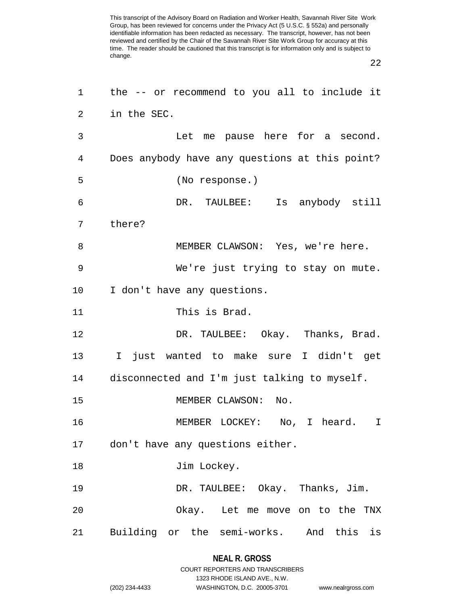22

| 1  | the -- or recommend to you all to include it   |
|----|------------------------------------------------|
| 2  | in the SEC.                                    |
| 3  | Let me pause here for a second.                |
| 4  | Does anybody have any questions at this point? |
| 5  | (No response.)                                 |
| 6  | DR. TAULBEE: Is anybody still                  |
| 7  | there?                                         |
| 8  | MEMBER CLAWSON: Yes, we're here.               |
| 9  | We're just trying to stay on mute.             |
| 10 | I don't have any questions.                    |
| 11 | This is Brad.                                  |
| 12 | DR. TAULBEE: Okay. Thanks, Brad.               |
| 13 | I just wanted to make sure I didn't get        |
| 14 | disconnected and I'm just talking to myself.   |
| 15 | MEMBER CLAWSON:<br>No.                         |
| 16 | MEMBER LOCKEY: No, I heard. I                  |
| 17 | don't have any questions either.               |
| 18 | Jim Lockey.                                    |
| 19 | DR. TAULBEE: Okay. Thanks, Jim.                |
| 20 | Okay. Let me move on to the TNX                |
| 21 | Building or the semi-works. And this is        |
|    |                                                |

## **NEAL R. GROSS** COURT REPORTERS AND TRANSCRIBERS

1323 RHODE ISLAND AVE., N.W.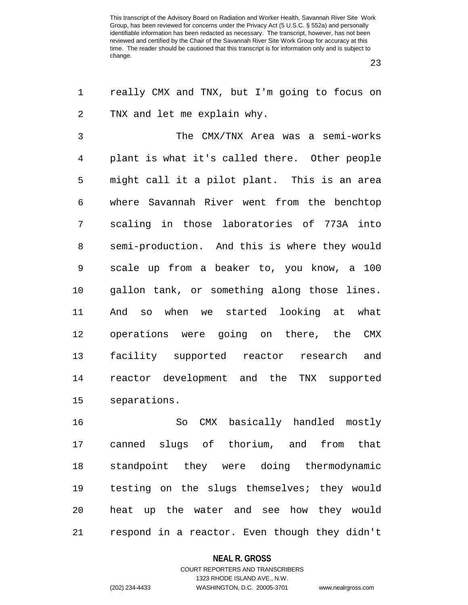23

1 really CMX and TNX, but I'm going to focus on 2 TNX and let me explain why.

3 The CMX/TNX Area was a semi-works 4 plant is what it's called there. Other people 5 might call it a pilot plant. This is an area 6 where Savannah River went from the benchtop 7 scaling in those laboratories of 773A into 8 semi-production. And this is where they would 9 scale up from a beaker to, you know, a 100 10 gallon tank, or something along those lines. 11 And so when we started looking at what 12 operations were going on there, the CMX 13 facility supported reactor research and 14 reactor development and the TNX supported 15 separations.

16 So CMX basically handled mostly 17 canned slugs of thorium, and from that 18 standpoint they were doing thermodynamic 19 testing on the slugs themselves; they would 20 heat up the water and see how they would 21 respond in a reactor. Even though they didn't

#### **NEAL R. GROSS**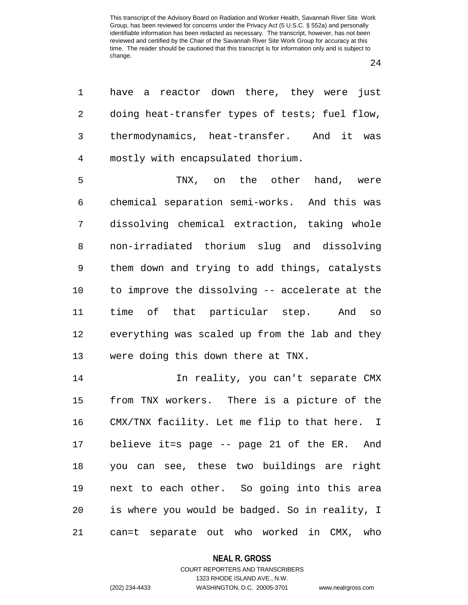24

1 have a reactor down there, they were just 2 doing heat-transfer types of tests; fuel flow, 3 thermodynamics, heat-transfer. And it was 4 mostly with encapsulated thorium.

5 TNX, on the other hand, were 6 chemical separation semi-works. And this was 7 dissolving chemical extraction, taking whole 8 non-irradiated thorium slug and dissolving 9 them down and trying to add things, catalysts 10 to improve the dissolving -- accelerate at the 11 time of that particular step. And so 12 everything was scaled up from the lab and they 13 were doing this down there at TNX.

14 In reality, you can't separate CMX 15 from TNX workers. There is a picture of the 16 CMX/TNX facility. Let me flip to that here. I 17 believe it=s page -- page 21 of the ER. And 18 you can see, these two buildings are right 19 next to each other. So going into this area 20 is where you would be badged. So in reality, I 21 can=t separate out who worked in CMX, who

#### **NEAL R. GROSS**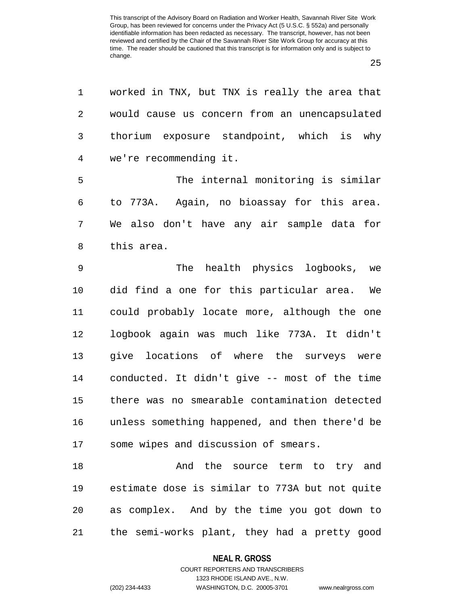25

1 worked in TNX, but TNX is really the area that 2 would cause us concern from an unencapsulated 3 thorium exposure standpoint, which is why 4 we're recommending it. 5 The internal monitoring is similar 6 to 773A. Again, no bioassay for this area. 7 We also don't have any air sample data for 8 this area. 9 The health physics logbooks, we 10 did find a one for this particular area. We 11 could probably locate more, although the one 12 logbook again was much like 773A. It didn't 13 give locations of where the surveys were 14 conducted. It didn't give -- most of the time 15 there was no smearable contamination detected 16 unless something happened, and then there'd be 17 some wipes and discussion of smears. 18 And the source term to try and 19 estimate dose is similar to 773A but not quite 20 as complex. And by the time you got down to 21 the semi-works plant, they had a pretty good

#### **NEAL R. GROSS**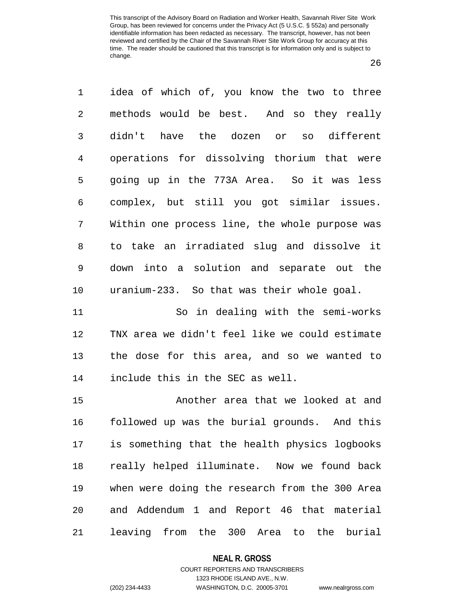26

1 idea of which of, you know the two to three 2 methods would be best. And so they really 3 didn't have the dozen or so different 4 operations for dissolving thorium that were 5 going up in the 773A Area. So it was less 6 complex, but still you got similar issues. 7 Within one process line, the whole purpose was 8 to take an irradiated slug and dissolve it 9 down into a solution and separate out the 10 uranium-233. So that was their whole goal. 11 So in dealing with the semi-works

12 TNX area we didn't feel like we could estimate 13 the dose for this area, and so we wanted to 14 include this in the SEC as well.

15 Another area that we looked at and 16 followed up was the burial grounds. And this 17 is something that the health physics logbooks 18 really helped illuminate. Now we found back 19 when were doing the research from the 300 Area 20 and Addendum 1 and Report 46 that material 21 leaving from the 300 Area to the burial

## **NEAL R. GROSS** COURT REPORTERS AND TRANSCRIBERS

1323 RHODE ISLAND AVE., N.W.

(202) 234-4433 WASHINGTON, D.C. 20005-3701 www.nealrgross.com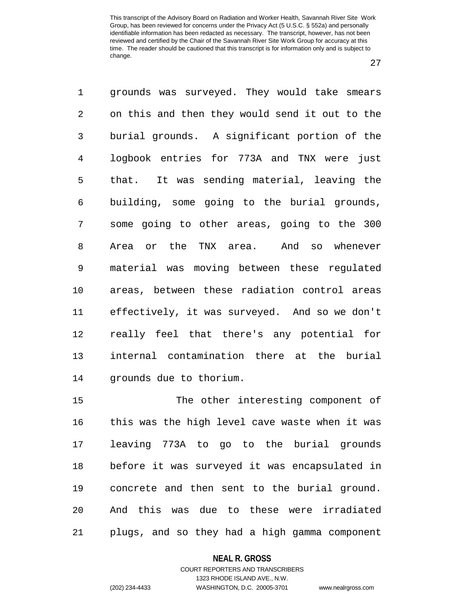27

1 grounds was surveyed. They would take smears 2 on this and then they would send it out to the 3 burial grounds. A significant portion of the 4 logbook entries for 773A and TNX were just 5 that. It was sending material, leaving the 6 building, some going to the burial grounds, 7 some going to other areas, going to the 300 8 Area or the TNX area. And so whenever 9 material was moving between these regulated 10 areas, between these radiation control areas 11 effectively, it was surveyed. And so we don't 12 really feel that there's any potential for 13 internal contamination there at the burial 14 grounds due to thorium.

15 The other interesting component of 16 this was the high level cave waste when it was 17 leaving 773A to go to the burial grounds 18 before it was surveyed it was encapsulated in 19 concrete and then sent to the burial ground. 20 And this was due to these were irradiated 21 plugs, and so they had a high gamma component

#### **NEAL R. GROSS**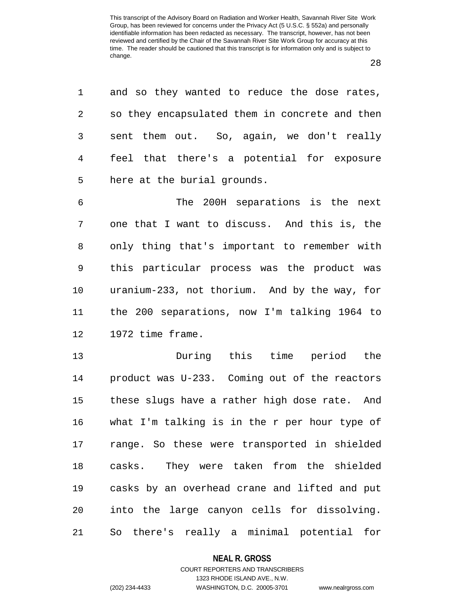1 and so they wanted to reduce the dose rates,

28

2 so they encapsulated them in concrete and then 3 sent them out. So, again, we don't really 4 feel that there's a potential for exposure 5 here at the burial grounds. 6 The 200H separations is the next 7 one that I want to discuss. And this is, the 8 only thing that's important to remember with 9 this particular process was the product was 10 uranium-233, not thorium. And by the way, for 11 the 200 separations, now I'm talking 1964 to 12 1972 time frame. 13 During this time period the 14 product was U-233. Coming out of the reactors 15 these slugs have a rather high dose rate. And 16 what I'm talking is in the r per hour type of 17 range. So these were transported in shielded 18 casks. They were taken from the shielded 19 casks by an overhead crane and lifted and put 20 into the large canyon cells for dissolving. 21 So there's really a minimal potential for

**NEAL R. GROSS**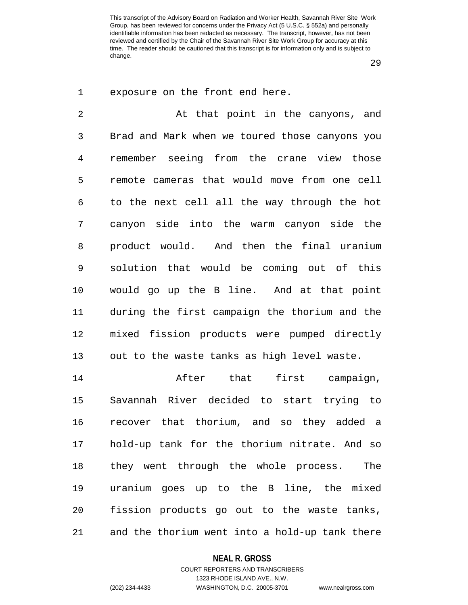29

1 exposure on the front end here.

2 at that point in the canyons, and 3 Brad and Mark when we toured those canyons you 4 remember seeing from the crane view those 5 remote cameras that would move from one cell 6 to the next cell all the way through the hot 7 canyon side into the warm canyon side the 8 product would. And then the final uranium 9 solution that would be coming out of this 10 would go up the B line. And at that point 11 during the first campaign the thorium and the 12 mixed fission products were pumped directly 13 out to the waste tanks as high level waste.

14 After that first campaign, 15 Savannah River decided to start trying to 16 recover that thorium, and so they added a 17 hold-up tank for the thorium nitrate. And so 18 they went through the whole process. The 19 uranium goes up to the B line, the mixed 20 fission products go out to the waste tanks, 21 and the thorium went into a hold-up tank there

#### **NEAL R. GROSS**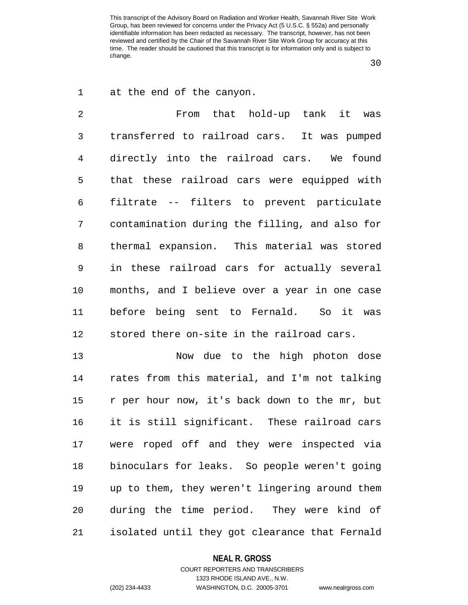30

| $\mathbf 1$    | at the end of the canyon.                      |
|----------------|------------------------------------------------|
| $\overline{2}$ | From that hold-up tank it was                  |
| 3              | transferred to railroad cars. It was pumped    |
| 4              | directly into the railroad cars. We found      |
| 5              | that these railroad cars were equipped with    |
| $\epsilon$     | filtrate -- filters to prevent particulate     |
| 7              | contamination during the filling, and also for |
| 8              | thermal expansion. This material was stored    |
| 9              | in these railroad cars for actually several    |
| 10             | months, and I believe over a year in one case  |
| 11             | before being sent to Fernald. So it was        |
| 12             | stored there on-site in the railroad cars.     |
| 13             | Now due to the high photon dose                |
| 14             | rates from this material, and I'm not talking  |
| 15             | r per hour now, it's back down to the mr, but  |
| 16             | it is still significant. These railroad cars   |

16 it is still significant. These railroad cars 17 were roped off and they were inspected via 18 binoculars for leaks. So people weren't going 19 up to them, they weren't lingering around them 20 during the time period. They were kind of 21 isolated until they got clearance that Fernald

#### **NEAL R. GROSS**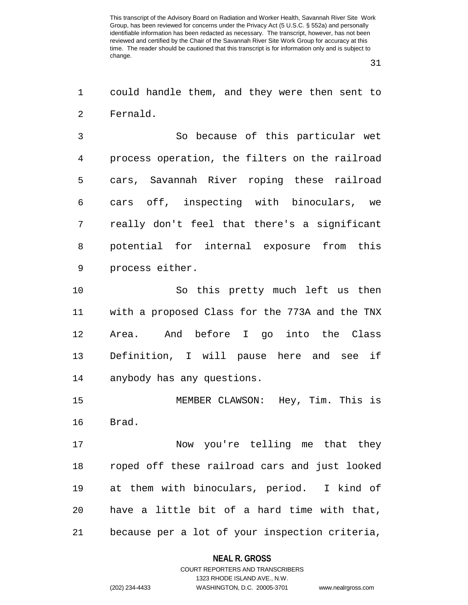31

1 could handle them, and they were then sent to 2 Fernald.

3 So because of this particular wet 4 process operation, the filters on the railroad 5 cars, Savannah River roping these railroad 6 cars off, inspecting with binoculars, we 7 really don't feel that there's a significant 8 potential for internal exposure from this 9 process either.

10 So this pretty much left us then 11 with a proposed Class for the 773A and the TNX 12 Area. And before I go into the Class 13 Definition, I will pause here and see if 14 anybody has any questions.

15 MEMBER CLAWSON: Hey, Tim. This is 16 Brad.

17 Now you're telling me that they 18 roped off these railroad cars and just looked 19 at them with binoculars, period. I kind of 20 have a little bit of a hard time with that, 21 because per a lot of your inspection criteria,

#### **NEAL R. GROSS**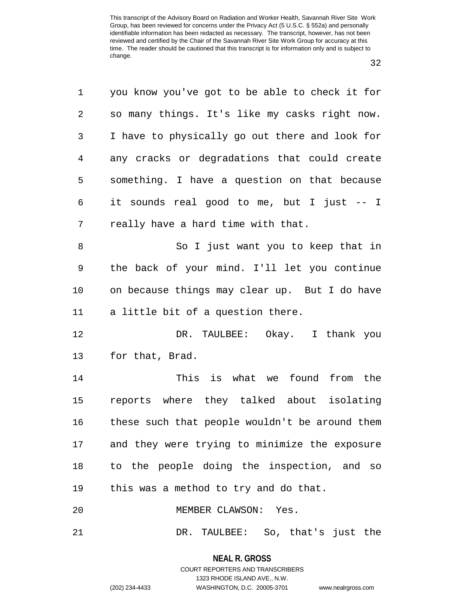32

| 1              | you know you've got to be able to check it for |
|----------------|------------------------------------------------|
| $\overline{2}$ | so many things. It's like my casks right now.  |
| 3              | I have to physically go out there and look for |
| 4              | any cracks or degradations that could create   |
| 5              | something. I have a question on that because   |
| 6              | it sounds real good to me, but I just -- I     |
| 7              | really have a hard time with that.             |
| 8              | So I just want you to keep that in             |
| 9              | the back of your mind. I'll let you continue   |
| 10             | on because things may clear up. But I do have  |
| 11             | a little bit of a question there.              |
| 12             | DR. TAULBEE: Okay. I thank you                 |
| 13             | for that, Brad.                                |
| 14             | This is what we found from the                 |
| 15             | reports where they talked about isolating      |
| 16             | these such that people wouldn't be around them |
| 17             | and they were trying to minimize the exposure  |
| 18             | to the people doing the inspection, and so     |
| 19             | this was a method to try and do that.          |
| 20             | MEMBER CLAWSON: Yes.                           |
| 21             | DR. TAULBEE: So, that's just the               |

**NEAL R. GROSS** COURT REPORTERS AND TRANSCRIBERS 1323 RHODE ISLAND AVE., N.W.

(202) 234-4433 WASHINGTON, D.C. 20005-3701 www.nealrgross.com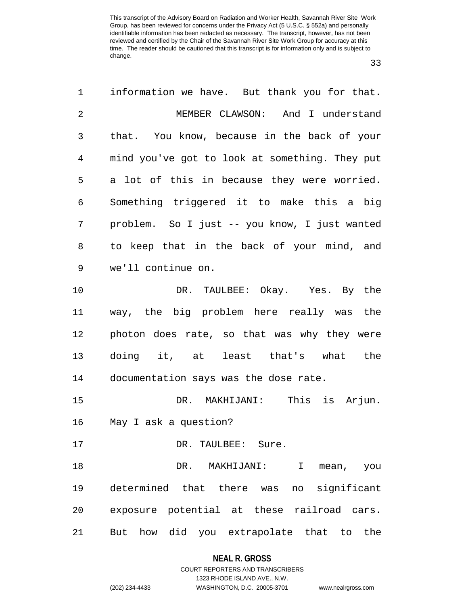33

1 information we have. But thank you for that. 2 MEMBER CLAWSON: And I understand 3 that. You know, because in the back of your 4 mind you've got to look at something. They put 5 a lot of this in because they were worried. 6 Something triggered it to make this a big 7 problem. So I just -- you know, I just wanted 8 to keep that in the back of your mind, and 9 we'll continue on. 10 DR. TAULBEE: Okay. Yes. By the 11 way, the big problem here really was the 12 photon does rate, so that was why they were 13 doing it, at least that's what the 14 documentation says was the dose rate. 15 DR. MAKHIJANI: This is Arjun. 16 May I ask a question? 17 DR. TAULBEE: Sure. 18 DR. MAKHIJANI: I mean, you 19 determined that there was no significant 20 exposure potential at these railroad cars. 21 But how did you extrapolate that to the

#### **NEAL R. GROSS**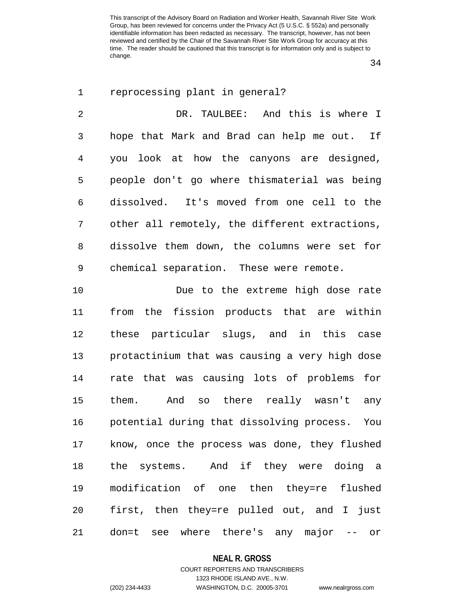34

| $\mathbf 1$    | reprocessing plant in general?                 |
|----------------|------------------------------------------------|
| $\overline{2}$ | DR. TAULBEE: And this is where I               |
| 3              | hope that Mark and Brad can help me out. If    |
| 4              | you look at how the canyons are designed,      |
| 5              | people don't go where thismaterial was being   |
| 6              | dissolved. It's moved from one cell to the     |
| 7              | other all remotely, the different extractions, |
| 8              | dissolve them down, the columns were set for   |
| 9              | chemical separation. These were remote.        |
| 10             | Due to the extreme high dose rate              |
| 11             | the fission products that are within<br>from   |
| 12             | these particular slugs, and in this case       |
| 13             | protactinium that was causing a very high dose |
| 14             | rate that was causing lots of problems<br>for  |
| 15             | them. And so there really wasn't<br>any        |
| 16             | potential during that dissolving process. You  |
| 17             | know, once the process was done, they flushed  |
| 18             | the systems. And if they were doing a          |
| 19             | modification of one then they=re flushed       |
| 20             | first, then they=re pulled out, and I just     |

21 don=t see where there's any major -- or

## **NEAL R. GROSS**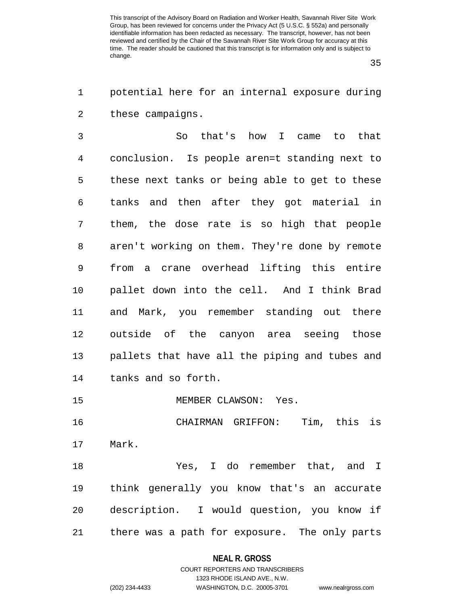35

1 potential here for an internal exposure during 2 these campaigns.

3 So that's how I came to that 4 conclusion. Is people aren=t standing next to 5 these next tanks or being able to get to these 6 tanks and then after they got material in 7 them, the dose rate is so high that people 8 aren't working on them. They're done by remote 9 from a crane overhead lifting this entire 10 pallet down into the cell. And I think Brad 11 and Mark, you remember standing out there 12 outside of the canyon area seeing those 13 pallets that have all the piping and tubes and 14 tanks and so forth.

15 MEMBER CLAWSON: Yes.

16 CHAIRMAN GRIFFON: Tim, this is 17 Mark.

18 Yes, I do remember that, and I 19 think generally you know that's an accurate 20 description. I would question, you know if 21 there was a path for exposure. The only parts

#### **NEAL R. GROSS**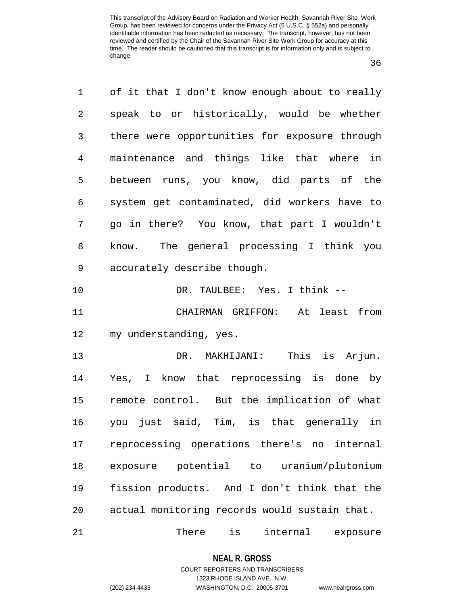36

1 of it that I don't know enough about to really 2 speak to or historically, would be whether 3 there were opportunities for exposure through 4 maintenance and things like that where in 5 between runs, you know, did parts of the 6 system get contaminated, did workers have to 7 go in there? You know, that part I wouldn't 8 know. The general processing I think you 9 accurately describe though. 10 DR. TAULBEE: Yes. I think --11 CHAIRMAN GRIFFON: At least from 12 my understanding, yes. 13 DR. MAKHIJANI: This is Arjun. 14 Yes, I know that reprocessing is done by 15 remote control. But the implication of what 16 you just said, Tim, is that generally in 17 reprocessing operations there's no internal 18 exposure potential to uranium/plutonium 19 fission products. And I don't think that the 20 actual monitoring records would sustain that. 21 There is internal exposure

#### **NEAL R. GROSS**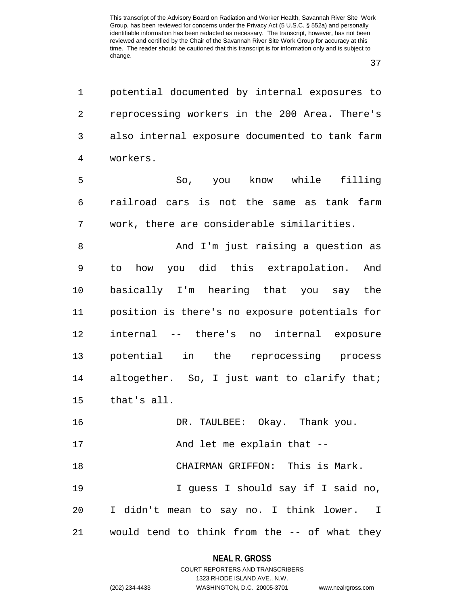1 potential documented by internal exposures to

37

2 reprocessing workers in the 200 Area. There's 3 also internal exposure documented to tank farm 4 workers. 5 So, you know while filling 6 railroad cars is not the same as tank farm 7 work, there are considerable similarities. 8 And I'm just raising a question as 9 to how you did this extrapolation. And 10 basically I'm hearing that you say the 11 position is there's no exposure potentials for 12 internal -- there's no internal exposure 13 potential in the reprocessing process 14 altogether. So, I just want to clarify that; 15 that's all. 16 DR. TAULBEE: Okay. Thank you. 17 And let me explain that --18 CHAIRMAN GRIFFON: This is Mark. 19 I guess I should say if I said no, 20 I didn't mean to say no. I think lower. I 21 would tend to think from the -- of what they

#### **NEAL R. GROSS**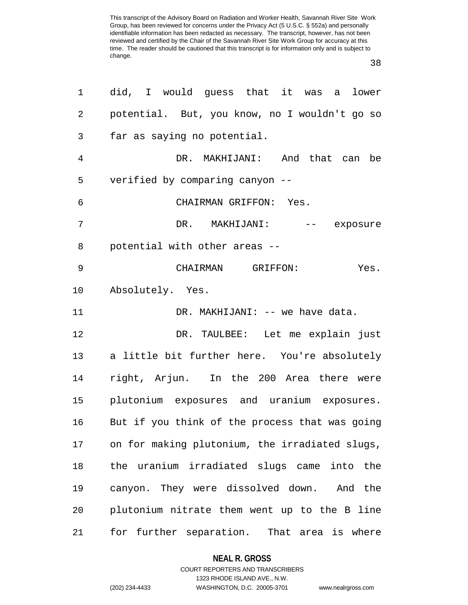38

| 1              | did, I would guess that it was a lower           |
|----------------|--------------------------------------------------|
| $\overline{2}$ | potential. But, you know, no I wouldn't go so    |
| 3              | far as saying no potential.                      |
| 4              | DR. MAKHIJANI: And that can be                   |
| 5              | verified by comparing canyon --                  |
| 6              | CHAIRMAN GRIFFON: Yes.                           |
| 7              | DR. MAKHIJANI: -- exposure                       |
| 8              | potential with other areas --                    |
| 9              | CHAIRMAN GRIFFON:<br>Yes.                        |
| $10 \,$        | Absolutely. Yes.                                 |
| 11             | DR. MAKHIJANI: -- we have data.                  |
| 12             | DR. TAULBEE: Let me explain just                 |
| 13             | a little bit further here. You're absolutely     |
| 14             | right, Arjun. In the 200 Area there were         |
| 15             | plutonium exposures and uranium exposures.       |
| 16             | But if you think of the process that was going   |
| 17             | on for making plutonium, the irradiated slugs,   |
| 18             | the uranium irradiated slugs came<br>into<br>the |
| 19             | canyon. They were dissolved down. And the        |
| 20             | plutonium nitrate them went up to the B line     |
| 21             | for further separation.<br>That area is where    |

### **NEAL R. GROSS**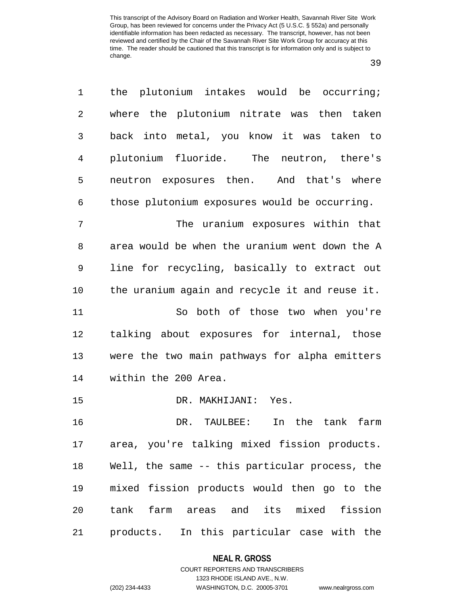39

| 1              | the plutonium intakes would be occurring;      |
|----------------|------------------------------------------------|
| 2              | where the plutonium nitrate was then taken     |
| 3              | back into metal, you know it was taken to      |
| $\overline{4}$ | plutonium fluoride. The neutron, there's       |
| 5              | neutron exposures then. And that's where       |
| 6              | those plutonium exposures would be occurring.  |
| 7              | The uranium exposures within that              |
| 8              | area would be when the uranium went down the A |
| 9              | line for recycling, basically to extract out   |
| 10             | the uranium again and recycle it and reuse it. |
| 11             | So both of those two when you're               |
| 12             | talking about exposures for internal, those    |
| 13             | were the two main pathways for alpha emitters  |
| 14             | within the 200 Area.                           |
| 15             | DR. MAKHIJANI: Yes.                            |
| 16             | In the tank<br>DR. TAULBEE:<br>farm            |
| 17             | area, you're talking mixed fission products.   |
| 18             | Well, the same -- this particular process, the |
| 19             | mixed fission products would then go to the    |
| 20             | tank farm areas and its mixed fission          |
| 21             | products.<br>In this particular case with the  |

# **NEAL R. GROSS** COURT REPORTERS AND TRANSCRIBERS

1323 RHODE ISLAND AVE., N.W. (202) 234-4433 WASHINGTON, D.C. 20005-3701 www.nealrgross.com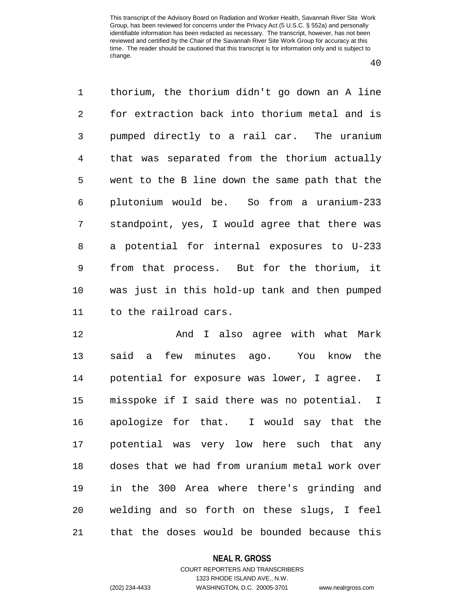40

1 thorium, the thorium didn't go down an A line 2 for extraction back into thorium metal and is 3 pumped directly to a rail car. The uranium 4 that was separated from the thorium actually 5 went to the B line down the same path that the 6 plutonium would be. So from a uranium-233 7 standpoint, yes, I would agree that there was 8 a potential for internal exposures to U-233 9 from that process. But for the thorium, it 10 was just in this hold-up tank and then pumped 11 to the railroad cars.

12 And I also agree with what Mark 13 said a few minutes ago. You know the 14 potential for exposure was lower, I agree. I 15 misspoke if I said there was no potential. I 16 apologize for that. I would say that the 17 potential was very low here such that any 18 doses that we had from uranium metal work over 19 in the 300 Area where there's grinding and 20 welding and so forth on these slugs, I feel 21 that the doses would be bounded because this

#### **NEAL R. GROSS**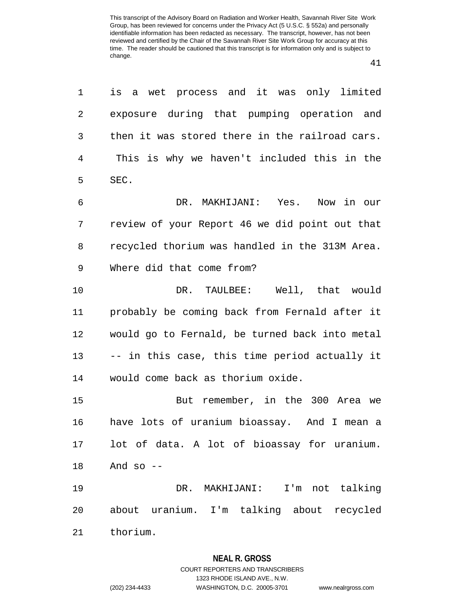41

| 1  | is a wet process and it was only limited       |
|----|------------------------------------------------|
| 2  | exposure during that pumping operation and     |
| 3  | then it was stored there in the railroad cars. |
| 4  | This is why we haven't included this in the    |
| 5  | SEC.                                           |
| 6  | DR. MAKHIJANI: Yes. Now in our                 |
| 7  | review of your Report 46 we did point out that |
| 8  | recycled thorium was handled in the 313M Area. |
| 9  | Where did that come from?                      |
| 10 | DR. TAULBEE: Well, that would                  |
| 11 | probably be coming back from Fernald after it  |
| 12 | would go to Fernald, be turned back into metal |
| 13 | -- in this case, this time period actually it  |
| 14 | would come back as thorium oxide.              |
| 15 | But remember, in the 300 Area we               |
| 16 | have lots of uranium bioassay. And I mean a    |
|    | 17 lot of data. A lot of bioassay for uranium. |
| 18 | And so --                                      |
| 19 | DR. MAKHIJANI: I'm not talking                 |
| 20 | about uranium. I'm talking about recycled      |
| 21 | thorium.                                       |

### **NEAL R. GROSS**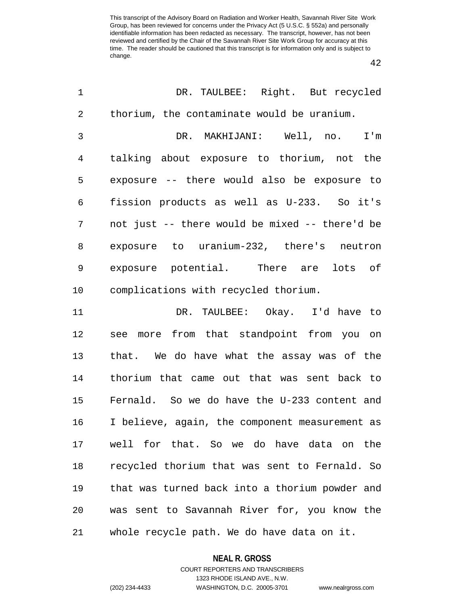42

| $\mathbf 1$    | DR. TAULBEE: Right. But recycled               |
|----------------|------------------------------------------------|
| 2              | thorium, the contaminate would be uranium.     |
| $\mathfrak{Z}$ | DR. MAKHIJANI: Well, no.<br>I'm                |
| 4              | talking about exposure to thorium, not the     |
| 5              | exposure -- there would also be exposure to    |
| 6              | fission products as well as U-233. So it's     |
| 7              | not just -- there would be mixed -- there'd be |
| 8              | exposure to uranium-232, there's neutron       |
| 9              | exposure potential. There are lots of          |
| 10             | complications with recycled thorium.           |
| 11             | DR. TAULBEE: Okay. I'd have to                 |
| 12             | see more from that standpoint from you on      |
| 13             | that. We do have what the assay was of the     |
| 14             | thorium that came out that was sent back to    |
| 15             | Fernald. So we do have the U-233 content and   |
| 16             | I believe, again, the component measurement as |
| 17             | well for that. So we do have data on the       |
| 18             | recycled thorium that was sent to Fernald. So  |
| 19             | that was turned back into a thorium powder and |
| 20             | was sent to Savannah River for, you know the   |
| 21             | whole recycle path. We do have data on it.     |

### **NEAL R. GROSS**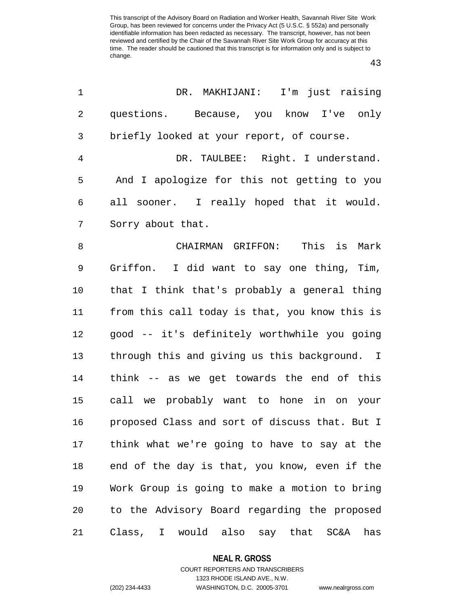43

| 1  | DR. MAKHIJANI: I'm just raising                |
|----|------------------------------------------------|
| 2  | questions. Because, you know I've only         |
| 3  | briefly looked at your report, of course.      |
| 4  | DR. TAULBEE: Right. I understand.              |
| 5  | And I apologize for this not getting to you    |
| 6  | all sooner. I really hoped that it would.      |
| 7  | Sorry about that.                              |
| 8  | CHAIRMAN GRIFFON: This is<br>Mark              |
| 9  | Griffon. I did want to say one thing, Tim,     |
| 10 | that I think that's probably a general thing   |
| 11 | from this call today is that, you know this is |
| 12 | good -- it's definitely worthwhile you going   |
| 13 | through this and giving us this background. I  |
| 14 | think -- as we get towards the end of this     |
| 15 | call we probably want to hone in on your       |
| 16 | proposed Class and sort of discuss that. But I |
| 17 | think what we're going to have to say at the   |
| 18 | end of the day is that, you know, even if the  |
| 19 | Work Group is going to make a motion to bring  |
| 20 | to the Advisory Board regarding the proposed   |
| 21 | Class, I would also say that SC&A has          |

## **NEAL R. GROSS**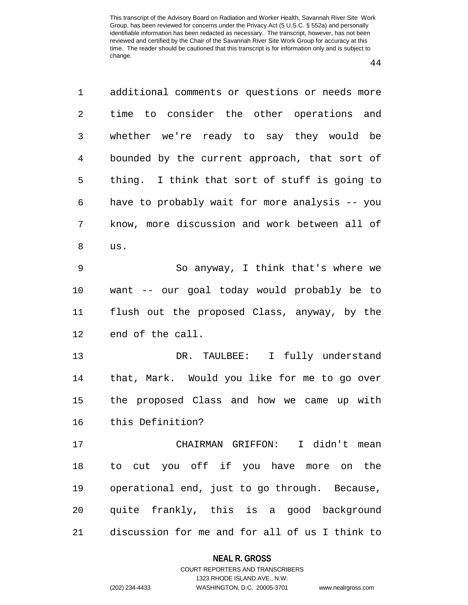44

1 additional comments or questions or needs more 2 time to consider the other operations and 3 whether we're ready to say they would be 4 bounded by the current approach, that sort of 5 thing. I think that sort of stuff is going to 6 have to probably wait for more analysis -- you 7 know, more discussion and work between all of 8 us. 9 So anyway, I think that's where we 10 want -- our goal today would probably be to 11 flush out the proposed Class, anyway, by the 12 end of the call. 13 DR. TAULBEE: I fully understand 14 that, Mark. Would you like for me to go over 15 the proposed Class and how we came up with 16 this Definition? 17 CHAIRMAN GRIFFON: I didn't mean 18 to cut you off if you have more on the 19 operational end, just to go through. Because, 20 quite frankly, this is a good background 21 discussion for me and for all of us I think to

#### **NEAL R. GROSS**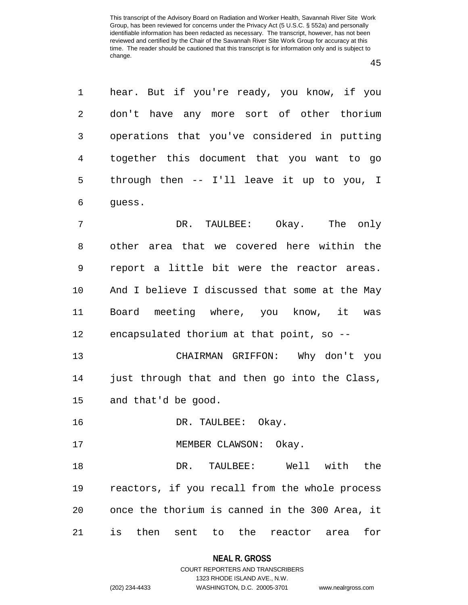45

| 1  | hear. But if you're ready, you know, if you         |
|----|-----------------------------------------------------|
| 2  | don't have any more sort of other thorium           |
| 3  | operations that you've considered in putting        |
| 4  | together this document that you want to go          |
| 5  | through then -- I'll leave it up to you, I          |
| 6  | guess.                                              |
| 7  | DR. TAULBEE: Okay. The only                         |
| 8  | other area that we covered here within the          |
| 9  | report a little bit were the reactor areas.         |
| 10 | And I believe I discussed that some at the May      |
| 11 | Board meeting where, you know, it was               |
| 12 | encapsulated thorium at that point, so --           |
| 13 | CHAIRMAN GRIFFON: Why don't you                     |
| 14 | just through that and then go into the Class,       |
| 15 | and that'd be good.                                 |
| 16 | DR. TAULBEE: Okay.                                  |
| 17 | MEMBER CLAWSON: Okay.                               |
| 18 | DR. TAULBEE: Well with the                          |
| 19 | reactors, if you recall from the whole process      |
| 20 | once the thorium is canned in the 300 Area, it      |
| 21 | is<br>then sent to<br>the<br>for<br>reactor<br>area |

**NEAL R. GROSS** COURT REPORTERS AND TRANSCRIBERS

1323 RHODE ISLAND AVE., N.W.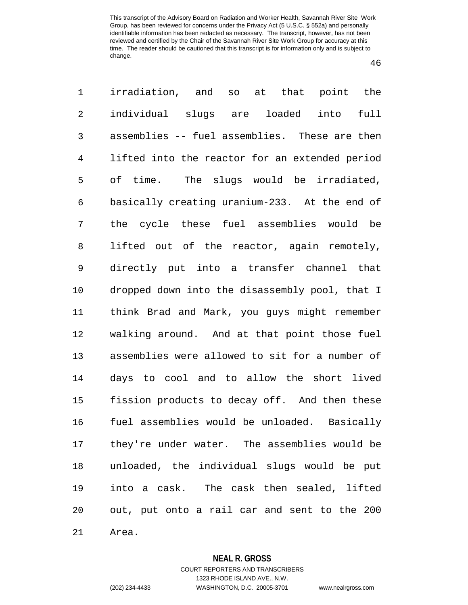46

1 irradiation, and so at that point the 2 individual slugs are loaded into full 3 assemblies -- fuel assemblies. These are then 4 lifted into the reactor for an extended period 5 of time. The slugs would be irradiated, 6 basically creating uranium-233. At the end of 7 the cycle these fuel assemblies would be 8 lifted out of the reactor, again remotely, 9 directly put into a transfer channel that 10 dropped down into the disassembly pool, that I 11 think Brad and Mark, you guys might remember 12 walking around. And at that point those fuel 13 assemblies were allowed to sit for a number of 14 days to cool and to allow the short lived 15 fission products to decay off. And then these 16 fuel assemblies would be unloaded. Basically 17 they're under water. The assemblies would be 18 unloaded, the individual slugs would be put 19 into a cask. The cask then sealed, lifted 20 out, put onto a rail car and sent to the 200 21 Area.

## **NEAL R. GROSS**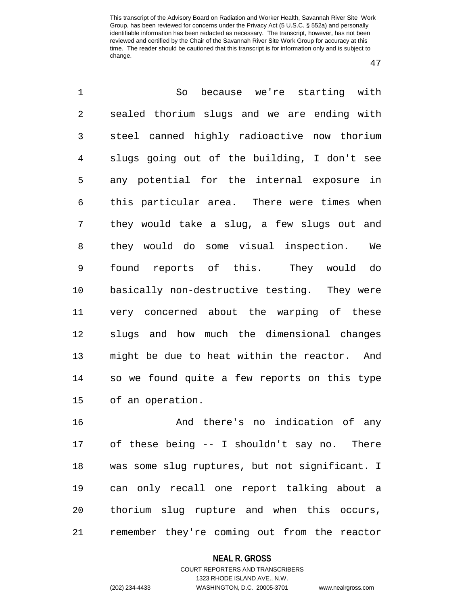47

1 So because we're starting with 2 sealed thorium slugs and we are ending with 3 steel canned highly radioactive now thorium 4 slugs going out of the building, I don't see 5 any potential for the internal exposure in 6 this particular area. There were times when 7 they would take a slug, a few slugs out and 8 they would do some visual inspection. We 9 found reports of this. They would do 10 basically non-destructive testing. They were 11 very concerned about the warping of these 12 slugs and how much the dimensional changes 13 might be due to heat within the reactor. And 14 so we found quite a few reports on this type 15 of an operation.

16 And there's no indication of any 17 of these being -- I shouldn't say no. There 18 was some slug ruptures, but not significant. I 19 can only recall one report talking about a 20 thorium slug rupture and when this occurs, 21 remember they're coming out from the reactor

#### **NEAL R. GROSS**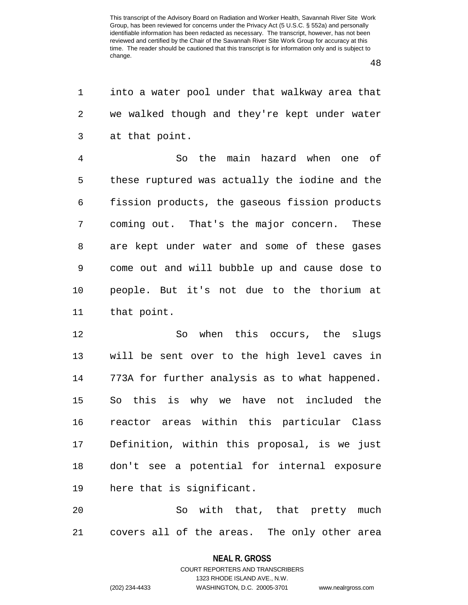48

1 into a water pool under that walkway area that 2 we walked though and they're kept under water 3 at that point.

4 So the main hazard when one of 5 these ruptured was actually the iodine and the 6 fission products, the gaseous fission products 7 coming out. That's the major concern. These 8 are kept under water and some of these gases 9 come out and will bubble up and cause dose to 10 people. But it's not due to the thorium at 11 that point.

12 So when this occurs, the slugs 13 will be sent over to the high level caves in 14 773A for further analysis as to what happened. 15 So this is why we have not included the 16 reactor areas within this particular Class 17 Definition, within this proposal, is we just 18 don't see a potential for internal exposure 19 here that is significant.

20 So with that, that pretty much 21 covers all of the areas. The only other area

> **NEAL R. GROSS** COURT REPORTERS AND TRANSCRIBERS

> > 1323 RHODE ISLAND AVE., N.W.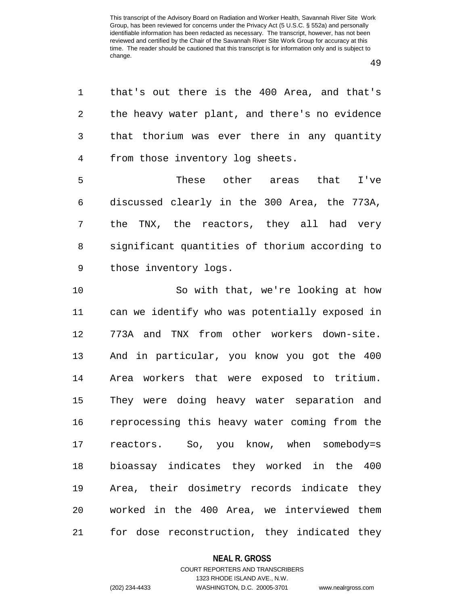49

1 that's out there is the 400 Area, and that's 2 the heavy water plant, and there's no evidence 3 that thorium was ever there in any quantity 4 from those inventory log sheets.

5 These other areas that I've 6 discussed clearly in the 300 Area, the 773A, 7 the TNX, the reactors, they all had very 8 significant quantities of thorium according to 9 those inventory logs.

10 So with that, we're looking at how 11 can we identify who was potentially exposed in 12 773A and TNX from other workers down-site. 13 And in particular, you know you got the 400 14 Area workers that were exposed to tritium. 15 They were doing heavy water separation and 16 reprocessing this heavy water coming from the 17 reactors. So, you know, when somebody=s 18 bioassay indicates they worked in the 400 19 Area, their dosimetry records indicate they 20 worked in the 400 Area, we interviewed them 21 for dose reconstruction, they indicated they

#### **NEAL R. GROSS**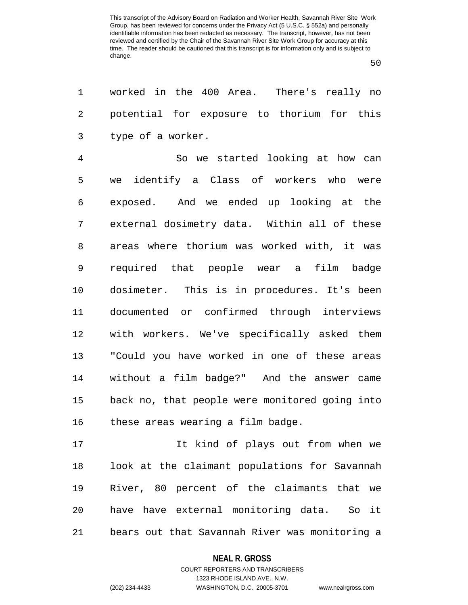50

1 worked in the 400 Area. There's really no 2 potential for exposure to thorium for this 3 type of a worker.

4 So we started looking at how can 5 we identify a Class of workers who were 6 exposed. And we ended up looking at the 7 external dosimetry data. Within all of these 8 areas where thorium was worked with, it was 9 required that people wear a film badge 10 dosimeter. This is in procedures. It's been 11 documented or confirmed through interviews 12 with workers. We've specifically asked them 13 "Could you have worked in one of these areas 14 without a film badge?" And the answer came 15 back no, that people were monitored going into 16 these areas wearing a film badge.

17 It kind of plays out from when we 18 look at the claimant populations for Savannah 19 River, 80 percent of the claimants that we 20 have have external monitoring data. So it 21 bears out that Savannah River was monitoring a

#### **NEAL R. GROSS**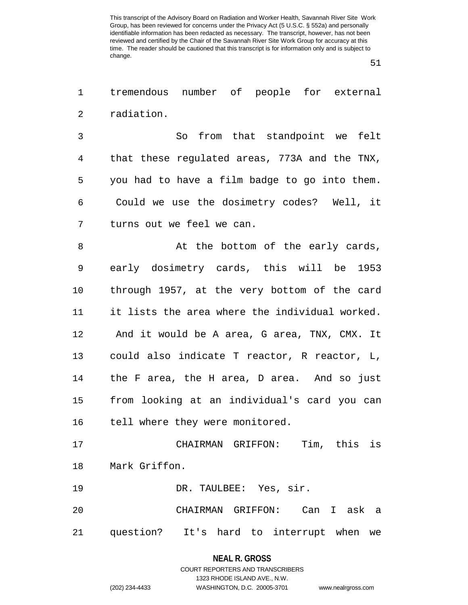51

1 tremendous number of people for external 2 radiation.

3 So from that standpoint we felt 4 that these regulated areas, 773A and the TNX, 5 you had to have a film badge to go into them. 6 Could we use the dosimetry codes? Well, it 7 turns out we feel we can.

8 at the bottom of the early cards, 9 early dosimetry cards, this will be 1953 10 through 1957, at the very bottom of the card 11 it lists the area where the individual worked. 12 And it would be A area, G area, TNX, CMX. It 13 could also indicate T reactor, R reactor, L, 14 the F area, the H area, D area. And so just 15 from looking at an individual's card you can 16 tell where they were monitored.

17 CHAIRMAN GRIFFON: Tim, this is 18 Mark Griffon.

19 DR. TAULBEE: Yes, sir.

20 CHAIRMAN GRIFFON: Can I ask a 21 question? It's hard to interrupt when we

> **NEAL R. GROSS** COURT REPORTERS AND TRANSCRIBERS

> > 1323 RHODE ISLAND AVE., N.W.

(202) 234-4433 WASHINGTON, D.C. 20005-3701 www.nealrgross.com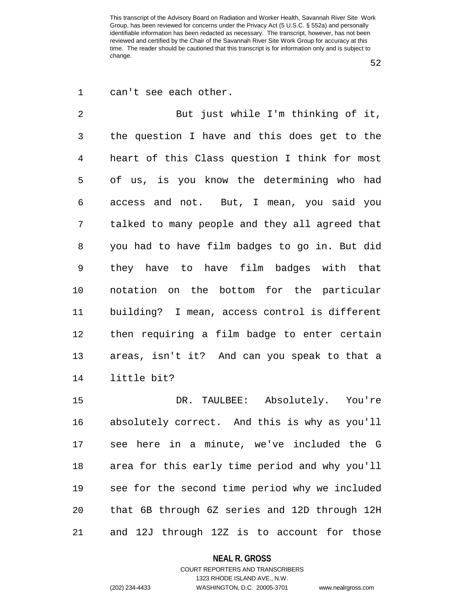52

| 1              | can't see each other.                          |
|----------------|------------------------------------------------|
| $\overline{2}$ | But just while I'm thinking of it,             |
| 3              | the question I have and this does get to the   |
| $\overline{4}$ | heart of this Class question I think for most  |
| 5              | of us, is you know the determining who had     |
| 6              | access and not. But, I mean, you said you      |
| 7              | talked to many people and they all agreed that |
| 8              | you had to have film badges to go in. But did  |
| $\mathsf 9$    | they have to have film badges with that        |
| 10             | notation on the bottom for the particular      |
| 11             | building? I mean, access control is different  |
| 12             | then requiring a film badge to enter certain   |
| 13             | areas, isn't it? And can you speak to that a   |
| 14             | little bit?                                    |
| 15             | DR. TAULBEE: Absolutely. You're                |
| 16             | absolutely correct. And this is why as you'll  |
| 17             | see here in a minute, we've included the G     |
| 18             | area for this early time period and why you'll |
| 19             | see for the second time period why we included |
| 20             | that 6B through 6Z series and 12D through 12H  |
| 21             | and 12J through 12Z is to account for those    |

### **NEAL R. GROSS**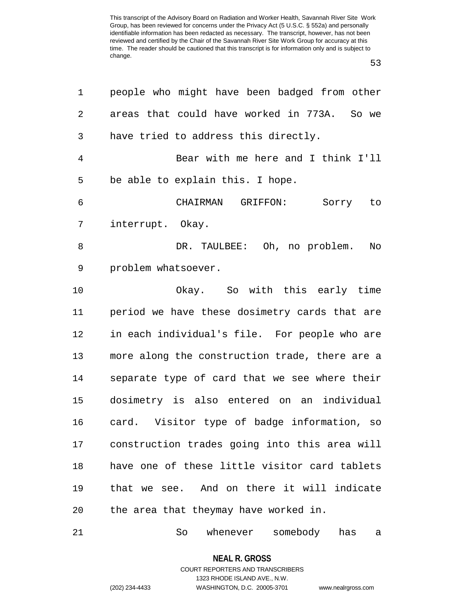53

| 1              | people who might have been badged from other   |
|----------------|------------------------------------------------|
| $\overline{2}$ | areas that could have worked in 773A.<br>So we |
| 3              | have tried to address this directly.           |
| $\overline{4}$ | Bear with me here and I think I'll             |
| 5              | be able to explain this. I hope.               |
| 6              | CHAIRMAN GRIFFON:<br>Sorry to                  |
| 7              | interrupt. Okay.                               |
| 8              | DR. TAULBEE: Oh, no problem.<br>No             |
| 9              | problem whatsoever.                            |
| 10             | Okay. So with this early time                  |
| 11             | period we have these dosimetry cards that are  |
| 12             | in each individual's file. For people who are  |
| 13             | more along the construction trade, there are a |
| 14             | separate type of card that we see where their  |
| 15             | dosimetry is also entered on an individual     |
| 16             | card. Visitor type of badge information, so    |
| 17             | construction trades going into this area will  |
| 18             | have one of these little visitor card tablets  |
| 19             | that we see. And on there it will indicate     |
| 20             | the area that theymay have worked in.          |
| 21             | whenever somebody<br>So<br>has<br>а            |

**NEAL R. GROSS** COURT REPORTERS AND TRANSCRIBERS

1323 RHODE ISLAND AVE., N.W.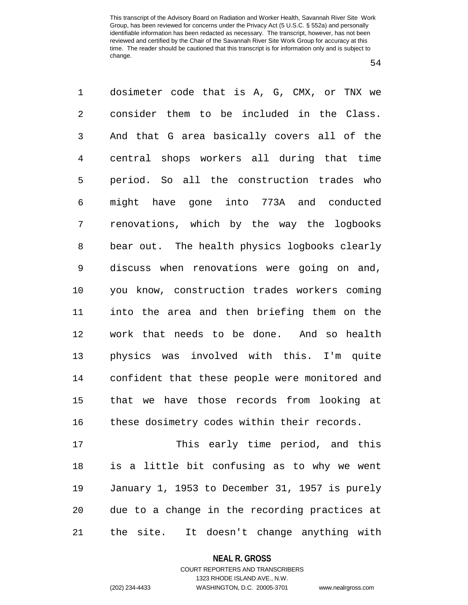54

1 dosimeter code that is A, G, CMX, or TNX we 2 consider them to be included in the Class. 3 And that G area basically covers all of the 4 central shops workers all during that time 5 period. So all the construction trades who 6 might have gone into 773A and conducted 7 renovations, which by the way the logbooks 8 bear out. The health physics logbooks clearly 9 discuss when renovations were going on and, 10 you know, construction trades workers coming 11 into the area and then briefing them on the 12 work that needs to be done. And so health 13 physics was involved with this. I'm quite 14 confident that these people were monitored and 15 that we have those records from looking at 16 these dosimetry codes within their records. 17 This early time period, and this 18 is a little bit confusing as to why we went 19 January 1, 1953 to December 31, 1957 is purely 20 due to a change in the recording practices at

21 the site. It doesn't change anything with

**NEAL R. GROSS**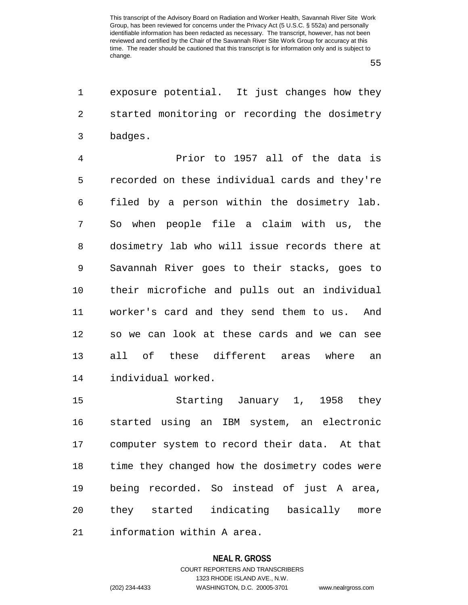55

1 exposure potential. It just changes how they 2 started monitoring or recording the dosimetry 3 badges.

4 Prior to 1957 all of the data is 5 recorded on these individual cards and they're 6 filed by a person within the dosimetry lab. 7 So when people file a claim with us, the 8 dosimetry lab who will issue records there at 9 Savannah River goes to their stacks, goes to 10 their microfiche and pulls out an individual 11 worker's card and they send them to us. And 12 so we can look at these cards and we can see 13 all of these different areas where an 14 individual worked.

15 Starting January 1, 1958 they 16 started using an IBM system, an electronic 17 computer system to record their data. At that 18 time they changed how the dosimetry codes were 19 being recorded. So instead of just A area, 20 they started indicating basically more 21 information within A area.

#### **NEAL R. GROSS**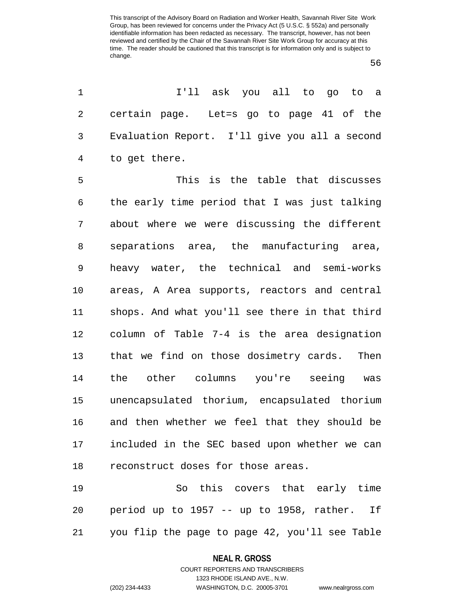56

1 I'll ask you all to go to a 2 certain page. Let=s go to page 41 of the 3 Evaluation Report. I'll give you all a second 4 to get there.

5 This is the table that discusses 6 the early time period that I was just talking 7 about where we were discussing the different 8 separations area, the manufacturing area, 9 heavy water, the technical and semi-works 10 areas, A Area supports, reactors and central 11 shops. And what you'll see there in that third 12 column of Table 7-4 is the area designation 13 that we find on those dosimetry cards. Then 14 the other columns you're seeing was 15 unencapsulated thorium, encapsulated thorium 16 and then whether we feel that they should be 17 included in the SEC based upon whether we can 18 reconstruct doses for those areas.

19 So this covers that early time 20 period up to 1957 -- up to 1958, rather. If 21 you flip the page to page 42, you'll see Table

## **NEAL R. GROSS** COURT REPORTERS AND TRANSCRIBERS

1323 RHODE ISLAND AVE., N.W.

(202) 234-4433 WASHINGTON, D.C. 20005-3701 www.nealrgross.com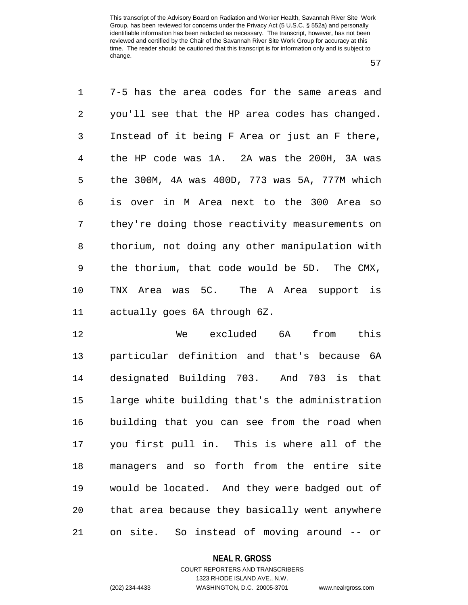57

1 7-5 has the area codes for the same areas and 2 you'll see that the HP area codes has changed. 3 Instead of it being F Area or just an F there, 4 the HP code was 1A. 2A was the 200H, 3A was 5 the 300M, 4A was 400D, 773 was 5A, 777M which 6 is over in M Area next to the 300 Area so 7 they're doing those reactivity measurements on 8 thorium, not doing any other manipulation with 9 the thorium, that code would be 5D. The CMX, 10 TNX Area was 5C. The A Area support is 11 actually goes 6A through 6Z.

12 We excluded 6A from this 13 particular definition and that's because 6A 14 designated Building 703. And 703 is that 15 large white building that's the administration 16 building that you can see from the road when 17 you first pull in. This is where all of the 18 managers and so forth from the entire site 19 would be located. And they were badged out of 20 that area because they basically went anywhere 21 on site. So instead of moving around -- or

#### **NEAL R. GROSS**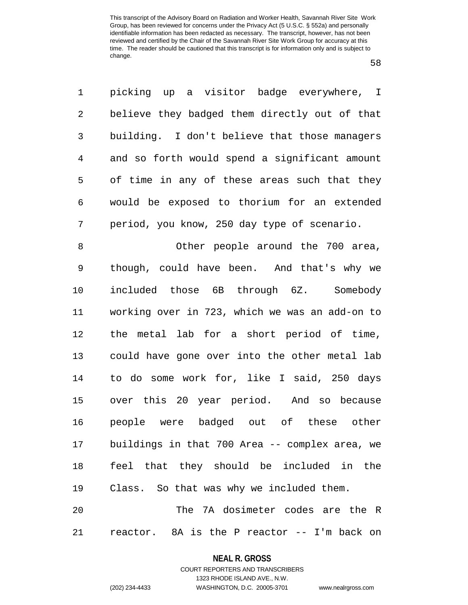58

1 picking up a visitor badge everywhere, I 2 believe they badged them directly out of that 3 building. I don't believe that those managers 4 and so forth would spend a significant amount 5 of time in any of these areas such that they 6 would be exposed to thorium for an extended 7 period, you know, 250 day type of scenario. 8 Other people around the 700 area, 9 though, could have been. And that's why we 10 included those 6B through 6Z. Somebody 11 working over in 723, which we was an add-on to 12 the metal lab for a short period of time, 13 could have gone over into the other metal lab 14 to do some work for, like I said, 250 days 15 over this 20 year period. And so because 16 people were badged out of these other 17 buildings in that 700 Area -- complex area, we 18 feel that they should be included in the 19 Class. So that was why we included them. 20 The 7A dosimeter codes are the R

21 reactor. 8A is the P reactor -- I'm back on

#### **NEAL R. GROSS**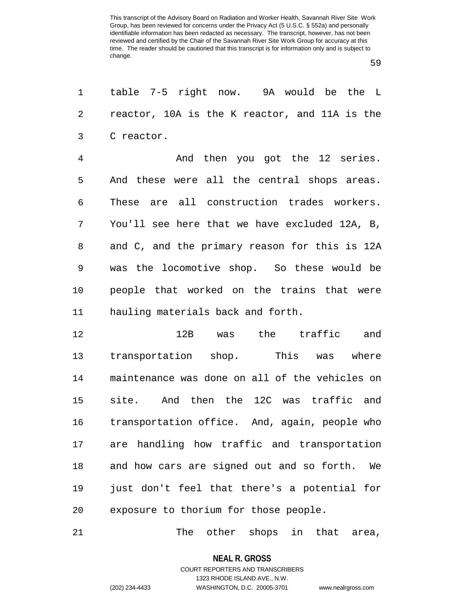59

1 table 7-5 right now. 9A would be the L 2 reactor, 10A is the K reactor, and 11A is the 3 C reactor. 4 And then you got the 12 series.

5 And these were all the central shops areas. 6 These are all construction trades workers. 7 You'll see here that we have excluded 12A, B, 8 and C, and the primary reason for this is 12A 9 was the locomotive shop. So these would be 10 people that worked on the trains that were 11 hauling materials back and forth.

12 12B was the traffic and 13 transportation shop. This was where 14 maintenance was done on all of the vehicles on 15 site. And then the 12C was traffic and 16 transportation office. And, again, people who 17 are handling how traffic and transportation 18 and how cars are signed out and so forth. We 19 just don't feel that there's a potential for 20 exposure to thorium for those people.

21 The other shops in that area,

**NEAL R. GROSS**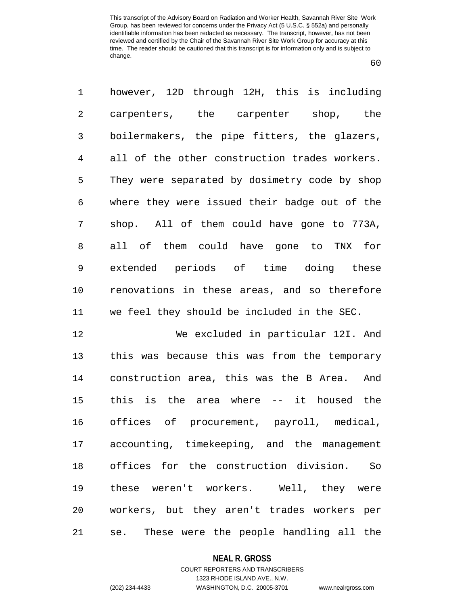60

1 however, 12D through 12H, this is including 2 carpenters, the carpenter shop, the 3 boilermakers, the pipe fitters, the glazers, 4 all of the other construction trades workers. 5 They were separated by dosimetry code by shop 6 where they were issued their badge out of the 7 shop. All of them could have gone to 773A, 8 all of them could have gone to TNX for 9 extended periods of time doing these 10 renovations in these areas, and so therefore 11 we feel they should be included in the SEC.

12 We excluded in particular 12I. And 13 this was because this was from the temporary 14 construction area, this was the B Area. And 15 this is the area where -- it housed the 16 offices of procurement, payroll, medical, 17 accounting, timekeeping, and the management 18 offices for the construction division. So 19 these weren't workers. Well, they were 20 workers, but they aren't trades workers per 21 se. These were the people handling all the

#### **NEAL R. GROSS**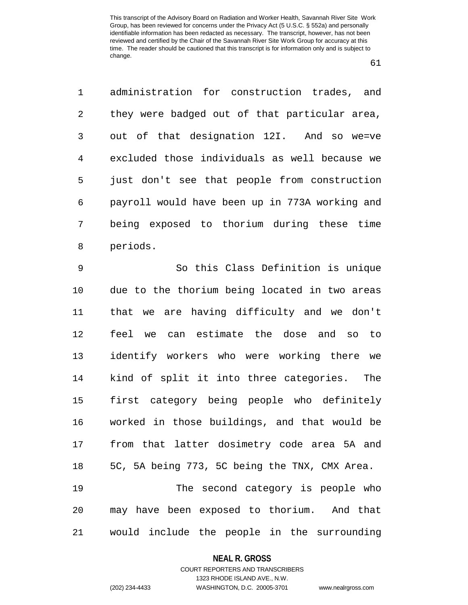61

1 administration for construction trades, and 2 they were badged out of that particular area, 3 out of that designation 12I. And so we=ve 4 excluded those individuals as well because we 5 just don't see that people from construction 6 payroll would have been up in 773A working and 7 being exposed to thorium during these time 8 periods.

9 So this Class Definition is unique 10 due to the thorium being located in two areas 11 that we are having difficulty and we don't 12 feel we can estimate the dose and so to 13 identify workers who were working there we 14 kind of split it into three categories. The 15 first category being people who definitely 16 worked in those buildings, and that would be 17 from that latter dosimetry code area 5A and 18 5C, 5A being 773, 5C being the TNX, CMX Area. 19 The second category is people who

20 may have been exposed to thorium. And that 21 would include the people in the surrounding

### **NEAL R. GROSS**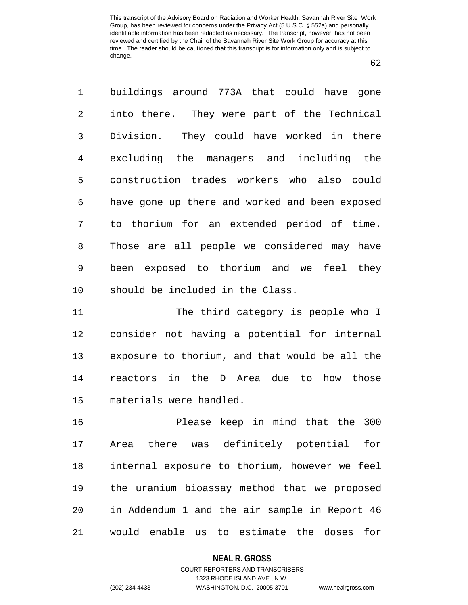62

1 buildings around 773A that could have gone 2 into there. They were part of the Technical 3 Division. They could have worked in there 4 excluding the managers and including the 5 construction trades workers who also could 6 have gone up there and worked and been exposed 7 to thorium for an extended period of time. 8 Those are all people we considered may have 9 been exposed to thorium and we feel they 10 should be included in the Class.

11 The third category is people who I 12 consider not having a potential for internal 13 exposure to thorium, and that would be all the 14 reactors in the D Area due to how those 15 materials were handled.

16 Please keep in mind that the 300 17 Area there was definitely potential for 18 internal exposure to thorium, however we feel 19 the uranium bioassay method that we proposed 20 in Addendum 1 and the air sample in Report 46 21 would enable us to estimate the doses for

#### **NEAL R. GROSS**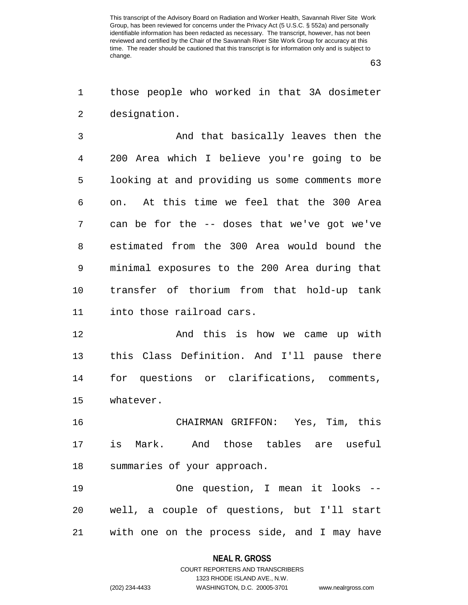63

1 those people who worked in that 3A dosimeter 2 designation.

3 And that basically leaves then the 4 200 Area which I believe you're going to be 5 looking at and providing us some comments more 6 on. At this time we feel that the 300 Area 7 can be for the -- doses that we've got we've 8 estimated from the 300 Area would bound the 9 minimal exposures to the 200 Area during that 10 transfer of thorium from that hold-up tank 11 into those railroad cars.

12 And this is how we came up with 13 this Class Definition. And I'll pause there 14 for questions or clarifications, comments, 15 whatever.

16 CHAIRMAN GRIFFON: Yes, Tim, this 17 is Mark. And those tables are useful 18 summaries of your approach.

19 One question, I mean it looks -- 20 well, a couple of questions, but I'll start 21 with one on the process side, and I may have

#### **NEAL R. GROSS**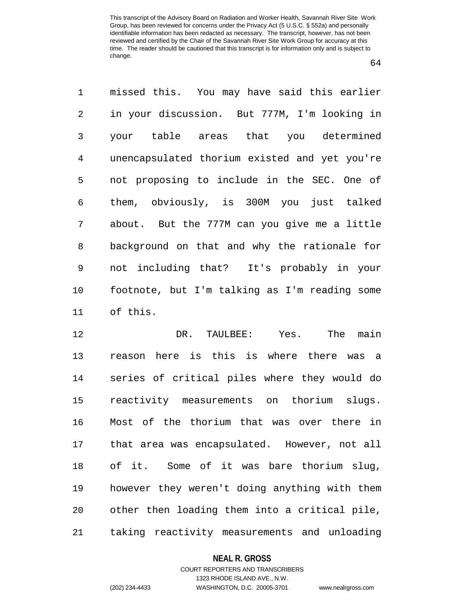64

1 missed this. You may have said this earlier 2 in your discussion. But 777M, I'm looking in 3 your table areas that you determined 4 unencapsulated thorium existed and yet you're 5 not proposing to include in the SEC. One of 6 them, obviously, is 300M you just talked 7 about. But the 777M can you give me a little 8 background on that and why the rationale for 9 not including that? It's probably in your 10 footnote, but I'm talking as I'm reading some 11 of this.

12 DR. TAULBEE: Yes. The main 13 reason here is this is where there was a 14 series of critical piles where they would do 15 reactivity measurements on thorium slugs. 16 Most of the thorium that was over there in 17 that area was encapsulated. However, not all 18 of it. Some of it was bare thorium slug, 19 however they weren't doing anything with them 20 other then loading them into a critical pile, 21 taking reactivity measurements and unloading

#### **NEAL R. GROSS**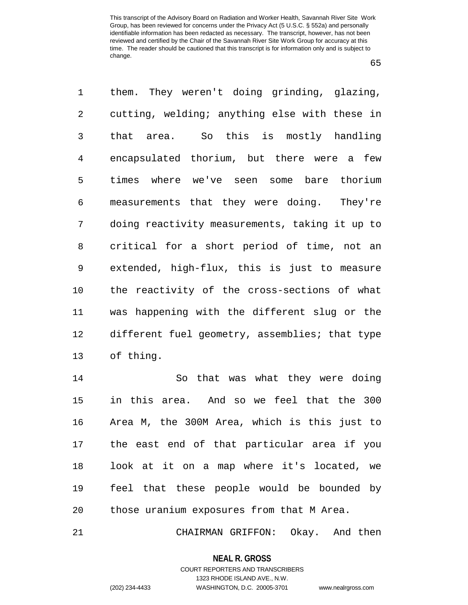65

1 them. They weren't doing grinding, glazing, 2 cutting, welding; anything else with these in 3 that area. So this is mostly handling 4 encapsulated thorium, but there were a few 5 times where we've seen some bare thorium 6 measurements that they were doing. They're 7 doing reactivity measurements, taking it up to 8 critical for a short period of time, not an 9 extended, high-flux, this is just to measure 10 the reactivity of the cross-sections of what 11 was happening with the different slug or the 12 different fuel geometry, assemblies; that type 13 of thing.

14 So that was what they were doing 15 in this area. And so we feel that the 300 16 Area M, the 300M Area, which is this just to 17 the east end of that particular area if you 18 look at it on a map where it's located, we 19 feel that these people would be bounded by 20 those uranium exposures from that M Area.

21 CHAIRMAN GRIFFON: Okay. And then

**NEAL R. GROSS** COURT REPORTERS AND TRANSCRIBERS

1323 RHODE ISLAND AVE., N.W.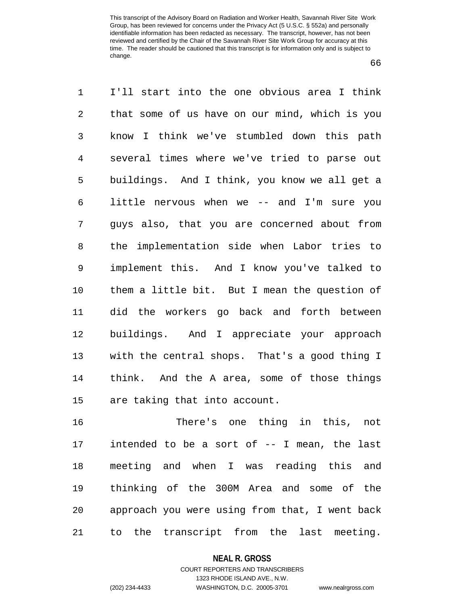66

1 I'll start into the one obvious area I think 2 that some of us have on our mind, which is you 3 know I think we've stumbled down this path 4 several times where we've tried to parse out 5 buildings. And I think, you know we all get a 6 little nervous when we -- and I'm sure you 7 guys also, that you are concerned about from 8 the implementation side when Labor tries to 9 implement this. And I know you've talked to 10 them a little bit. But I mean the question of 11 did the workers go back and forth between 12 buildings. And I appreciate your approach 13 with the central shops. That's a good thing I 14 think. And the A area, some of those things 15 are taking that into account.

16 There's one thing in this, not 17 intended to be a sort of -- I mean, the last 18 meeting and when I was reading this and 19 thinking of the 300M Area and some of the 20 approach you were using from that, I went back 21 to the transcript from the last meeting.

**NEAL R. GROSS**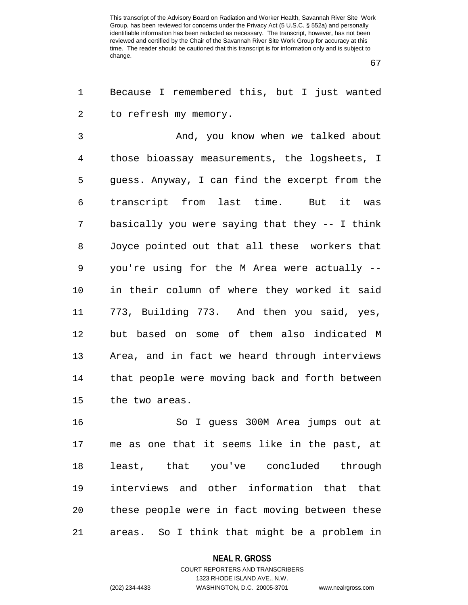67

1 Because I remembered this, but I just wanted 2 to refresh my memory.

3 And, you know when we talked about 4 those bioassay measurements, the logsheets, I 5 guess. Anyway, I can find the excerpt from the 6 transcript from last time. But it was 7 basically you were saying that they -- I think 8 Joyce pointed out that all these workers that 9 you're using for the M Area were actually -- 10 in their column of where they worked it said 11 773, Building 773. And then you said, yes, 12 but based on some of them also indicated M 13 Area, and in fact we heard through interviews 14 that people were moving back and forth between 15 the two areas.

16 So I guess 300M Area jumps out at 17 me as one that it seems like in the past, at 18 least, that you've concluded through 19 interviews and other information that that 20 these people were in fact moving between these 21 areas. So I think that might be a problem in

#### **NEAL R. GROSS**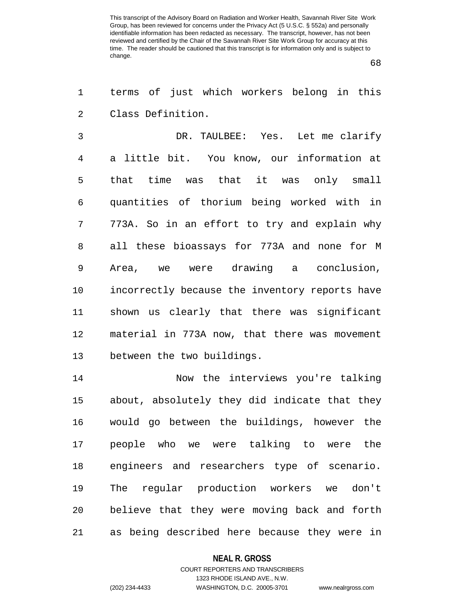68

1 terms of just which workers belong in this 2 Class Definition.

3 DR. TAULBEE: Yes. Let me clarify 4 a little bit. You know, our information at 5 that time was that it was only small 6 quantities of thorium being worked with in 7 773A. So in an effort to try and explain why 8 all these bioassays for 773A and none for M 9 Area, we were drawing a conclusion, 10 incorrectly because the inventory reports have 11 shown us clearly that there was significant 12 material in 773A now, that there was movement 13 between the two buildings.

14 Now the interviews you're talking 15 about, absolutely they did indicate that they 16 would go between the buildings, however the 17 people who we were talking to were the 18 engineers and researchers type of scenario. 19 The regular production workers we don't 20 believe that they were moving back and forth 21 as being described here because they were in

#### **NEAL R. GROSS**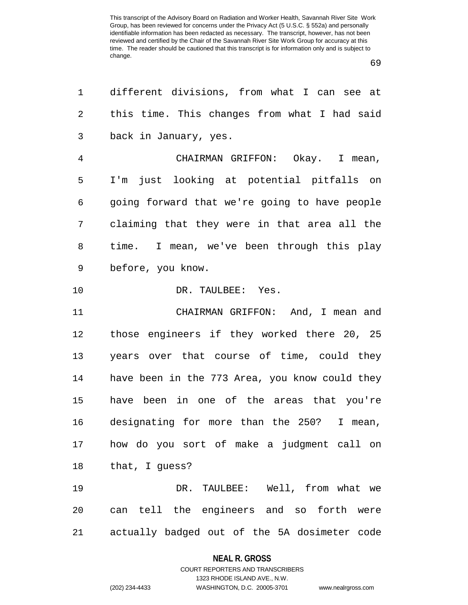69

| 1  | different divisions, from what I can see at    |
|----|------------------------------------------------|
| 2  | this time. This changes from what I had said   |
| 3  | back in January, yes.                          |
| 4  | CHAIRMAN GRIFFON: Okay. I mean,                |
| 5  | I'm just looking at potential pitfalls on      |
| 6  | going forward that we're going to have people  |
| 7  | claiming that they were in that area all the   |
| 8  | time. I mean, we've been through this play     |
| 9  | before, you know.                              |
| 10 | DR. TAULBEE: Yes.                              |
| 11 | CHAIRMAN GRIFFON: And, I mean and              |
| 12 | those engineers if they worked there 20, 25    |
| 13 | years over that course of time, could they     |
| 14 | have been in the 773 Area, you know could they |
| 15 | have been in one of the areas that you're      |
| 16 | designating for more than the 250? I mean,     |
| 17 | how do you sort of make a judgment call on     |
| 18 | that, I guess?                                 |
| 19 | DR. TAULBEE: Well, from what we                |
| 20 | can tell the engineers and so forth were       |
| 21 | actually badged out of the 5A dosimeter code   |

### **NEAL R. GROSS**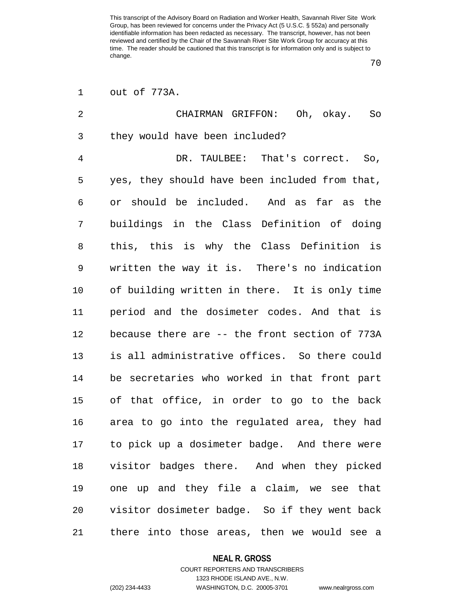70

| 1              | out of 773A.                                   |
|----------------|------------------------------------------------|
| $\overline{2}$ | CHAIRMAN GRIFFON: Oh, okay. So                 |
| 3              | they would have been included?                 |
| 4              | DR. TAULBEE: That's correct. So,               |
| 5              | yes, they should have been included from that, |
| 6              | or should be included. And as far as the       |
| 7              | buildings in the Class Definition of doing     |
| 8              | this, this is why the Class Definition is      |
| 9              | written the way it is. There's no indication   |
| 10             | of building written in there. It is only time  |
| 11             | period and the dosimeter codes. And that is    |
| 12             | because there are -- the front section of 773A |
| 13             | is all administrative offices. So there could  |
| 14             | be secretaries who worked in that front part   |
| 15             | of that office, in order to go to the back     |
| 16             | area to go into the regulated area, they had   |
| 17             | to pick up a dosimeter badge. And there were   |
| 18             | visitor badges there. And when they picked     |
| 19             | one up and they file a claim, we see that      |
| 20             | visitor dosimeter badge. So if they went back  |
| 21             | there into those areas, then we would see a    |

**NEAL R. GROSS** COURT REPORTERS AND TRANSCRIBERS

1323 RHODE ISLAND AVE., N.W. (202) 234-4433 WASHINGTON, D.C. 20005-3701 www.nealrgross.com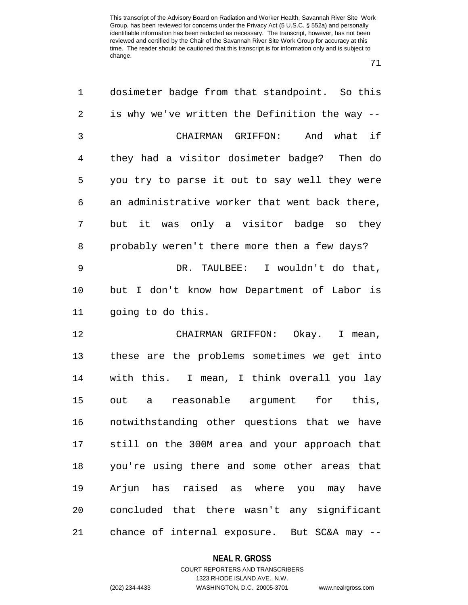71

| 1  | dosimeter badge from that standpoint. So this  |
|----|------------------------------------------------|
| 2  | is why we've written the Definition the way -- |
| 3  | what if<br>CHAIRMAN GRIFFON: And               |
| 4  | they had a visitor dosimeter badge? Then do    |
| 5  | you try to parse it out to say well they were  |
| 6  | an administrative worker that went back there, |
| 7  | but it was only a visitor badge so they        |
| 8  | probably weren't there more then a few days?   |
| 9  | DR. TAULBEE: I wouldn't do that,               |
| 10 | but I don't know how Department of Labor is    |
| 11 | going to do this.                              |
| 12 | CHAIRMAN GRIFFON: Okay. I mean,                |
| 13 | these are the problems sometimes we get into   |
| 14 | with this. I mean, I think overall you lay     |
| 15 | reasonable argument for this,<br>out a         |
| 16 | notwithstanding other questions that we have   |
| 17 | still on the 300M area and your approach that  |
| 18 | you're using there and some other areas that   |
| 19 | Arjun has raised as where you may have         |
| 20 | concluded that there wasn't any significant    |
| 21 | chance of internal exposure. But SC&A may --   |

## **NEAL R. GROSS**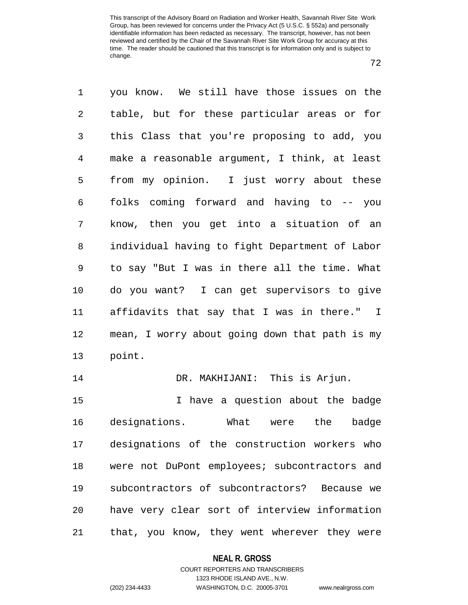72

1 you know. We still have those issues on the 2 table, but for these particular areas or for 3 this Class that you're proposing to add, you 4 make a reasonable argument, I think, at least 5 from my opinion. I just worry about these 6 folks coming forward and having to -- you 7 know, then you get into a situation of an 8 individual having to fight Department of Labor 9 to say "But I was in there all the time. What 10 do you want? I can get supervisors to give 11 affidavits that say that I was in there." I 12 mean, I worry about going down that path is my 13 point. 14 DR. MAKHIJANI: This is Arjun. 15 I have a question about the badge 16 designations. What were the badge 17 designations of the construction workers who 18 were not DuPont employees; subcontractors and 19 subcontractors of subcontractors? Because we 20 have very clear sort of interview information 21 that, you know, they went wherever they were

#### **NEAL R. GROSS**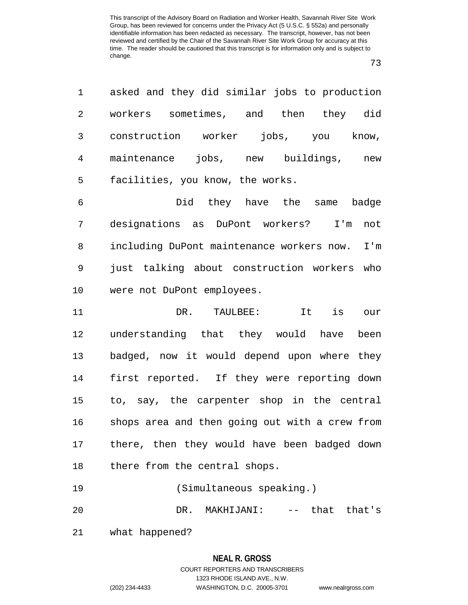73

1 asked and they did similar jobs to production 2 workers sometimes, and then they did 3 construction worker jobs, you know, 4 maintenance jobs, new buildings, new 5 facilities, you know, the works.

6 Did they have the same badge 7 designations as DuPont workers? I'm not 8 including DuPont maintenance workers now. I'm 9 just talking about construction workers who 10 were not DuPont employees.

11 DR. TAULBEE: It is our 12 understanding that they would have been 13 badged, now it would depend upon where they 14 first reported. If they were reporting down 15 to, say, the carpenter shop in the central 16 shops area and then going out with a crew from 17 there, then they would have been badged down 18 there from the central shops.

19 (Simultaneous speaking.) 20 DR. MAKHIJANI: -- that that's

21 what happened?

### **NEAL R. GROSS**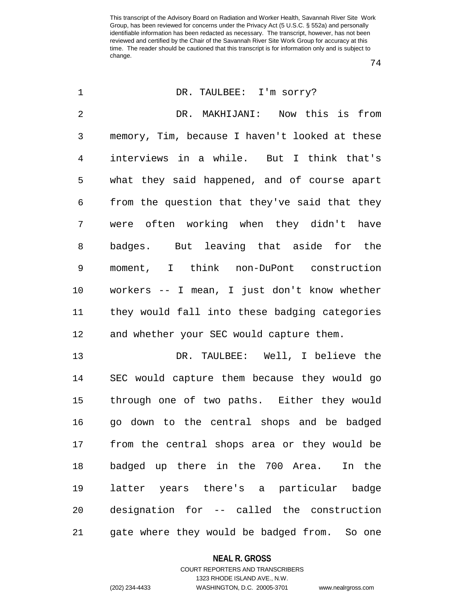74

| $\mathbf 1$    | DR. TAULBEE: I'm sorry?                        |
|----------------|------------------------------------------------|
| $\overline{2}$ | DR. MAKHIJANI: Now this is from                |
| 3              | memory, Tim, because I haven't looked at these |
| 4              | interviews in a while. But I think that's      |
| 5              | what they said happened, and of course apart   |
| 6              | from the question that they've said that they  |
| 7              | were often working when they didn't have       |
| 8              | badges. But leaving that aside for the         |
| 9              | moment, I think non-DuPont construction        |
| 10             | workers -- I mean, I just don't know whether   |
| 11             | they would fall into these badging categories  |
| 12             | and whether your SEC would capture them.       |
| 13             | DR. TAULBEE: Well, I believe the               |
| 14             | SEC would capture them because they would go   |
| 15             | through one of two paths. Either they would    |
| 16             | go down to the central shops and be badged     |
| 17             | from the central shops area or they would be   |
| 18             | badged up there in the 700 Area.<br>In the     |
| 19             | latter years there's a particular badge        |
| 20             | designation for -- called the construction     |
| 21             | gate where they would be badged from. So one   |

### **NEAL R. GROSS**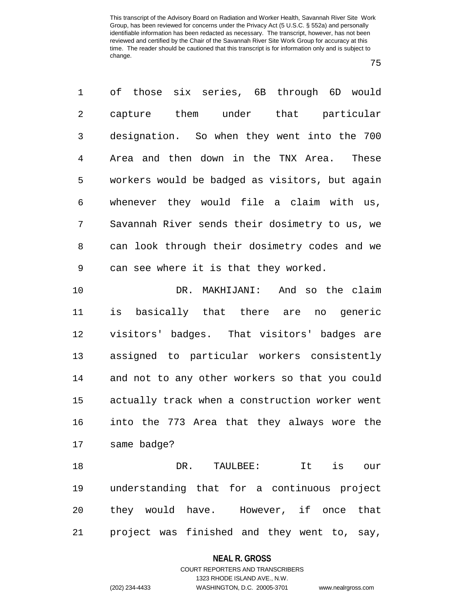75

1 of those six series, 6B through 6D would 2 capture them under that particular 3 designation. So when they went into the 700 4 Area and then down in the TNX Area. These 5 workers would be badged as visitors, but again 6 whenever they would file a claim with us, 7 Savannah River sends their dosimetry to us, we 8 can look through their dosimetry codes and we 9 can see where it is that they worked.

10 DR. MAKHIJANI: And so the claim 11 is basically that there are no generic 12 visitors' badges. That visitors' badges are 13 assigned to particular workers consistently 14 and not to any other workers so that you could 15 actually track when a construction worker went 16 into the 773 Area that they always wore the 17 same badge?

18 DR. TAULBEE: It is our 19 understanding that for a continuous project 20 they would have. However, if once that 21 project was finished and they went to, say,

#### **NEAL R. GROSS**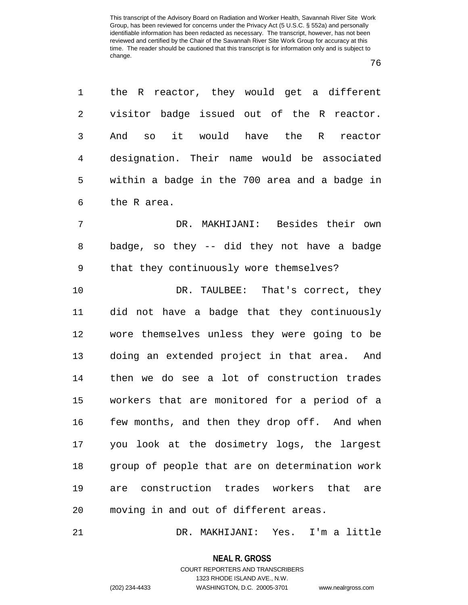76

1 the R reactor, they would get a different 2 visitor badge issued out of the R reactor. 3 And so it would have the R reactor 4 designation. Their name would be associated 5 within a badge in the 700 area and a badge in 6 the R area. 7 DR. MAKHIJANI: Besides their own 8 badge, so they -- did they not have a badge 9 that they continuously wore themselves? 10 DR. TAULBEE: That's correct, they 11 did not have a badge that they continuously 12 wore themselves unless they were going to be 13 doing an extended project in that area. And 14 then we do see a lot of construction trades 15 workers that are monitored for a period of a 16 few months, and then they drop off. And when 17 you look at the dosimetry logs, the largest 18 group of people that are on determination work 19 are construction trades workers that are 20 moving in and out of different areas.

21 DR. MAKHIJANI: Yes. I'm a little

**NEAL R. GROSS** COURT REPORTERS AND TRANSCRIBERS

1323 RHODE ISLAND AVE., N.W. (202) 234-4433 WASHINGTON, D.C. 20005-3701 www.nealrgross.com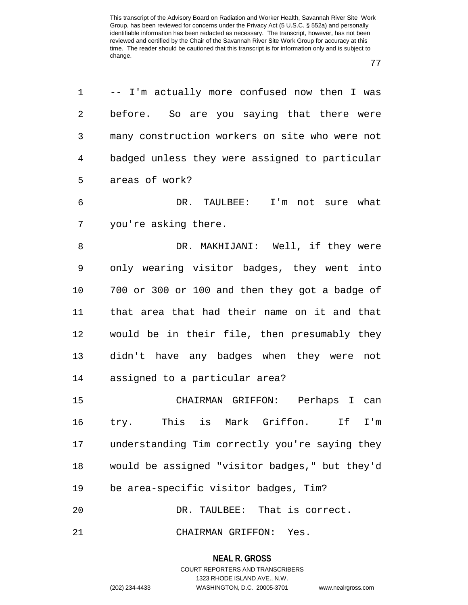77

1 -- I'm actually more confused now then I was 2 before. So are you saying that there were 3 many construction workers on site who were not 4 badged unless they were assigned to particular 5 areas of work? 6 DR. TAULBEE: I'm not sure what 7 you're asking there. 8 DR. MAKHIJANI: Well, if they were 9 only wearing visitor badges, they went into 10 700 or 300 or 100 and then they got a badge of 11 that area that had their name on it and that 12 would be in their file, then presumably they 13 didn't have any badges when they were not 14 assigned to a particular area? 15 CHAIRMAN GRIFFON: Perhaps I can 16 try. This is Mark Griffon. If I'm 17 understanding Tim correctly you're saying they 18 would be assigned "visitor badges," but they'd 19 be area-specific visitor badges, Tim? 20 DR. TAULBEE: That is correct. 21 CHAIRMAN GRIFFON: Yes.

> **NEAL R. GROSS** COURT REPORTERS AND TRANSCRIBERS 1323 RHODE ISLAND AVE., N.W.

(202) 234-4433 WASHINGTON, D.C. 20005-3701 www.nealrgross.com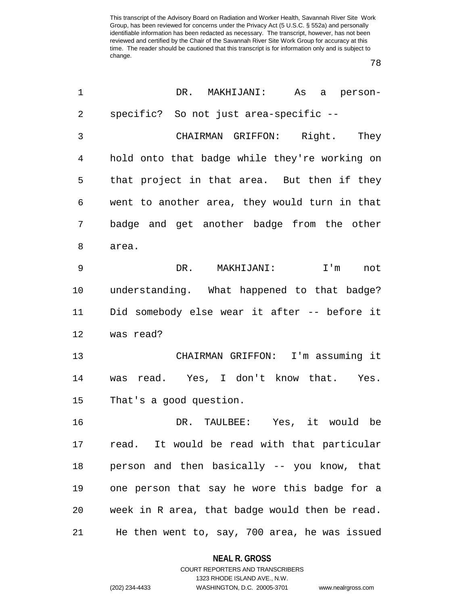78

| 1              | DR. MAKHIJANI:<br>As a person-                 |
|----------------|------------------------------------------------|
| $\overline{2}$ | specific? So not just area-specific --         |
| 3              | CHAIRMAN GRIFFON: Right. They                  |
| 4              | hold onto that badge while they're working on  |
| 5              | that project in that area. But then if they    |
| 6              | went to another area, they would turn in that  |
| 7              | badge and get another badge from the other     |
| 8              | area.                                          |
| 9              | DR. MAKHIJANI:<br>I'm not                      |
| 10             | understanding. What happened to that badge?    |
| 11             | Did somebody else wear it after -- before it   |
| 12             | was read?                                      |
| 13             | CHAIRMAN GRIFFON: I'm assuming it              |
| 14             | was read. Yes, I don't know that. Yes.         |
| 15             | That's a good question.                        |
| 16             | DR. TAULBEE: Yes, it would be                  |
| 17             | read. It would be read with that particular    |
| 18             | person and then basically -- you know, that    |
| 19             | one person that say he wore this badge for a   |
| 20             | week in R area, that badge would then be read. |
| 21             | He then went to, say, 700 area, he was issued  |

**NEAL R. GROSS** COURT REPORTERS AND TRANSCRIBERS

1323 RHODE ISLAND AVE., N.W. (202) 234-4433 WASHINGTON, D.C. 20005-3701 www.nealrgross.com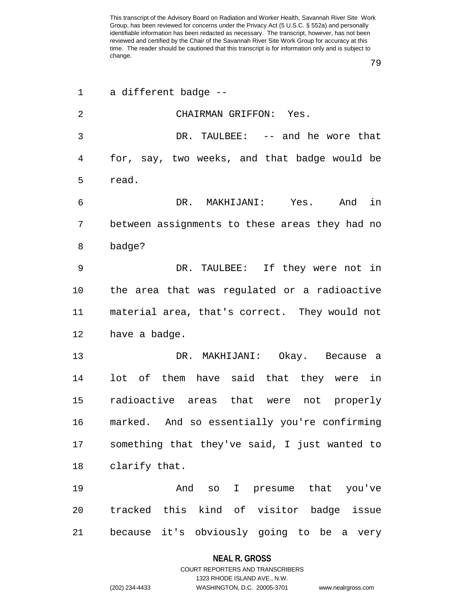79

| $\mathbf 1$ | a different badge --                           |
|-------------|------------------------------------------------|
| 2           | CHAIRMAN GRIFFON: Yes.                         |
| 3           | DR. TAULBEE: -- and he wore that               |
| 4           | for, say, two weeks, and that badge would be   |
| 5           | read.                                          |
| 6           | And in<br>DR. MAKHIJANI: Yes.                  |
| 7           | between assignments to these areas they had no |
| 8           | badge?                                         |
| 9           | DR. TAULBEE: If they were not in               |
| 10          | the area that was regulated or a radioactive   |
| 11          | material area, that's correct. They would not  |
| 12          | have a badge.                                  |
| 13          | DR. MAKHIJANI: Okay. Because a                 |
| 14          | lot of them have said that they were in        |
| 15          | radioactive areas that were not properly       |
| 16          | marked. And so essentially you're confirming   |
| 17          | something that they've said, I just wanted to  |
| 18          | clarify that.                                  |
| 19          | And so I presume that you've                   |
| 20          | tracked this kind of visitor badge issue       |
| 21          | because it's obviously going to be a very      |

### **NEAL R. GROSS**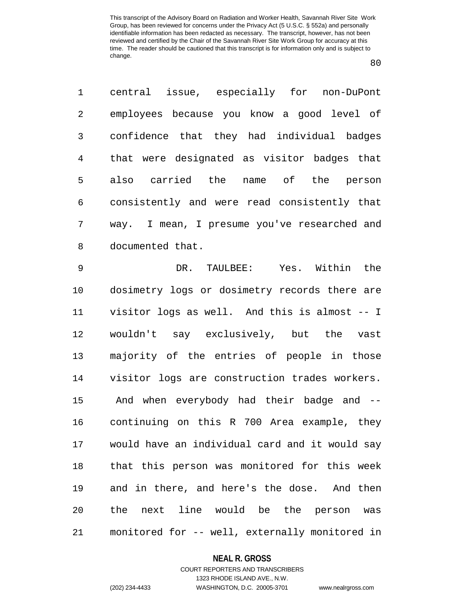80

1 central issue, especially for non-DuPont 2 employees because you know a good level of 3 confidence that they had individual badges 4 that were designated as visitor badges that 5 also carried the name of the person 6 consistently and were read consistently that 7 way. I mean, I presume you've researched and 8 documented that.

9 DR. TAULBEE: Yes. Within the 10 dosimetry logs or dosimetry records there are 11 visitor logs as well. And this is almost -- I 12 wouldn't say exclusively, but the vast 13 majority of the entries of people in those 14 visitor logs are construction trades workers. 15 And when everybody had their badge and -- 16 continuing on this R 700 Area example, they 17 would have an individual card and it would say 18 that this person was monitored for this week 19 and in there, and here's the dose. And then 20 the next line would be the person was 21 monitored for -- well, externally monitored in

#### **NEAL R. GROSS**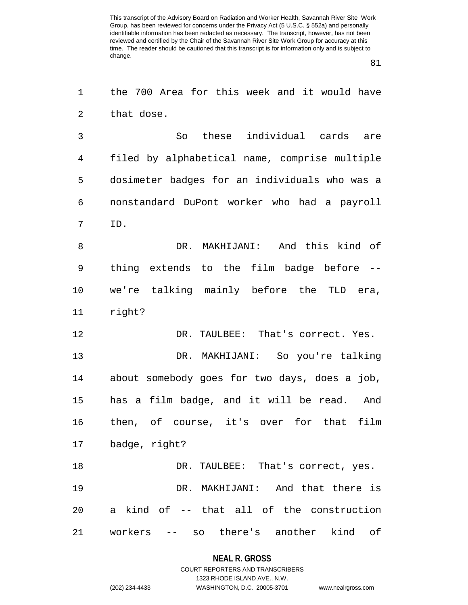81

1 the 700 Area for this week and it would have 2 that dose.

3 So these individual cards are 4 filed by alphabetical name, comprise multiple 5 dosimeter badges for an individuals who was a 6 nonstandard DuPont worker who had a payroll 7 ID.

8 DR. MAKHIJANI: And this kind of 9 thing extends to the film badge before -- 10 we're talking mainly before the TLD era, 11 right?

12 DR. TAULBEE: That's correct. Yes. 13 DR. MAKHIJANI: So you're talking 14 about somebody goes for two days, does a job, 15 has a film badge, and it will be read. And 16 then, of course, it's over for that film 17 badge, right? 18 DR. TAULBEE: That's correct, yes.

19 DR. MAKHIJANI: And that there is 20 a kind of -- that all of the construction 21 workers -- so there's another kind of

#### **NEAL R. GROSS**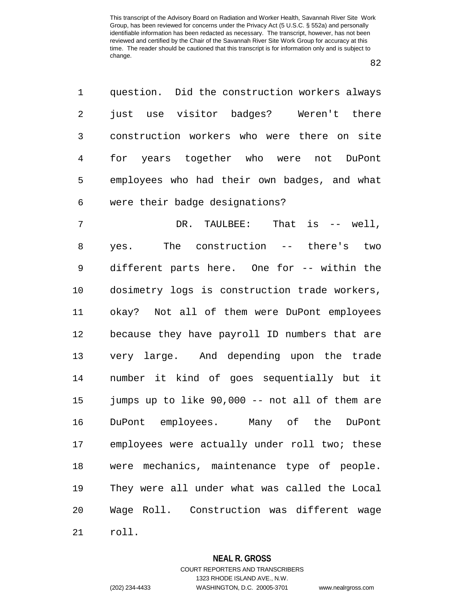82

| 1              | question. Did the construction workers always  |
|----------------|------------------------------------------------|
| 2              | just use visitor badges? Weren't there         |
| $\mathfrak{Z}$ | construction workers who were there on site    |
| 4              | for years together who were not DuPont         |
| 5              | employees who had their own badges, and what   |
| 6              | were their badge designations?                 |
| 7              | DR. TAULBEE: That is -- well,                  |
| 8              | yes. The construction -- there's two           |
| $\mathsf 9$    | different parts here. One for -- within the    |
| 10             | dosimetry logs is construction trade workers,  |
| 11             | okay? Not all of them were DuPont employees    |
| 12             | because they have payroll ID numbers that are  |
| 13             | very large. And depending upon the trade       |
| 14             | number it kind of goes sequentially but it     |
| 15             | jumps up to like 90,000 -- not all of them are |
| 16             | DuPont employees. Many of the<br>DuPont        |
| 17             | employees were actually under roll two; these  |
| 18             | were mechanics, maintenance type of people.    |
| 19             | They were all under what was called the Local  |
| 20             | Wage Roll. Construction was different wage     |
| 21             | roll.                                          |

### **NEAL R. GROSS**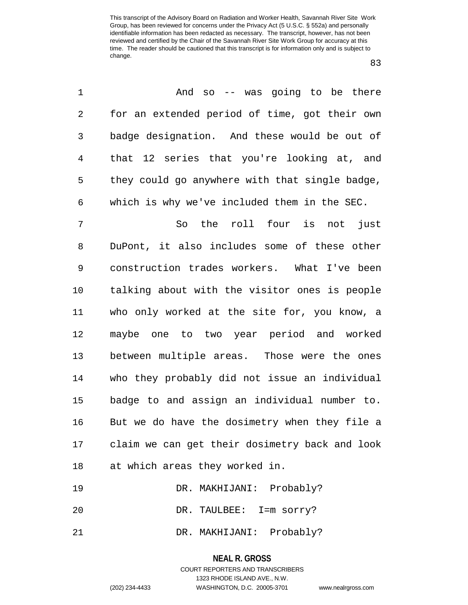83

| 1              | And so -- was going to be there                |
|----------------|------------------------------------------------|
| $\overline{c}$ | for an extended period of time, got their own  |
| 3              | badge designation. And these would be out of   |
| $\overline{4}$ | that 12 series that you're looking at, and     |
| 5              | they could go anywhere with that single badge, |
| 6              | which is why we've included them in the SEC.   |
| 7              | So the roll four is not<br>just                |
| 8              | DuPont, it also includes some of these other   |
| 9              | construction trades workers. What I've been    |
| 10             | talking about with the visitor ones is people  |
| 11             | who only worked at the site for, you know, a   |
| 12             | maybe one to two year period and worked        |
| 13             | between multiple areas. Those were the ones    |
| 14             | who they probably did not issue an individual  |
| 15             | badge to and assign an individual number to.   |
| 16             | But we do have the dosimetry when they file a  |
| 17             | claim we can get their dosimetry back and look |
| 18             | at which areas they worked in.                 |
| 19             | DR. MAKHIJANI: Probably?                       |
| 20             | DR. TAULBEE: I=m sorry?                        |

21 DR. MAKHIJANI: Probably?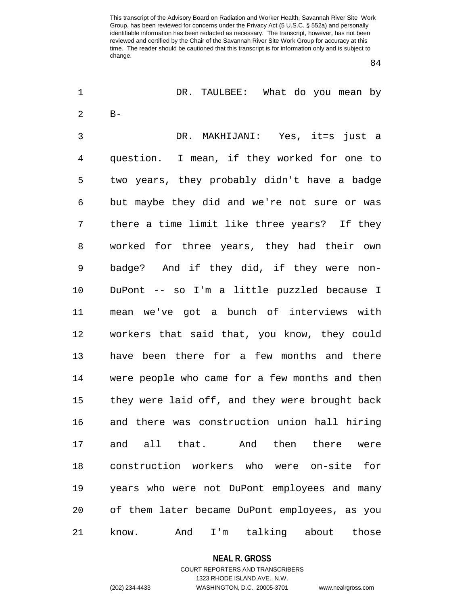84

| 1  | DR. TAULBEE: What do you mean by               |
|----|------------------------------------------------|
| 2  | $B -$                                          |
| 3  | DR. MAKHIJANI: Yes, it=s just a                |
| 4  | question. I mean, if they worked for one to    |
| 5  | two years, they probably didn't have a badge   |
| 6  | but maybe they did and we're not sure or was   |
| 7  | there a time limit like three years? If they   |
| 8  | worked for three years, they had their own     |
| 9  | badge? And if they did, if they were non-      |
| 10 | DuPont -- so I'm a little puzzled because I    |
| 11 | mean we've got a bunch of interviews with      |
| 12 | workers that said that, you know, they could   |
| 13 | have been there for a few months and there     |
| 14 | were people who came for a few months and then |
| 15 | they were laid off, and they were brought back |
| 16 | and there was construction union hall hiring   |
| 17 | and all that. And then there were              |
| 18 | construction workers who were on-site for      |
| 19 | years who were not DuPont employees and many   |
| 20 | of them later became DuPont employees, as you  |
| 21 | I'm talking about<br>And<br>those<br>know.     |

#### **NEAL R. GROSS**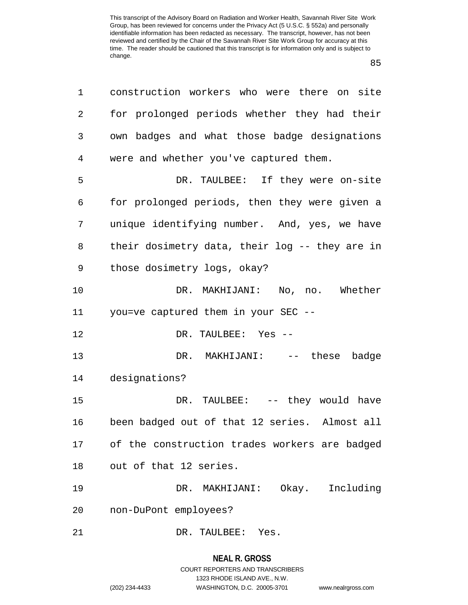85

| 1  | construction workers who were there on site    |
|----|------------------------------------------------|
| 2  | for prolonged periods whether they had their   |
| 3  | own badges and what those badge designations   |
| 4  | were and whether you've captured them.         |
| 5  | DR. TAULBEE: If they were on-site              |
| 6  | for prolonged periods, then they were given a  |
| 7  | unique identifying number. And, yes, we have   |
| 8  | their dosimetry data, their log -- they are in |
| 9  | those dosimetry logs, okay?                    |
| 10 | DR. MAKHIJANI: No, no. Whether                 |
| 11 | you=ve captured them in your SEC --            |
| 12 | DR. TAULBEE: Yes --                            |
| 13 | DR. MAKHIJANI: -- these badge                  |
| 14 | designations?                                  |
| 15 | DR. TAULBEE: -- they would have                |
| 16 | been badged out of that 12 series. Almost all  |
| 17 | of the construction trades workers are badged  |
| 18 | out of that 12 series.                         |
| 19 | DR. MAKHIJANI: Okay. Including                 |
| 20 | non-DuPont employees?                          |
| 21 | DR. TAULBEE: Yes.                              |

# **NEAL R. GROSS**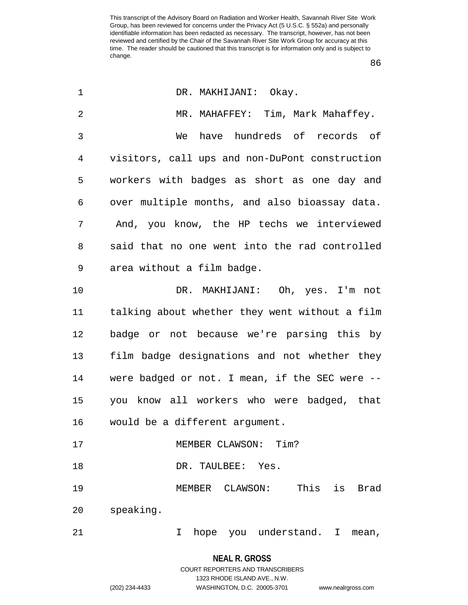86

| $\mathbf 1$    | DR. MAKHIJANI: Okay.                           |
|----------------|------------------------------------------------|
| $\overline{2}$ | MR. MAHAFFEY: Tim, Mark Mahaffey.              |
| 3              | have hundreds of records of<br>We              |
| 4              | visitors, call ups and non-DuPont construction |
| 5              | workers with badges as short as one day and    |
| 6              | over multiple months, and also bioassay data.  |
| 7              | And, you know, the HP techs we interviewed     |
| 8              | said that no one went into the rad controlled  |
| 9              | area without a film badge.                     |
| 10             | DR. MAKHIJANI: Oh, yes. I'm not                |
| 11             | talking about whether they went without a film |
| 12             | badge or not because we're parsing this by     |
| 13             | film badge designations and not whether they   |
| 14             | were badged or not. I mean, if the SEC were -- |
| 15             | you know all workers who were badged, that     |
| 16             | would be a different argument.                 |
| 17             | MEMBER CLAWSON: Tim?                           |
| 18             | DR. TAULBEE: Yes.                              |
| 19             | MEMBER CLAWSON: This<br>is Brad                |
| 20             | speaking.                                      |
| 21             | hope you understand. I mean,<br>I.             |

**NEAL R. GROSS**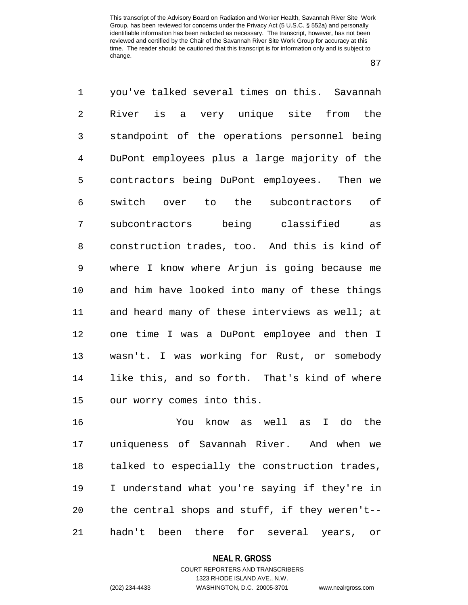87

1 you've talked several times on this. Savannah 2 River is a very unique site from the 3 standpoint of the operations personnel being 4 DuPont employees plus a large majority of the 5 contractors being DuPont employees. Then we 6 switch over to the subcontractors of 7 subcontractors being classified as 8 construction trades, too. And this is kind of 9 where I know where Arjun is going because me 10 and him have looked into many of these things 11 and heard many of these interviews as well; at 12 one time I was a DuPont employee and then I 13 wasn't. I was working for Rust, or somebody 14 like this, and so forth. That's kind of where 15 our worry comes into this.

16 You know as well as I do the 17 uniqueness of Savannah River. And when we 18 talked to especially the construction trades, 19 I understand what you're saying if they're in 20 the central shops and stuff, if they weren't-- 21 hadn't been there for several years, or

### **NEAL R. GROSS** COURT REPORTERS AND TRANSCRIBERS

1323 RHODE ISLAND AVE., N.W. (202) 234-4433 WASHINGTON, D.C. 20005-3701 www.nealrgross.com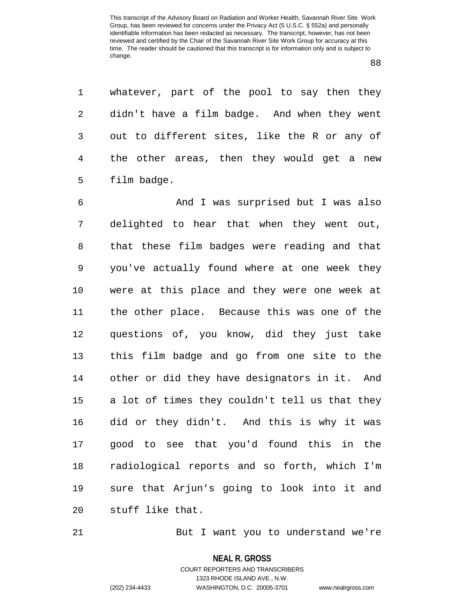88

1 whatever, part of the pool to say then they 2 didn't have a film badge. And when they went 3 out to different sites, like the R or any of 4 the other areas, then they would get a new 5 film badge.

6 And I was surprised but I was also 7 delighted to hear that when they went out, 8 that these film badges were reading and that 9 you've actually found where at one week they 10 were at this place and they were one week at 11 the other place. Because this was one of the 12 questions of, you know, did they just take 13 this film badge and go from one site to the 14 other or did they have designators in it. And 15 a lot of times they couldn't tell us that they 16 did or they didn't. And this is why it was 17 good to see that you'd found this in the 18 radiological reports and so forth, which I'm 19 sure that Arjun's going to look into it and 20 stuff like that.

21 But I want you to understand we're

**NEAL R. GROSS**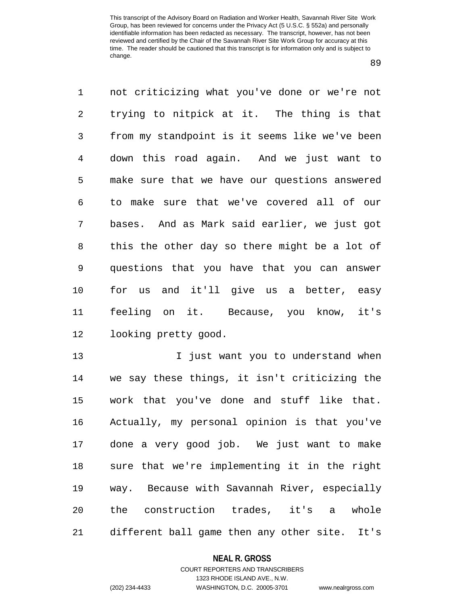89

1 not criticizing what you've done or we're not 2 trying to nitpick at it. The thing is that 3 from my standpoint is it seems like we've been 4 down this road again. And we just want to 5 make sure that we have our questions answered 6 to make sure that we've covered all of our 7 bases. And as Mark said earlier, we just got 8 this the other day so there might be a lot of 9 questions that you have that you can answer 10 for us and it'll give us a better, easy 11 feeling on it. Because, you know, it's 12 looking pretty good.

13 I just want you to understand when 14 we say these things, it isn't criticizing the 15 work that you've done and stuff like that. 16 Actually, my personal opinion is that you've 17 done a very good job. We just want to make 18 sure that we're implementing it in the right 19 way. Because with Savannah River, especially 20 the construction trades, it's a whole 21 different ball game then any other site. It's

#### **NEAL R. GROSS**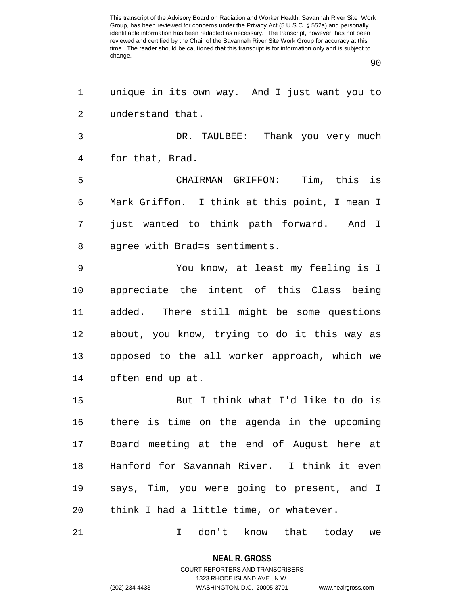90

1 unique in its own way. And I just want you to 2 understand that. 3 DR. TAULBEE: Thank you very much 4 for that, Brad. 5 CHAIRMAN GRIFFON: Tim, this is 6 Mark Griffon. I think at this point, I mean I 7 just wanted to think path forward. And I 8 agree with Brad=s sentiments. 9 You know, at least my feeling is I 10 appreciate the intent of this Class being 11 added. There still might be some questions 12 about, you know, trying to do it this way as 13 opposed to the all worker approach, which we 14 often end up at. 15 But I think what I'd like to do is 16 there is time on the agenda in the upcoming 17 Board meeting at the end of August here at 18 Hanford for Savannah River. I think it even 19 says, Tim, you were going to present, and I 20 think I had a little time, or whatever. 21 I don't know that today we

> **NEAL R. GROSS** COURT REPORTERS AND TRANSCRIBERS

> > 1323 RHODE ISLAND AVE., N.W.

(202) 234-4433 WASHINGTON, D.C. 20005-3701 www.nealrgross.com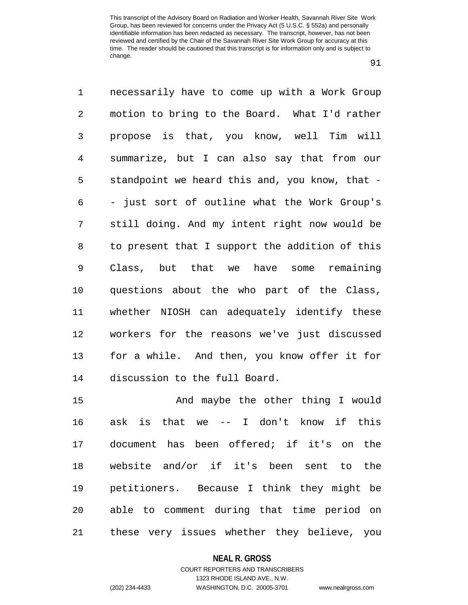91

1 necessarily have to come up with a Work Group 2 motion to bring to the Board. What I'd rather 3 propose is that, you know, well Tim will 4 summarize, but I can also say that from our 5 standpoint we heard this and, you know, that - 6 - just sort of outline what the Work Group's 7 still doing. And my intent right now would be 8 to present that I support the addition of this 9 Class, but that we have some remaining 10 questions about the who part of the Class, 11 whether NIOSH can adequately identify these 12 workers for the reasons we've just discussed 13 for a while. And then, you know offer it for 14 discussion to the full Board.

15 And maybe the other thing I would 16 ask is that we -- I don't know if this 17 document has been offered; if it's on the 18 website and/or if it's been sent to the 19 petitioners. Because I think they might be 20 able to comment during that time period on 21 these very issues whether they believe, you

#### **NEAL R. GROSS**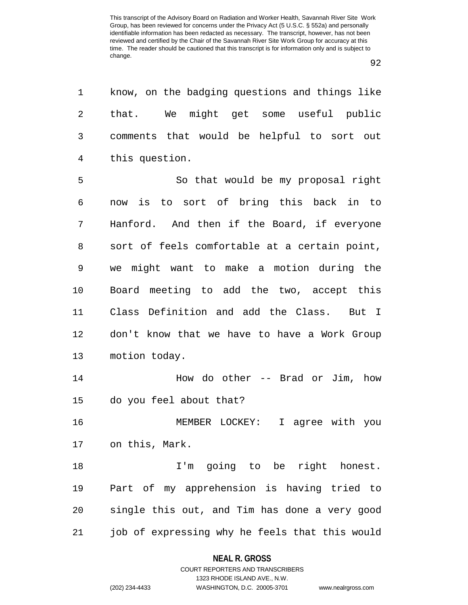92

1 know, on the badging questions and things like 2 that. We might get some useful public 3 comments that would be helpful to sort out 4 this question.

5 So that would be my proposal right 6 now is to sort of bring this back in to 7 Hanford. And then if the Board, if everyone 8 sort of feels comfortable at a certain point, 9 we might want to make a motion during the 10 Board meeting to add the two, accept this 11 Class Definition and add the Class. But I 12 don't know that we have to have a Work Group 13 motion today.

14 How do other -- Brad or Jim, how 15 do you feel about that?

16 MEMBER LOCKEY: I agree with you 17 on this, Mark.

18 1'm going to be right honest. 19 Part of my apprehension is having tried to 20 single this out, and Tim has done a very good 21 job of expressing why he feels that this would

### **NEAL R. GROSS**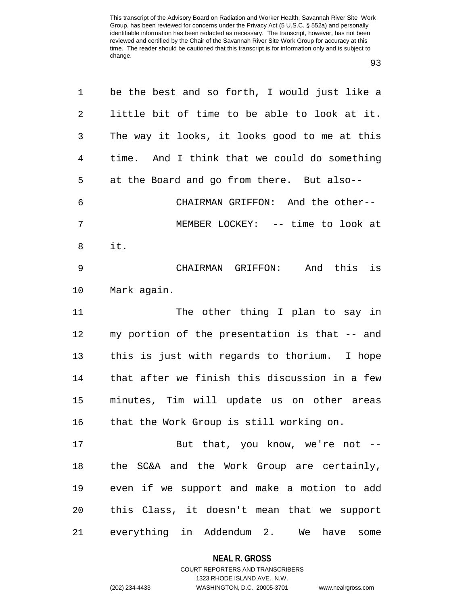93

| $\mathbf 1$ | be the best and so forth, I would just like a |
|-------------|-----------------------------------------------|
| 2           | little bit of time to be able to look at it.  |
| 3           | The way it looks, it looks good to me at this |
| 4           | time. And I think that we could do something  |
| 5           | at the Board and go from there. But also--    |
| 6           | CHAIRMAN GRIFFON: And the other--             |
| 7           | MEMBER LOCKEY: -- time to look at             |
| 8           | it.                                           |
| 9           | CHAIRMAN GRIFFON: And this is                 |
| $10 \,$     | Mark again.                                   |
| 11          | The other thing I plan to say in              |
| 12          | my portion of the presentation is that -- and |
| 13          | this is just with regards to thorium. I hope  |
| 14          | that after we finish this discussion in a few |
| 15          | minutes, Tim will update us on other areas    |
| 16          | that the Work Group is still working on.      |
| 17          | But that, you know, we're not --              |
| 18          | the SC&A and the Work Group are certainly,    |
| 19          | even if we support and make a motion to add   |
| 20          | this Class, it doesn't mean that we support   |
| 21          | everything in Addendum 2.<br>We have<br>some  |

**NEAL R. GROSS** COURT REPORTERS AND TRANSCRIBERS

1323 RHODE ISLAND AVE., N.W. (202) 234-4433 WASHINGTON, D.C. 20005-3701 www.nealrgross.com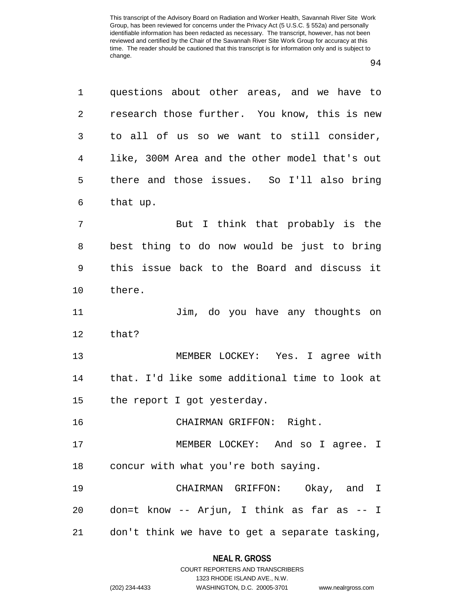94

| 1              | questions about other areas, and we have to    |
|----------------|------------------------------------------------|
| $\overline{2}$ | research those further. You know, this is new  |
| 3              | to all of us so we want to still consider,     |
| 4              | like, 300M Area and the other model that's out |
| 5              | there and those issues. So I'll also bring     |
| 6              | that up.                                       |
| 7              | But I think that probably is the               |
| 8              | best thing to do now would be just to bring    |
| 9              | this issue back to the Board and discuss it    |
| $10 \,$        | there.                                         |
| 11             | Jim, do you have any thoughts on               |
| 12             | that?                                          |
| 13             | MEMBER LOCKEY: Yes. I agree with               |
| 14             | that. I'd like some additional time to look at |
| 15             | the report I got yesterday.                    |
| 16             | CHAIRMAN GRIFFON: Right.                       |
| 17             | MEMBER LOCKEY: And so I agree. I               |
| 18             | concur with what you're both saying.           |
| 19             | CHAIRMAN GRIFFON: Okay, and I                  |
| 20             | don=t know -- Arjun, I think as far as -- I    |
| 21             | don't think we have to get a separate tasking, |

### **NEAL R. GROSS**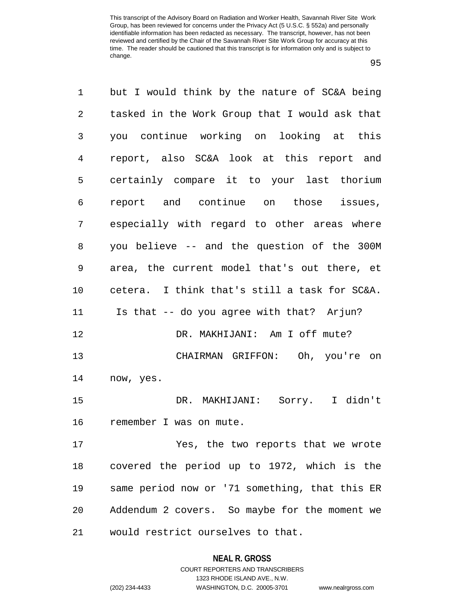95

1 but I would think by the nature of SC&A being 2 tasked in the Work Group that I would ask that 3 you continue working on looking at this 4 report, also SC&A look at this report and 5 certainly compare it to your last thorium 6 report and continue on those issues, 7 especially with regard to other areas where 8 you believe -- and the question of the 300M 9 area, the current model that's out there, et 10 cetera. I think that's still a task for SC&A. 11 Is that -- do you agree with that? Arjun? 12 DR. MAKHIJANI: Am I off mute? 13 CHAIRMAN GRIFFON: Oh, you're on 14 now, yes. 15 DR. MAKHIJANI: Sorry. I didn't 16 remember I was on mute. 17 Yes, the two reports that we wrote 18 covered the period up to 1972, which is the 19 same period now or '71 something, that this ER 20 Addendum 2 covers. So maybe for the moment we 21 would restrict ourselves to that.

#### **NEAL R. GROSS**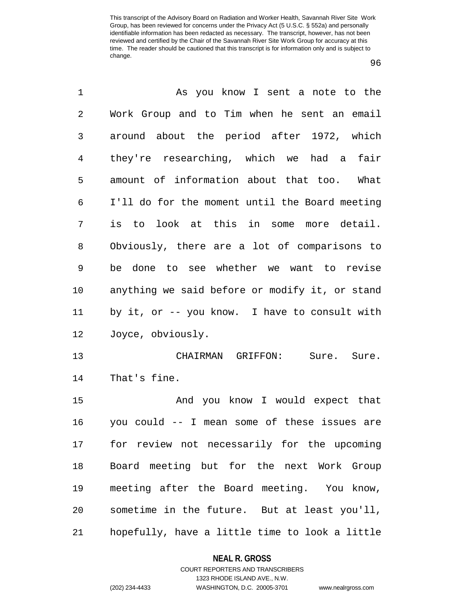96

| 1  | As you know I sent a note to the               |
|----|------------------------------------------------|
| 2  | Work Group and to Tim when he sent an email    |
| 3  | around about the period after 1972, which      |
| 4  | they're researching, which we had a<br>fair    |
| 5  | amount of information about that too. What     |
| 6  | I'll do for the moment until the Board meeting |
| 7  | is to look at this in some more detail.        |
| 8  | Obviously, there are a lot of comparisons to   |
| 9  | be done to see whether we want to revise       |
| 10 | anything we said before or modify it, or stand |
| 11 | by it, or -- you know. I have to consult with  |
| 12 | Joyce, obviously.                              |
| 13 | CHAIRMAN GRIFFON:<br>Sure. Sure.               |
| 14 | That's fine.                                   |
| 15 | And you know I would expect that               |
| 16 | you could -- I mean some of these issues are   |
| 17 | for review not necessarily for the upcoming    |
| 18 | Board meeting but for the next Work Group      |
| 19 | meeting after the Board meeting. You know,     |
| 20 | sometime in the future. But at least you'll,   |
| 21 | hopefully, have a little time to look a little |

**NEAL R. GROSS**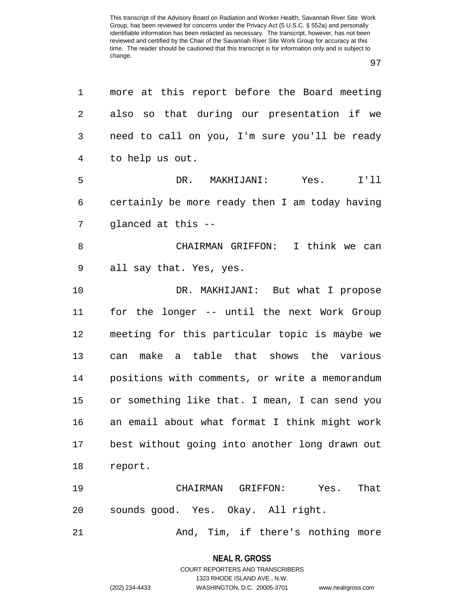97

| 1              | more at this report before the Board meeting   |
|----------------|------------------------------------------------|
| 2              | also so that during our presentation if we     |
| 3              | need to call on you, I'm sure you'll be ready  |
| $\overline{4}$ | to help us out.                                |
| 5              | DR. MAKHIJANI:<br>Yes.<br>I'11                 |
| 6              | certainly be more ready then I am today having |
| 7              | glanced at this --                             |
| 8              | CHAIRMAN GRIFFON: I think we can               |
| 9              | all say that. Yes, yes.                        |
| 10             | DR. MAKHIJANI: But what I propose              |
| 11             | for the longer -- until the next Work Group    |
| 12             | meeting for this particular topic is maybe we  |
| 13             | make a table that shows the various<br>can     |
| 14             | positions with comments, or write a memorandum |
| 15             | or something like that. I mean, I can send you |
| 16             | an email about what format I think might work  |
| 17             | best without going into another long drawn out |
| 18             | report.                                        |
| 19             | That<br>CHAIRMAN GRIFFON: Yes.                 |
| 20             | sounds good. Yes. Okay. All right.             |
| 21             | And, Tim, if there's nothing more              |

**NEAL R. GROSS** COURT REPORTERS AND TRANSCRIBERS

1323 RHODE ISLAND AVE., N.W. (202) 234-4433 WASHINGTON, D.C. 20005-3701 www.nealrgross.com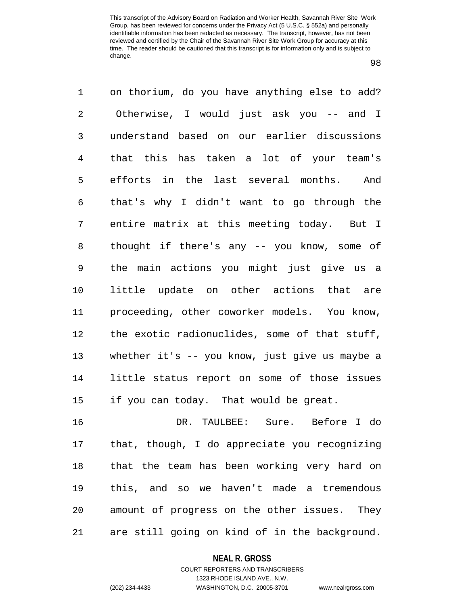98

1 on thorium, do you have anything else to add? 2 Otherwise, I would just ask you -- and I 3 understand based on our earlier discussions 4 that this has taken a lot of your team's 5 efforts in the last several months. And 6 that's why I didn't want to go through the 7 entire matrix at this meeting today. But I 8 thought if there's any -- you know, some of 9 the main actions you might just give us a 10 little update on other actions that are 11 proceeding, other coworker models. You know, 12 the exotic radionuclides, some of that stuff, 13 whether it's -- you know, just give us maybe a 14 little status report on some of those issues 15 if you can today. That would be great. 16 DR. TAULBEE: Sure. Before I do 17 that, though, I do appreciate you recognizing

18 that the team has been working very hard on 19 this, and so we haven't made a tremendous 20 amount of progress on the other issues. They 21 are still going on kind of in the background.

#### **NEAL R. GROSS**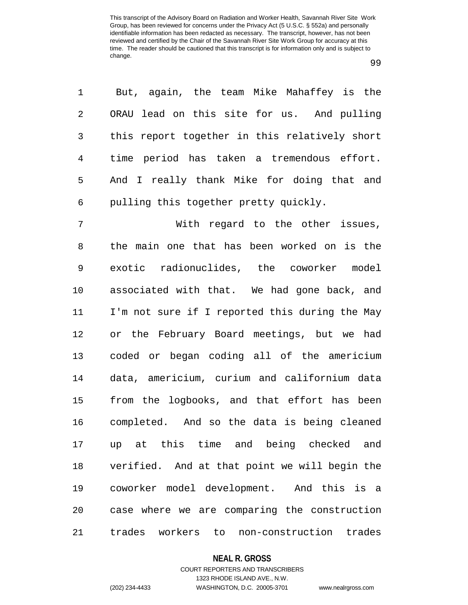99

| 1              | But, again, the team Mike Mahaffey is the     |
|----------------|-----------------------------------------------|
| $\overline{a}$ | ORAU lead on this site for us. And pulling    |
| 3 <sup>7</sup> | this report together in this relatively short |
| $\overline{4}$ | time period has taken a tremendous effort.    |
| 5              | And I really thank Mike for doing that and    |
| 6              | pulling this together pretty quickly.         |

7 With regard to the other issues, 8 the main one that has been worked on is the 9 exotic radionuclides, the coworker model 10 associated with that. We had gone back, and 11 I'm not sure if I reported this during the May 12 or the February Board meetings, but we had 13 coded or began coding all of the americium 14 data, americium, curium and californium data 15 from the logbooks, and that effort has been 16 completed. And so the data is being cleaned 17 up at this time and being checked and 18 verified. And at that point we will begin the 19 coworker model development. And this is a 20 case where we are comparing the construction 21 trades workers to non-construction trades

#### **NEAL R. GROSS**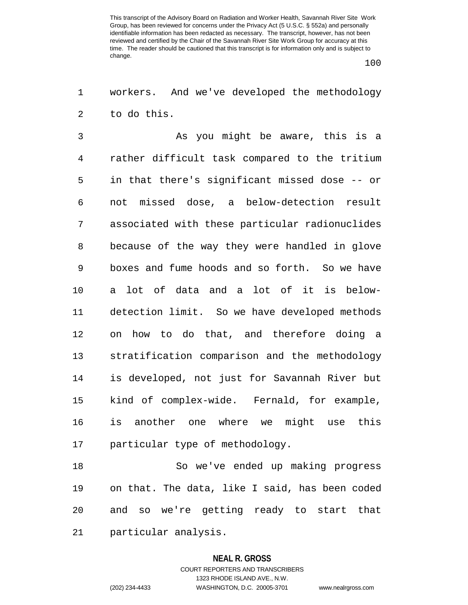100

1 workers. And we've developed the methodology 2 to do this.

3 As you might be aware, this is a 4 rather difficult task compared to the tritium 5 in that there's significant missed dose -- or 6 not missed dose, a below-detection result 7 associated with these particular radionuclides 8 because of the way they were handled in glove 9 boxes and fume hoods and so forth. So we have 10 a lot of data and a lot of it is below-11 detection limit. So we have developed methods 12 on how to do that, and therefore doing a 13 stratification comparison and the methodology 14 is developed, not just for Savannah River but 15 kind of complex-wide. Fernald, for example, 16 is another one where we might use this 17 particular type of methodology.

18 So we've ended up making progress 19 on that. The data, like I said, has been coded 20 and so we're getting ready to start that 21 particular analysis.

#### **NEAL R. GROSS**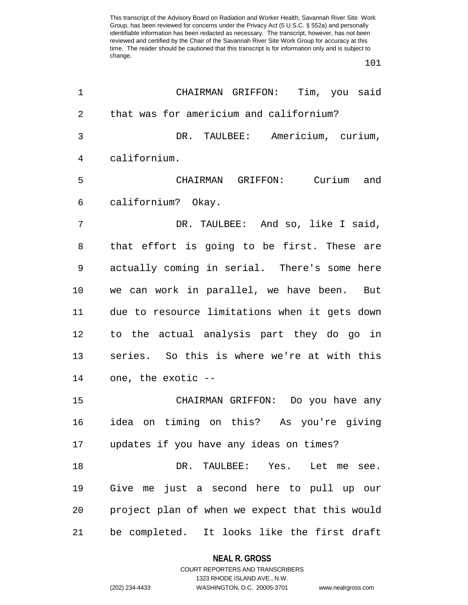101

| 1  | CHAIRMAN GRIFFON: Tim, you said                |
|----|------------------------------------------------|
| 2  | that was for americium and californium?        |
| 3  | DR. TAULBEE: Americium, curium,                |
| 4  | californium.                                   |
| 5  | CHAIRMAN GRIFFON: Curium and                   |
| 6  | californium? Okay.                             |
| 7  | DR. TAULBEE: And so, like I said,              |
| 8  | that effort is going to be first. These are    |
| 9  | actually coming in serial. There's some here   |
| 10 | we can work in parallel, we have been. But     |
| 11 | due to resource limitations when it gets down  |
| 12 | to the actual analysis part they do go in      |
| 13 | series. So this is where we're at with this    |
| 14 | one, the exotic --                             |
| 15 | CHAIRMAN GRIFFON: Do you have any              |
| 16 | on timing on this? As you're giving<br>idea    |
| 17 | updates if you have any ideas on times?        |
| 18 | DR. TAULBEE: Yes. Let me see.                  |
| 19 | Give me just a second here to pull up our      |
| 20 | project plan of when we expect that this would |
| 21 | be completed. It looks like the first draft    |

### **NEAL R. GROSS**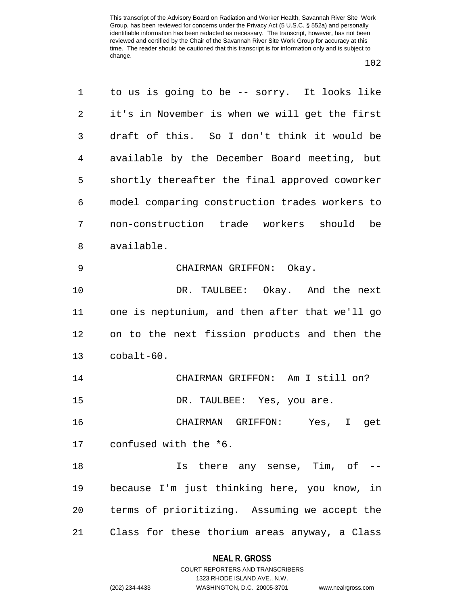| $\mathbf{1}$ | to us is going to be -- sorry. It looks like   |
|--------------|------------------------------------------------|
| 2            | it's in November is when we will get the first |
| 3            | draft of this. So I don't think it would be    |
| 4            | available by the December Board meeting, but   |
| 5            | shortly thereafter the final approved coworker |
| 6            | model comparing construction trades workers to |
| 7            | non-construction trade workers should be       |
| 8            | available.                                     |
| 9            | CHAIRMAN GRIFFON: Okay.                        |
| 10           | DR. TAULBEE: Okay. And the next                |
| 11           | one is neptunium, and then after that we'll go |
| 12           | on to the next fission products and then the   |
| 13           | cobalt-60.                                     |
| 14           | CHAIRMAN GRIFFON: Am I still on?               |
| 15           | DR. TAULBEE: Yes, you are.                     |
| 16           | CHAIRMAN GRIFFON: Yes, I<br>get                |
| 17           | confused with the *6.                          |
| 18           | Is there any sense, Tim, of --                 |
| 19           | because I'm just thinking here, you know, in   |
| 20           | terms of prioritizing. Assuming we accept the  |
| 21           | Class for these thorium areas anyway, a Class  |

### **NEAL R. GROSS**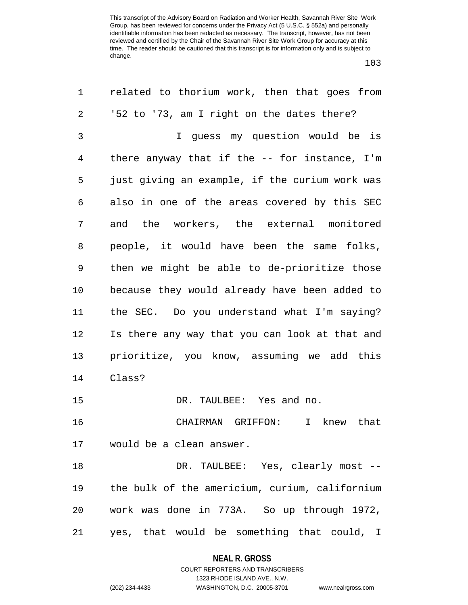103

| 1              | related to thorium work, then that goes from     |
|----------------|--------------------------------------------------|
| 2              | '52 to '73, am I right on the dates there?       |
| 3              | I quess my question would be is                  |
| $\overline{4}$ | there anyway that if the $-$ - for instance, I'm |
| 5              | just giving an example, if the curium work was   |
| 6              | also in one of the areas covered by this SEC     |
| 7              | and the workers, the external monitored          |
| 8              | people, it would have been the same folks,       |
| 9              | then we might be able to de-prioritize those     |
| 10             | because they would already have been added to    |
| 11             | the SEC. Do you understand what I'm saying?      |
| 12             | Is there any way that you can look at that and   |
| 13             | prioritize, you know, assuming we add this       |
| 14             | Class?                                           |
| 15             | DR. TAULBEE: Yes and no.                         |
| 16             | CHAIRMAN GRIFFON:<br>I knew that                 |
| 17             | would be a clean answer.                         |
| 18             | DR. TAULBEE: Yes, clearly most --                |
| 19             | the bulk of the americium, curium, californium   |
| 20             | work was done in 773A. So up through 1972,       |
| 21             | yes, that would be something that could, I       |
|                |                                                  |

**NEAL R. GROSS** COURT REPORTERS AND TRANSCRIBERS

1323 RHODE ISLAND AVE., N.W. (202) 234-4433 WASHINGTON, D.C. 20005-3701 www.nealrgross.com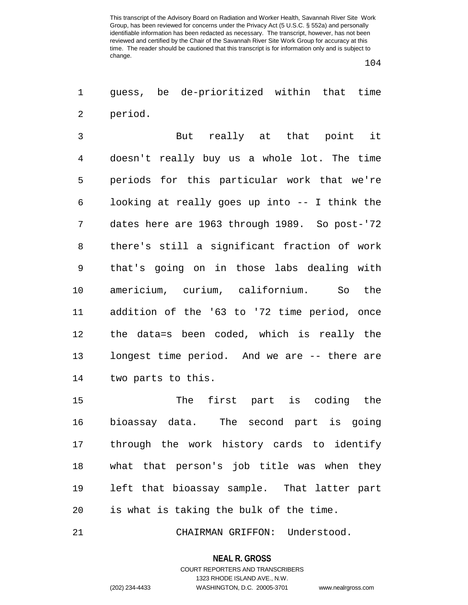104

1 guess, be de-prioritized within that time 2 period.

3 But really at that point it 4 doesn't really buy us a whole lot. The time 5 periods for this particular work that we're 6 looking at really goes up into -- I think the 7 dates here are 1963 through 1989. So post-'72 8 there's still a significant fraction of work 9 that's going on in those labs dealing with 10 americium, curium, californium. So the 11 addition of the '63 to '72 time period, once 12 the data=s been coded, which is really the 13 longest time period. And we are -- there are 14 two parts to this.

15 The first part is coding the 16 bioassay data. The second part is going 17 through the work history cards to identify 18 what that person's job title was when they 19 left that bioassay sample. That latter part 20 is what is taking the bulk of the time.

21 CHAIRMAN GRIFFON: Understood.

#### **NEAL R. GROSS**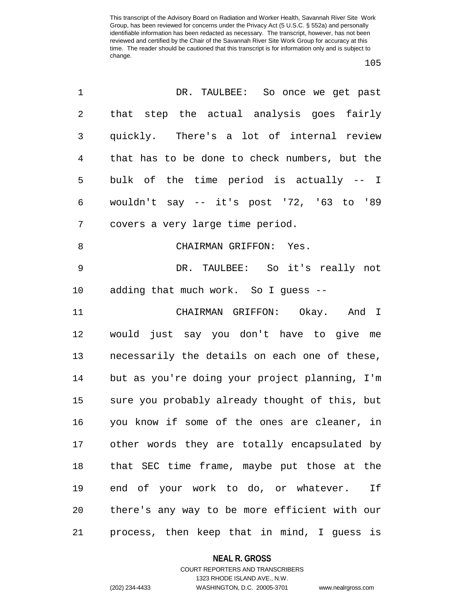105

| 1              | DR. TAULBEE: So once we get past               |
|----------------|------------------------------------------------|
| $\overline{2}$ | that step the actual analysis goes fairly      |
| 3              | quickly. There's a lot of internal review      |
| $\overline{4}$ | that has to be done to check numbers, but the  |
| 5              | bulk of the time period is actually -- I       |
| 6              | wouldn't say $--$ it's post '72, '63 to '89    |
| 7              | covers a very large time period.               |
| 8              | CHAIRMAN GRIFFON: Yes.                         |
| 9              | DR. TAULBEE: So it's really not                |
| 10             | adding that much work. So I guess --           |
| 11             | CHAIRMAN GRIFFON: Okay. And I                  |
| 12             | would just say you don't have to give me       |
| 13             | necessarily the details on each one of these,  |
| 14             | but as you're doing your project planning, I'm |
| 15             | sure you probably already thought of this, but |
| 16             | you know if some of the ones are cleaner, in   |
| 17             | other words they are totally encapsulated by   |
| 18             | that SEC time frame, maybe put those at the    |
| 19             | end of your work to do, or whatever. If        |
| 20             | there's any way to be more efficient with our  |
| 21             | process, then keep that in mind, I guess is    |

**NEAL R. GROSS**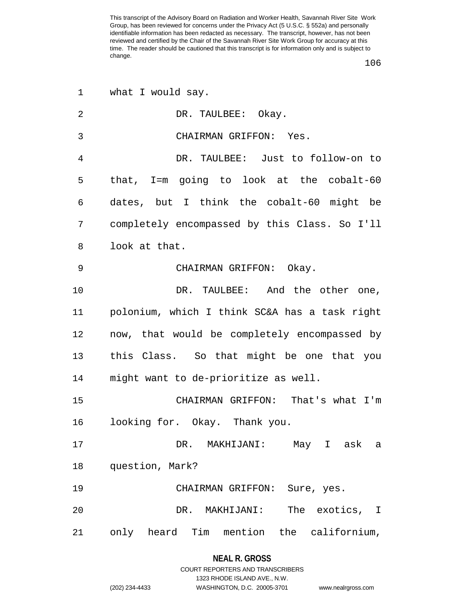106

| 1              | what I would say.                             |
|----------------|-----------------------------------------------|
| $\overline{2}$ | DR. TAULBEE: Okay.                            |
| 3              | CHAIRMAN GRIFFON: Yes.                        |
| 4              | DR. TAULBEE: Just to follow-on to             |
| 5              | that, I=m going to look at the cobalt-60      |
| 6              | dates, but I think the cobalt-60 might be     |
| 7              | completely encompassed by this Class. So I'll |
| 8              | look at that.                                 |
| 9              | CHAIRMAN GRIFFON: Okay.                       |
| 10             | DR. TAULBEE: And the other one,               |
| 11             | polonium, which I think SC&A has a task right |
| 12             | now, that would be completely encompassed by  |
| 13             | this Class. So that might be one that you     |
| 14             | might want to de-prioritize as well.          |
| 15             | CHAIRMAN GRIFFON: That's what I'm             |
| 16             | looking for. Okay. Thank you.                 |
| 17             | May I ask<br>DR. MAKHIJANI:<br>a              |
| 18             | question, Mark?                               |
| 19             | CHAIRMAN GRIFFON: Sure, yes.                  |
| 20             | The exotics, I<br>DR.<br>MAKHIJANI:           |
| 21             | Tim mention the californium,<br>only heard    |

### **NEAL R. GROSS**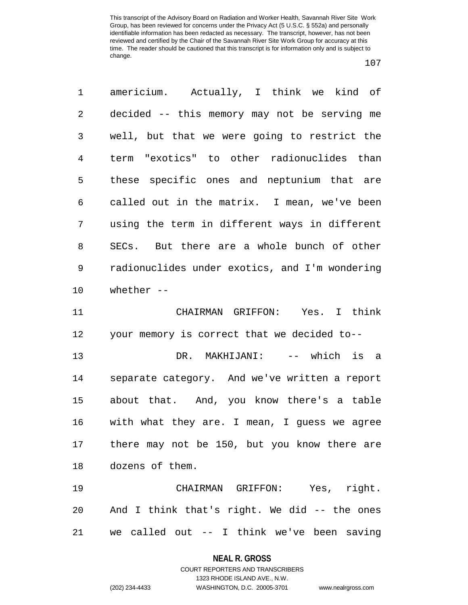107

1 americium. Actually, I think we kind of 2 decided -- this memory may not be serving me 3 well, but that we were going to restrict the 4 term "exotics" to other radionuclides than 5 these specific ones and neptunium that are 6 called out in the matrix. I mean, we've been 7 using the term in different ways in different 8 SECs. But there are a whole bunch of other 9 radionuclides under exotics, and I'm wondering 10 whether --

11 CHAIRMAN GRIFFON: Yes. I think 12 your memory is correct that we decided to-- 13 DR. MAKHIJANI: -- which is a 14 separate category. And we've written a report 15 about that. And, you know there's a table 16 with what they are. I mean, I guess we agree 17 there may not be 150, but you know there are 18 dozens of them.

19 CHAIRMAN GRIFFON: Yes, right. 20 And I think that's right. We did -- the ones 21 we called out -- I think we've been saving

#### **NEAL R. GROSS**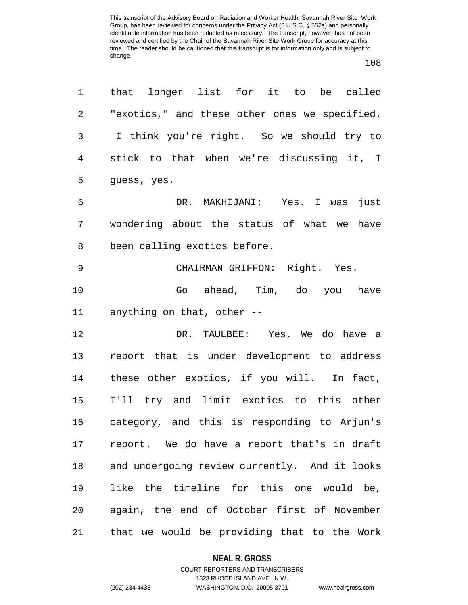108

| 1              | that longer list for it to be called          |
|----------------|-----------------------------------------------|
| $\overline{2}$ | "exotics," and these other ones we specified. |
| 3              | I think you're right. So we should try to     |
| $\overline{4}$ | stick to that when we're discussing it, I     |
| 5              | guess, yes.                                   |
| 6              | DR. MAKHIJANI: Yes. I was<br>just             |
| 7              | wondering about the status of what we have    |
| 8              | been calling exotics before.                  |
| $\mathsf 9$    | CHAIRMAN GRIFFON: Right. Yes.                 |
| 10             | Go ahead, Tim, do you have                    |
| 11             | anything on that, other --                    |
| 12             | DR. TAULBEE: Yes. We do have a                |
| 13             | report that is under development to address   |
| 14             | these other exotics, if you will. In fact,    |
| 15             | I'll try and limit exotics to this other      |
| 16             | category, and this is responding to Arjun's   |
| 17             | report. We do have a report that's in draft   |
| 18             | and undergoing review currently. And it looks |
| 19             | like the timeline for this one would be,      |
| 20             | again, the end of October first of November   |
| 21             | that we would be providing that to the Work   |

### **NEAL R. GROSS**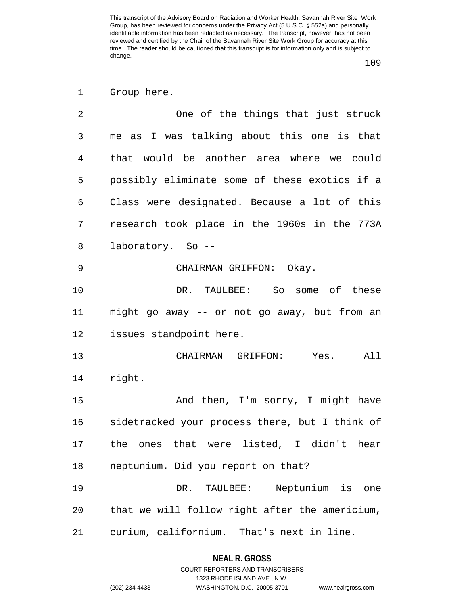1 Group here.

| 2  | One of the things that just struck             |
|----|------------------------------------------------|
| 3  | me as I was talking about this one is that     |
| 4  | that would be another area where we could      |
| 5  | possibly eliminate some of these exotics if a  |
| 6  | Class were designated. Because a lot of this   |
| 7  | research took place in the 1960s in the 773A   |
| 8  | laboratory. So --                              |
| 9  | CHAIRMAN GRIFFON: Okay.                        |
| 10 | DR. TAULBEE: So some of these                  |
| 11 | might go away -- or not go away, but from an   |
| 12 | issues standpoint here.                        |
| 13 | CHAIRMAN GRIFFON: Yes. All                     |
| 14 | right.                                         |
| 15 | And then, I'm sorry, I might have              |
| 16 | sidetracked your process there, but I think of |
| 17 | the ones that were listed, I didn't hear       |
| 18 | neptunium. Did you report on that?             |
| 19 | DR. TAULBEE: Neptunium is<br>one               |
| 20 | that we will follow right after the americium, |
| 21 | curium, californium. That's next in line.      |

**NEAL R. GROSS** COURT REPORTERS AND TRANSCRIBERS

1323 RHODE ISLAND AVE., N.W.

(202) 234-4433 WASHINGTON, D.C. 20005-3701 www.nealrgross.com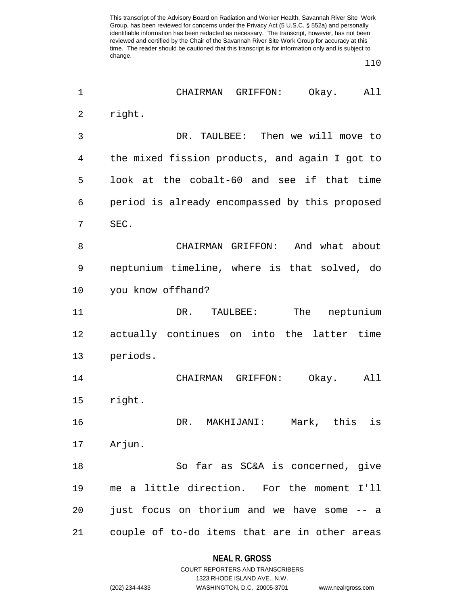110

| $\mathbf 1$ | CHAIRMAN GRIFFON:<br>Okay.<br>All              |
|-------------|------------------------------------------------|
| 2           | right.                                         |
| 3           | DR. TAULBEE: Then we will move to              |
| 4           | the mixed fission products, and again I got to |
| 5           | look at the cobalt-60 and see if that time     |
| 6           | period is already encompassed by this proposed |
| 7           | SEC.                                           |
| 8           | CHAIRMAN GRIFFON: And what about               |
| 9           | neptunium timeline, where is that solved, do   |
| 10          | you know offhand?                              |
| 11          | The<br>neptunium<br>DR. TAULBEE:               |
| 12          | actually continues on into the latter time     |
| 13          | periods.                                       |
| 14          | CHAIRMAN GRIFFON:<br>Okay.<br>All              |
| 15          | right.                                         |
| 16          | DR. MAKHIJANI: Mark, this is                   |
| 17          | Arjun.                                         |
| 18          | So far as SC&A is concerned, give              |
| 19          | me a little direction. For the moment I'll     |
| 20          | just focus on thorium and we have some -- a    |
| 21          | couple of to-do items that are in other areas  |
|             |                                                |

**NEAL R. GROSS** COURT REPORTERS AND TRANSCRIBERS

1323 RHODE ISLAND AVE., N.W.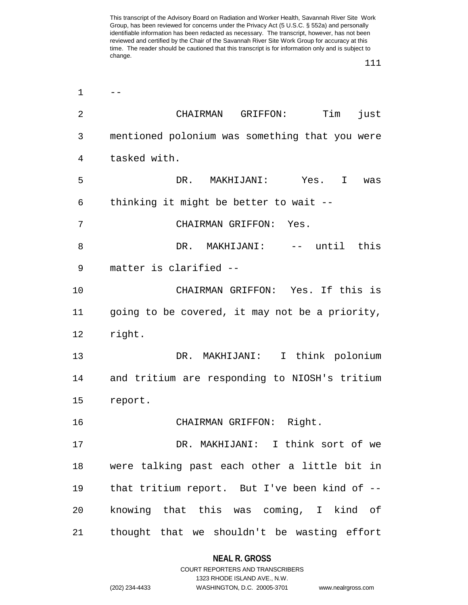$1 \qquad -$ 2 CHAIRMAN GRIFFON: Tim just 3 mentioned polonium was something that you were 4 tasked with. 5 DR. MAKHIJANI: Yes. I was 6 thinking it might be better to wait -- 7 CHAIRMAN GRIFFON: Yes. 8 DR. MAKHIJANI: -- until this 9 matter is clarified -- 10 CHAIRMAN GRIFFON: Yes. If this is 11 going to be covered, it may not be a priority, 12 right. 13 DR. MAKHIJANI: I think polonium 14 and tritium are responding to NIOSH's tritium 15 report. 16 CHAIRMAN GRIFFON: Right. 17 DR. MAKHIJANI: I think sort of we 18 were talking past each other a little bit in 19 that tritium report. But I've been kind of -- 20 knowing that this was coming, I kind of 21 thought that we shouldn't be wasting effort

## **NEAL R. GROSS**

COURT REPORTERS AND TRANSCRIBERS 1323 RHODE ISLAND AVE., N.W. (202) 234-4433 WASHINGTON, D.C. 20005-3701 www.nealrgross.com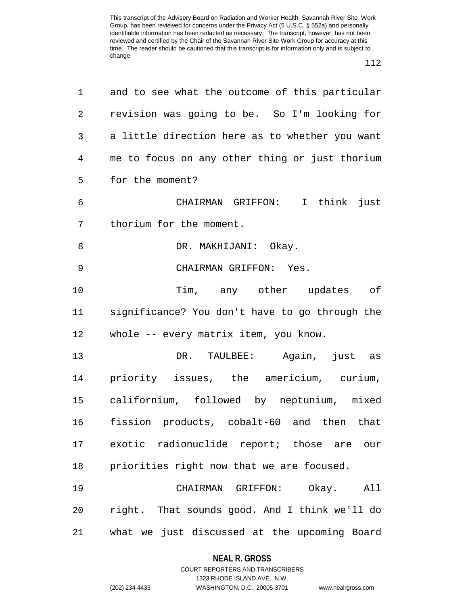112

| 1  | and to see what the outcome of this particular |
|----|------------------------------------------------|
| 2  | revision was going to be. So I'm looking for   |
| 3  | a little direction here as to whether you want |
| 4  | me to focus on any other thing or just thorium |
| 5  | for the moment?                                |
| 6  | CHAIRMAN GRIFFON: I think just                 |
| 7  | thorium for the moment.                        |
| 8  | DR. MAKHIJANI: Okay.                           |
| 9  | CHAIRMAN GRIFFON: Yes.                         |
| 10 | Tim, any other updates of                      |
| 11 | significance? You don't have to go through the |
| 12 | whole -- every matrix item, you know.          |
| 13 | DR. TAULBEE: Again, just as                    |
| 14 | priority issues, the americium, curium,        |
| 15 | californium, followed by neptunium, mixed      |
| 16 | fission products, cobalt-60 and then that      |
|    | 17 exotic radionuclide report; those are our   |
| 18 | priorities right now that we are focused.      |
| 19 | CHAIRMAN GRIFFON: Okay. All                    |
| 20 | right. That sounds good. And I think we'll do  |
| 21 | what we just discussed at the upcoming Board   |

**NEAL R. GROSS** COURT REPORTERS AND TRANSCRIBERS

1323 RHODE ISLAND AVE., N.W.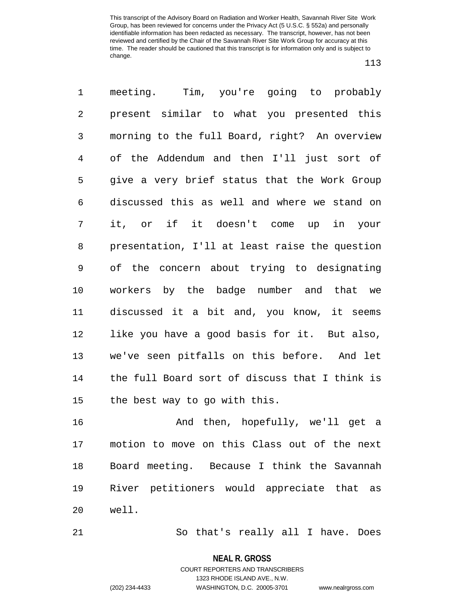113

1 meeting. Tim, you're going to probably 2 present similar to what you presented this 3 morning to the full Board, right? An overview 4 of the Addendum and then I'll just sort of 5 give a very brief status that the Work Group 6 discussed this as well and where we stand on 7 it, or if it doesn't come up in your 8 presentation, I'll at least raise the question 9 of the concern about trying to designating 10 workers by the badge number and that we 11 discussed it a bit and, you know, it seems 12 like you have a good basis for it. But also, 13 we've seen pitfalls on this before. And let 14 the full Board sort of discuss that I think is 15 the best way to go with this.

16 And then, hopefully, we'll get a 17 motion to move on this Class out of the next 18 Board meeting. Because I think the Savannah 19 River petitioners would appreciate that as 20 well.

21 So that's really all I have. Does

**NEAL R. GROSS** COURT REPORTERS AND TRANSCRIBERS

1323 RHODE ISLAND AVE., N.W.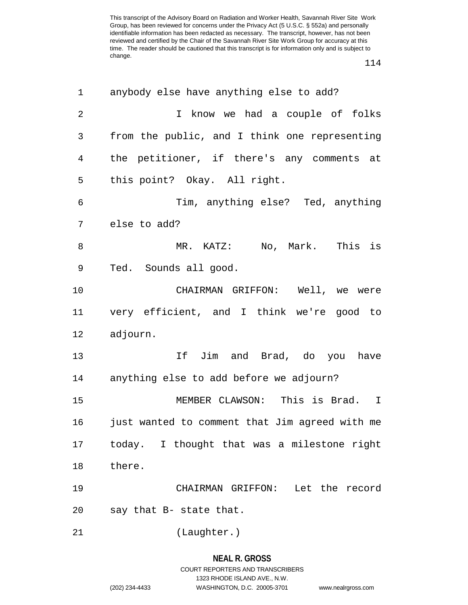| 1           | anybody else have anything else to add?        |
|-------------|------------------------------------------------|
| 2           | I know we had a couple of folks                |
| 3           | from the public, and I think one representing  |
| 4           | the petitioner, if there's any comments at     |
| 5           | this point? Okay. All right.                   |
| 6           | Tim, anything else? Ted, anything              |
| 7           | else to add?                                   |
| 8           | MR. KATZ: No, Mark. This is                    |
| $\mathsf 9$ | Ted. Sounds all good.                          |
| 10          | CHAIRMAN GRIFFON: Well, we were                |
| 11          | very efficient, and I think we're good to      |
| 12          | adjourn.                                       |
| 13          | If Jim and Brad, do you have                   |
| 14          | anything else to add before we adjourn?        |
| 15          | MEMBER CLAWSON: This is Brad. I                |
| 16          | just wanted to comment that Jim agreed with me |
| 17          | today. I thought that was a milestone right    |
| 18          | there.                                         |
| 19          | CHAIRMAN GRIFFON: Let the record               |
| 20          | say that B- state that.                        |
| 21          | (Laughter.)                                    |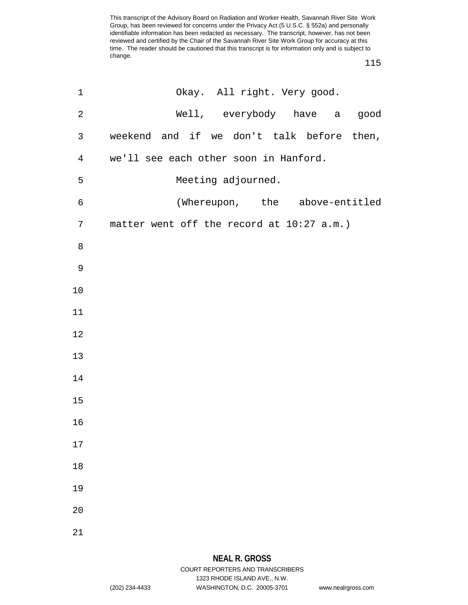| $\mathbf 1$    | Okay. All right. Very good.               |
|----------------|-------------------------------------------|
| $\sqrt{2}$     | Well, everybody have a good               |
| 3              | weekend and if we don't talk before then, |
| $\overline{4}$ | we'll see each other soon in Hanford.     |
| 5              | Meeting adjourned.                        |
| 6              | (Whereupon, the above-entitled            |
| 7              | matter went off the record at 10:27 a.m.) |
| 8              |                                           |
| $\mathsf 9$    |                                           |
| 10             |                                           |
| 11             |                                           |
| 12             |                                           |
| 13             |                                           |
| 14             |                                           |
| 15             |                                           |
| 16             |                                           |
| 17             |                                           |
| 18             |                                           |
| 19             |                                           |
| 20             |                                           |
| 21             |                                           |